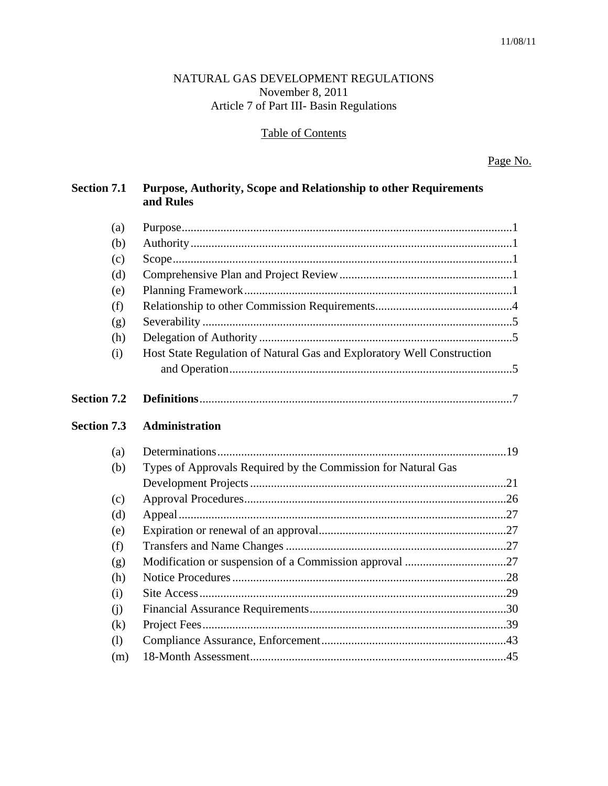# NATURAL GAS DEVELOPMENT REGULATIONS November 8, 2011 Article 7 of Part III- Basin Regulations

# **Table of Contents**

Page No.

| <b>Section 7.1</b> | Purpose, Authority, Scope and Relationship to other Requirements<br>and Rules |  |
|--------------------|-------------------------------------------------------------------------------|--|
| (a)                |                                                                               |  |
| (b)                |                                                                               |  |
| (c)                |                                                                               |  |
| (d)                |                                                                               |  |
| (e)                |                                                                               |  |
| (f)                |                                                                               |  |
| (g)                |                                                                               |  |
| (h)                |                                                                               |  |
| (i)                | Host State Regulation of Natural Gas and Exploratory Well Construction        |  |
|                    |                                                                               |  |
| <b>Section 7.2</b> |                                                                               |  |
| <b>Section 7.3</b> | Administration                                                                |  |
| (a)                |                                                                               |  |
| (b)                | Types of Approvals Required by the Commission for Natural Gas                 |  |
|                    |                                                                               |  |
| (c)                |                                                                               |  |
| (d)                |                                                                               |  |
| (e)                |                                                                               |  |
| (f)                |                                                                               |  |
| (g)                |                                                                               |  |
| (h)                |                                                                               |  |
| (i)                |                                                                               |  |
| (i)                |                                                                               |  |
| (k)                |                                                                               |  |
| (1)                |                                                                               |  |
| (m)                |                                                                               |  |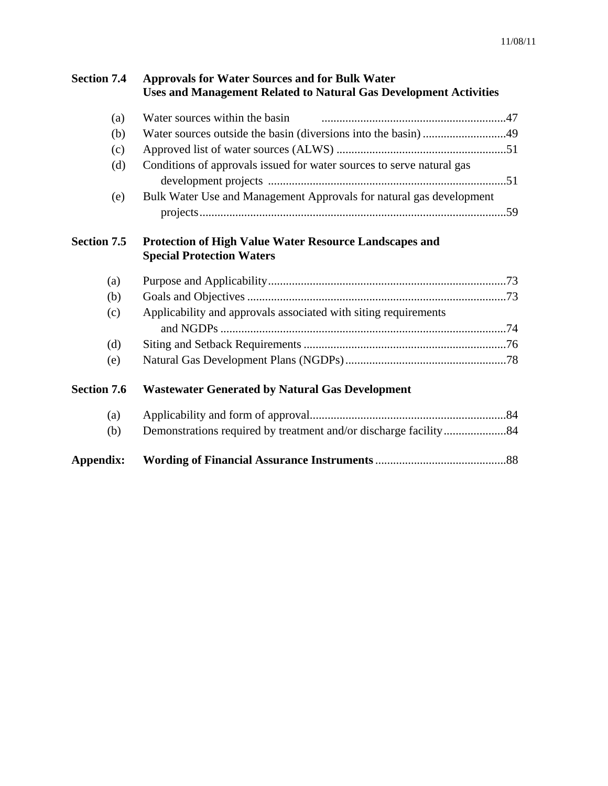| <b>Section 7.4</b> | <b>Approvals for Water Sources and for Bulk Water</b><br><b>Uses and Management Related to Natural Gas Development Activities</b> |
|--------------------|-----------------------------------------------------------------------------------------------------------------------------------|
| (a)                | Water sources within the basin                                                                                                    |
| (b)                |                                                                                                                                   |
| (c)                |                                                                                                                                   |
| (d)                | Conditions of approvals issued for water sources to serve natural gas                                                             |
| (e)                | Bulk Water Use and Management Approvals for natural gas development                                                               |
| <b>Section 7.5</b> | <b>Protection of High Value Water Resource Landscapes and</b><br><b>Special Protection Waters</b>                                 |
| (a)                |                                                                                                                                   |
| (b)                |                                                                                                                                   |
| (c)                | Applicability and approvals associated with siting requirements                                                                   |
| (d)                |                                                                                                                                   |
| (e)                |                                                                                                                                   |
| <b>Section 7.6</b> | <b>Wastewater Generated by Natural Gas Development</b>                                                                            |
| (a)                |                                                                                                                                   |
| (b)                |                                                                                                                                   |
| Appendix:          |                                                                                                                                   |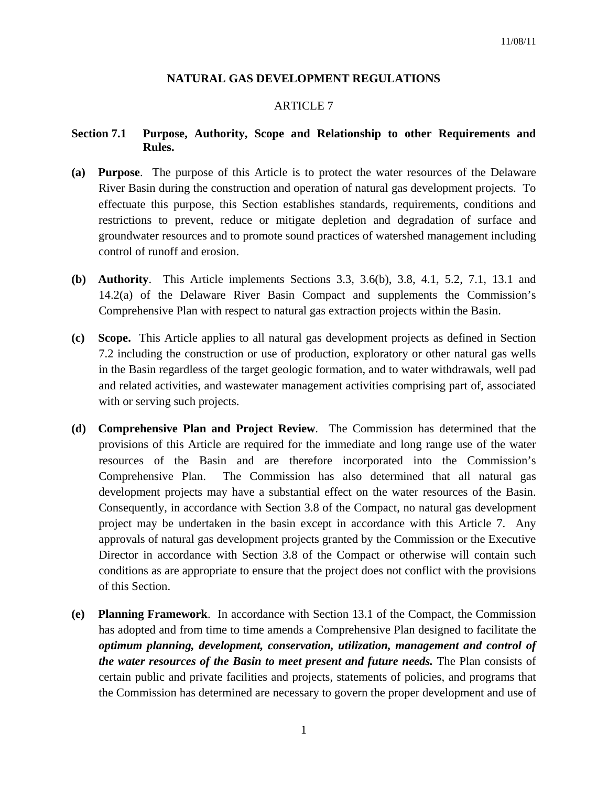## **NATURAL GAS DEVELOPMENT REGULATIONS**

# ARTICLE 7

## **Section 7.1 Purpose, Authority, Scope and Relationship to other Requirements and Rules.**

- **(a) Purpose**. The purpose of this Article is to protect the water resources of the Delaware River Basin during the construction and operation of natural gas development projects. To effectuate this purpose, this Section establishes standards, requirements, conditions and restrictions to prevent, reduce or mitigate depletion and degradation of surface and groundwater resources and to promote sound practices of watershed management including control of runoff and erosion.
- **(b) Authority**. This Article implements Sections 3.3, 3.6(b), 3.8, 4.1, 5.2, 7.1, 13.1 and 14.2(a) of the Delaware River Basin Compact and supplements the Commission's Comprehensive Plan with respect to natural gas extraction projects within the Basin.
- **(c) Scope.** This Article applies to all natural gas development projects as defined in Section 7.2 including the construction or use of production, exploratory or other natural gas wells in the Basin regardless of the target geologic formation, and to water withdrawals, well pad and related activities, and wastewater management activities comprising part of, associated with or serving such projects.
- **(d) Comprehensive Plan and Project Review**. The Commission has determined that the provisions of this Article are required for the immediate and long range use of the water resources of the Basin and are therefore incorporated into the Commission's Comprehensive Plan. The Commission has also determined that all natural gas development projects may have a substantial effect on the water resources of the Basin. Consequently, in accordance with Section 3.8 of the Compact, no natural gas development project may be undertaken in the basin except in accordance with this Article 7. Any approvals of natural gas development projects granted by the Commission or the Executive Director in accordance with Section 3.8 of the Compact or otherwise will contain such conditions as are appropriate to ensure that the project does not conflict with the provisions of this Section.
- **(e) Planning Framework**. In accordance with Section 13.1 of the Compact, the Commission has adopted and from time to time amends a Comprehensive Plan designed to facilitate the *optimum planning, development, conservation, utilization, management and control of the water resources of the Basin to meet present and future needs.* The Plan consists of certain public and private facilities and projects, statements of policies, and programs that the Commission has determined are necessary to govern the proper development and use of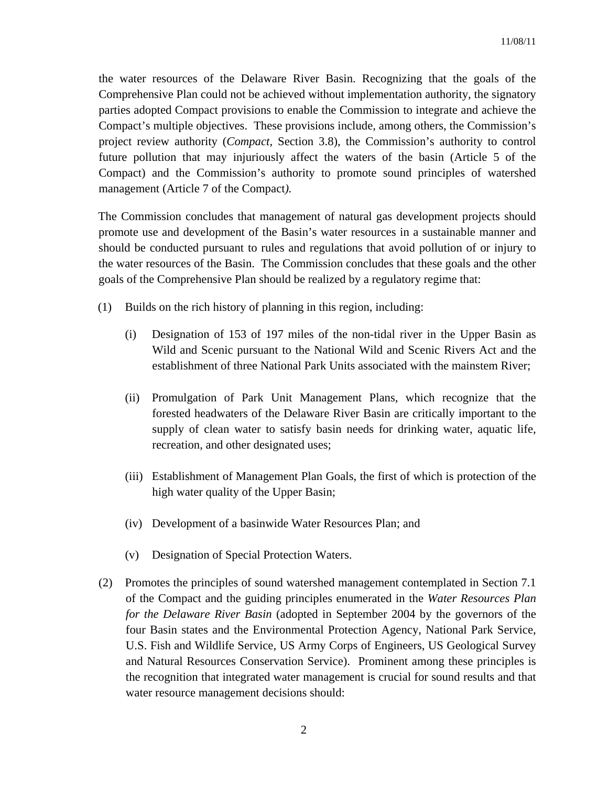the water resources of the Delaware River Basin. Recognizing that the goals of the Comprehensive Plan could not be achieved without implementation authority, the signatory parties adopted Compact provisions to enable the Commission to integrate and achieve the Compact's multiple objectives. These provisions include, among others, the Commission's project review authority (*Compact*, Section 3.8), the Commission's authority to control future pollution that may injuriously affect the waters of the basin (Article 5 of the Compact) and the Commission's authority to promote sound principles of watershed management (Article 7 of the Compact*).*

 The Commission concludes that management of natural gas development projects should promote use and development of the Basin's water resources in a sustainable manner and should be conducted pursuant to rules and regulations that avoid pollution of or injury to the water resources of the Basin. The Commission concludes that these goals and the other goals of the Comprehensive Plan should be realized by a regulatory regime that:

- (1) Builds on the rich history of planning in this region, including:
	- (i) Designation of 153 of 197 miles of the non-tidal river in the Upper Basin as Wild and Scenic pursuant to the National Wild and Scenic Rivers Act and the establishment of three National Park Units associated with the mainstem River;
	- (ii) Promulgation of Park Unit Management Plans, which recognize that the forested headwaters of the Delaware River Basin are critically important to the supply of clean water to satisfy basin needs for drinking water, aquatic life, recreation, and other designated uses;
	- (iii) Establishment of Management Plan Goals, the first of which is protection of the high water quality of the Upper Basin;
	- (iv) Development of a basinwide Water Resources Plan; and
	- (v) Designation of Special Protection Waters.
- (2) Promotes the principles of sound watershed management contemplated in Section 7.1 of the Compact and the guiding principles enumerated in the *Water Resources Plan for the Delaware River Basin* (adopted in September 2004 by the governors of the four Basin states and the Environmental Protection Agency, National Park Service, U.S. Fish and Wildlife Service, US Army Corps of Engineers, US Geological Survey and Natural Resources Conservation Service). Prominent among these principles is the recognition that integrated water management is crucial for sound results and that water resource management decisions should: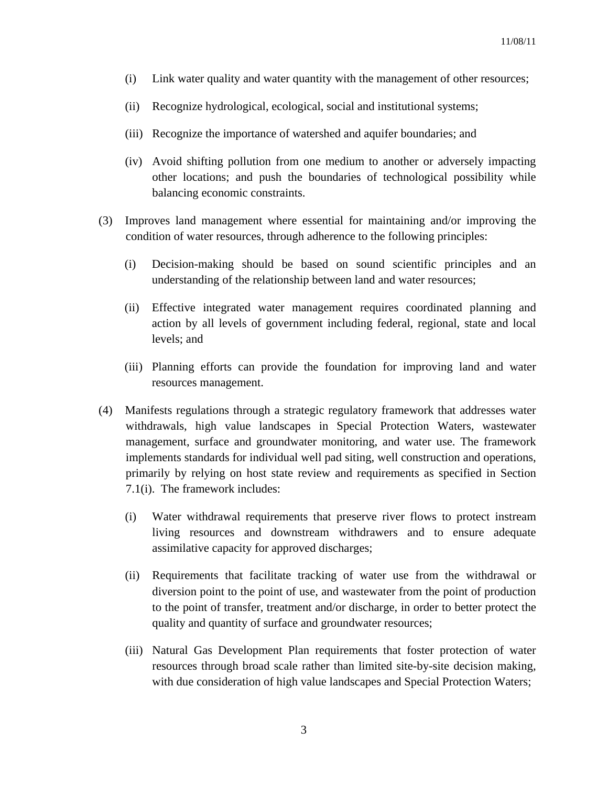- (i) Link water quality and water quantity with the management of other resources;
- (ii) Recognize hydrological, ecological, social and institutional systems;
- (iii) Recognize the importance of watershed and aquifer boundaries; and
- (iv) Avoid shifting pollution from one medium to another or adversely impacting other locations; and push the boundaries of technological possibility while balancing economic constraints.
- (3) Improves land management where essential for maintaining and/or improving the condition of water resources, through adherence to the following principles:
	- (i) Decision-making should be based on sound scientific principles and an understanding of the relationship between land and water resources;
	- (ii) Effective integrated water management requires coordinated planning and action by all levels of government including federal, regional, state and local levels; and
	- (iii) Planning efforts can provide the foundation for improving land and water resources management.
- (4) Manifests regulations through a strategic regulatory framework that addresses water withdrawals, high value landscapes in Special Protection Waters, wastewater management, surface and groundwater monitoring, and water use. The framework implements standards for individual well pad siting, well construction and operations, primarily by relying on host state review and requirements as specified in Section 7.1(i). The framework includes:
	- (i) Water withdrawal requirements that preserve river flows to protect instream living resources and downstream withdrawers and to ensure adequate assimilative capacity for approved discharges;
	- (ii) Requirements that facilitate tracking of water use from the withdrawal or diversion point to the point of use, and wastewater from the point of production to the point of transfer, treatment and/or discharge, in order to better protect the quality and quantity of surface and groundwater resources;
	- (iii) Natural Gas Development Plan requirements that foster protection of water resources through broad scale rather than limited site-by-site decision making, with due consideration of high value landscapes and Special Protection Waters;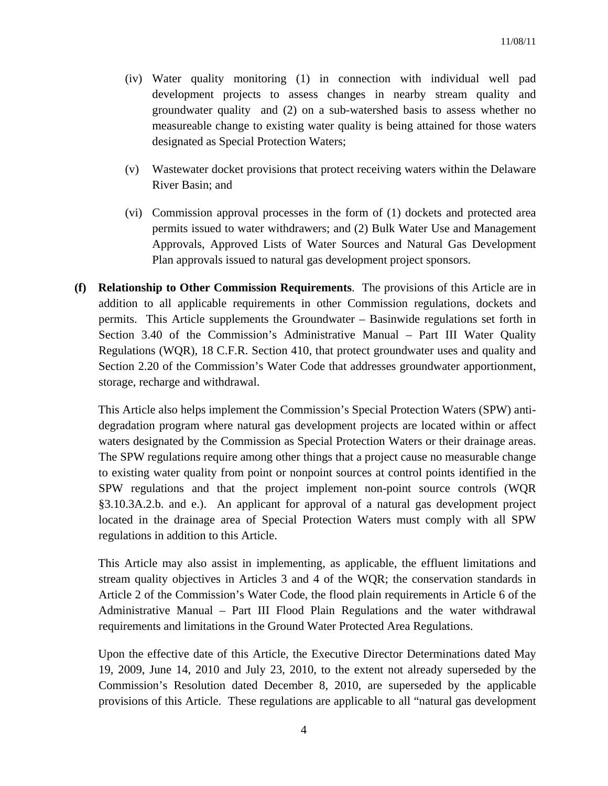- (iv) Water quality monitoring (1) in connection with individual well pad development projects to assess changes in nearby stream quality and groundwater quality and (2) on a sub-watershed basis to assess whether no measureable change to existing water quality is being attained for those waters designated as Special Protection Waters;
- (v) Wastewater docket provisions that protect receiving waters within the Delaware River Basin; and
- (vi) Commission approval processes in the form of (1) dockets and protected area permits issued to water withdrawers; and (2) Bulk Water Use and Management Approvals, Approved Lists of Water Sources and Natural Gas Development Plan approvals issued to natural gas development project sponsors.
- **(f) Relationship to Other Commission Requirements**. The provisions of this Article are in addition to all applicable requirements in other Commission regulations, dockets and permits. This Article supplements the Groundwater – Basinwide regulations set forth in Section 3.40 of the Commission's Administrative Manual – Part III Water Quality Regulations (WQR), 18 C.F.R. Section 410, that protect groundwater uses and quality and Section 2.20 of the Commission's Water Code that addresses groundwater apportionment, storage, recharge and withdrawal.

 This Article also helps implement the Commission's Special Protection Waters (SPW) antidegradation program where natural gas development projects are located within or affect waters designated by the Commission as Special Protection Waters or their drainage areas. The SPW regulations require among other things that a project cause no measurable change to existing water quality from point or nonpoint sources at control points identified in the SPW regulations and that the project implement non-point source controls (WQR §3.10.3A.2.b. and e.). An applicant for approval of a natural gas development project located in the drainage area of Special Protection Waters must comply with all SPW regulations in addition to this Article.

 This Article may also assist in implementing, as applicable, the effluent limitations and stream quality objectives in Articles 3 and 4 of the WQR; the conservation standards in Article 2 of the Commission's Water Code, the flood plain requirements in Article 6 of the Administrative Manual – Part III Flood Plain Regulations and the water withdrawal requirements and limitations in the Ground Water Protected Area Regulations.

 Upon the effective date of this Article, the Executive Director Determinations dated May 19, 2009, June 14, 2010 and July 23, 2010, to the extent not already superseded by the Commission's Resolution dated December 8, 2010, are superseded by the applicable provisions of this Article. These regulations are applicable to all "natural gas development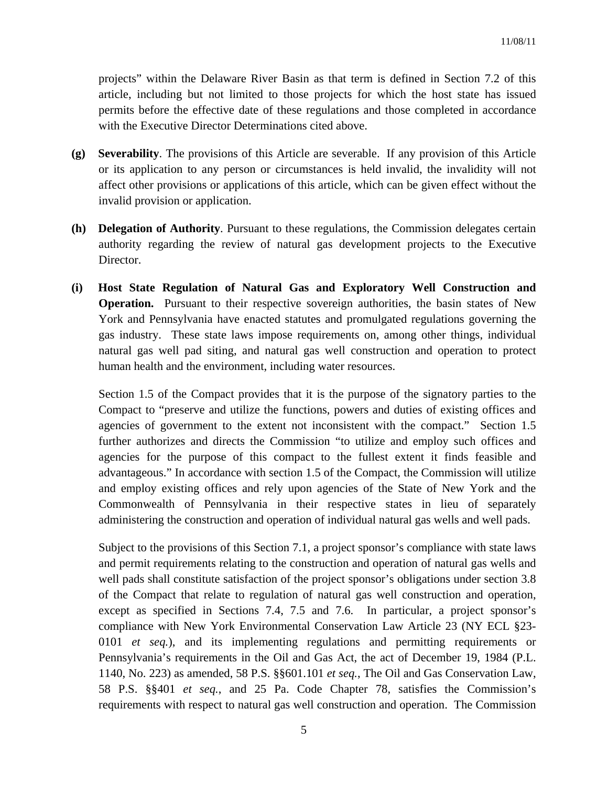projects" within the Delaware River Basin as that term is defined in Section 7.2 of this article, including but not limited to those projects for which the host state has issued permits before the effective date of these regulations and those completed in accordance with the Executive Director Determinations cited above.

- **(g) Severability**. The provisions of this Article are severable. If any provision of this Article or its application to any person or circumstances is held invalid, the invalidity will not affect other provisions or applications of this article, which can be given effect without the invalid provision or application.
- **(h) Delegation of Authority**. Pursuant to these regulations, the Commission delegates certain authority regarding the review of natural gas development projects to the Executive Director.
- **(i) Host State Regulation of Natural Gas and Exploratory Well Construction and Operation.** Pursuant to their respective sovereign authorities, the basin states of New York and Pennsylvania have enacted statutes and promulgated regulations governing the gas industry. These state laws impose requirements on, among other things, individual natural gas well pad siting, and natural gas well construction and operation to protect human health and the environment, including water resources.

Section 1.5 of the Compact provides that it is the purpose of the signatory parties to the Compact to "preserve and utilize the functions, powers and duties of existing offices and agencies of government to the extent not inconsistent with the compact." Section 1.5 further authorizes and directs the Commission "to utilize and employ such offices and agencies for the purpose of this compact to the fullest extent it finds feasible and advantageous." In accordance with section 1.5 of the Compact, the Commission will utilize and employ existing offices and rely upon agencies of the State of New York and the Commonwealth of Pennsylvania in their respective states in lieu of separately administering the construction and operation of individual natural gas wells and well pads.

Subject to the provisions of this Section 7.1, a project sponsor's compliance with state laws and permit requirements relating to the construction and operation of natural gas wells and well pads shall constitute satisfaction of the project sponsor's obligations under section 3.8 of the Compact that relate to regulation of natural gas well construction and operation, except as specified in Sections 7.4, 7.5 and 7.6. In particular, a project sponsor's compliance with New York Environmental Conservation Law Article 23 (NY ECL §23- 0101 *et seq.*), and its implementing regulations and permitting requirements or Pennsylvania's requirements in the Oil and Gas Act, the act of December 19, 1984 (P.L. 1140, No. 223) as amended, 58 P.S. §§601.101 *et seq.*, The Oil and Gas Conservation Law, 58 P.S. §§401 *et seq.*, and 25 Pa. Code Chapter 78, satisfies the Commission's requirements with respect to natural gas well construction and operation. The Commission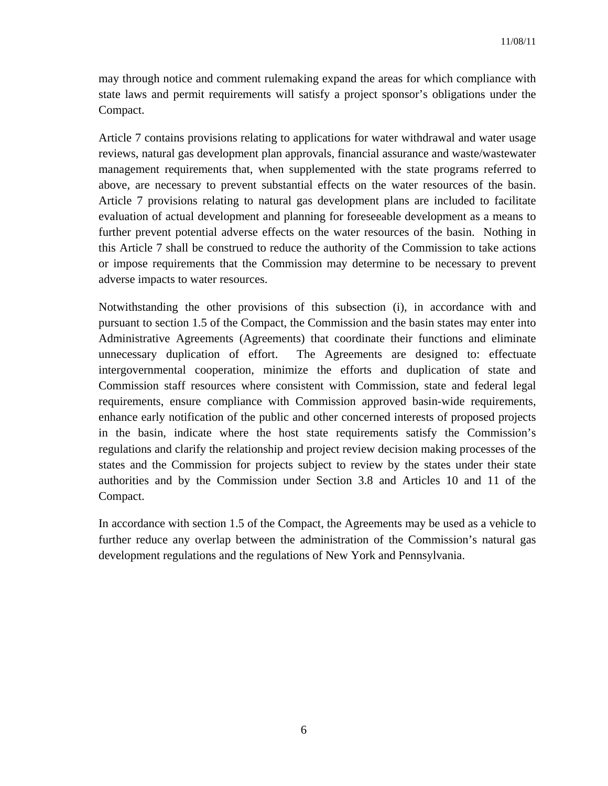may through notice and comment rulemaking expand the areas for which compliance with state laws and permit requirements will satisfy a project sponsor's obligations under the Compact.

Article 7 contains provisions relating to applications for water withdrawal and water usage reviews, natural gas development plan approvals, financial assurance and waste/wastewater management requirements that, when supplemented with the state programs referred to above, are necessary to prevent substantial effects on the water resources of the basin. Article 7 provisions relating to natural gas development plans are included to facilitate evaluation of actual development and planning for foreseeable development as a means to further prevent potential adverse effects on the water resources of the basin. Nothing in this Article 7 shall be construed to reduce the authority of the Commission to take actions or impose requirements that the Commission may determine to be necessary to prevent adverse impacts to water resources.

Notwithstanding the other provisions of this subsection (i), in accordance with and pursuant to section 1.5 of the Compact, the Commission and the basin states may enter into Administrative Agreements (Agreements) that coordinate their functions and eliminate unnecessary duplication of effort. The Agreements are designed to: effectuate intergovernmental cooperation, minimize the efforts and duplication of state and Commission staff resources where consistent with Commission, state and federal legal requirements, ensure compliance with Commission approved basin-wide requirements, enhance early notification of the public and other concerned interests of proposed projects in the basin, indicate where the host state requirements satisfy the Commission's regulations and clarify the relationship and project review decision making processes of the states and the Commission for projects subject to review by the states under their state authorities and by the Commission under Section 3.8 and Articles 10 and 11 of the Compact.

In accordance with section 1.5 of the Compact, the Agreements may be used as a vehicle to further reduce any overlap between the administration of the Commission's natural gas development regulations and the regulations of New York and Pennsylvania.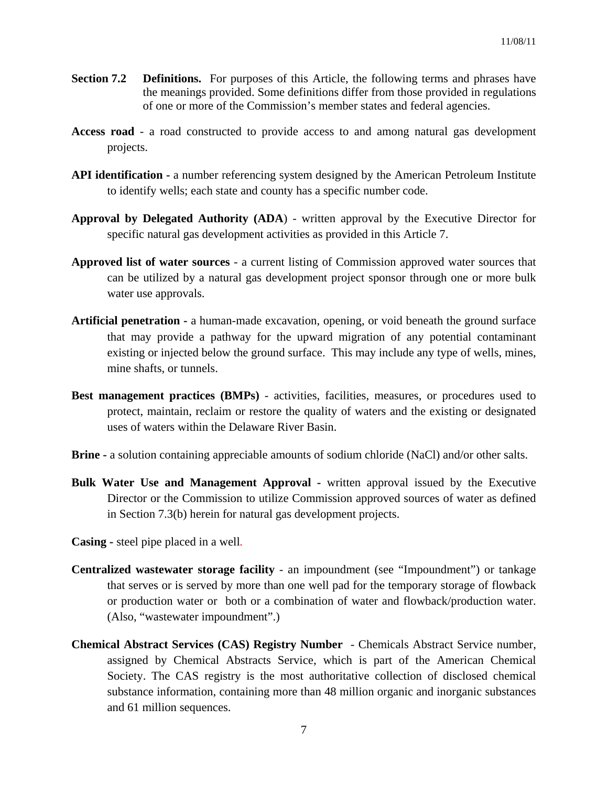- **Section 7.2 Definitions.** For purposes of this Article, the following terms and phrases have the meanings provided. Some definitions differ from those provided in regulations of one or more of the Commission's member states and federal agencies.
- **Access road**  a road constructed to provide access to and among natural gas development projects.
- **API identification** a number referencing system designed by the American Petroleum Institute to identify wells; each state and county has a specific number code.
- **Approval by Delegated Authority (ADA**) written approval by the Executive Director for specific natural gas development activities as provided in this Article 7.
- **Approved list of water sources** a current listing of Commission approved water sources that can be utilized by a natural gas development project sponsor through one or more bulk water use approvals.
- **Artificial penetration -** a human-made excavation, opening, or void beneath the ground surface that may provide a pathway for the upward migration of any potential contaminant existing or injected below the ground surface. This may include any type of wells, mines, mine shafts, or tunnels.
- **Best management practices (BMPs)** activities, facilities, measures, or procedures used to protect, maintain, reclaim or restore the quality of waters and the existing or designated uses of waters within the Delaware River Basin.
- **Brine -** a solution containing appreciable amounts of sodium chloride (NaCl) and/or other salts.
- **Bulk Water Use and Management Approval -** written approval issued by the Executive Director or the Commission to utilize Commission approved sources of water as defined in Section 7.3(b) herein for natural gas development projects.
- **Casing -** steel pipe placed in a well*.*
- **Centralized wastewater storage facility** an impoundment (see "Impoundment") or tankage that serves or is served by more than one well pad for the temporary storage of flowback or production water or both or a combination of water and flowback/production water. (Also, "wastewater impoundment".)
- **Chemical Abstract Services (CAS) Registry Number** Chemicals Abstract Service number, assigned by Chemical Abstracts Service, which is part of the American Chemical Society. The CAS registry is the most authoritative collection of disclosed chemical substance information, containing more than 48 million organic and inorganic substances and 61 million sequences.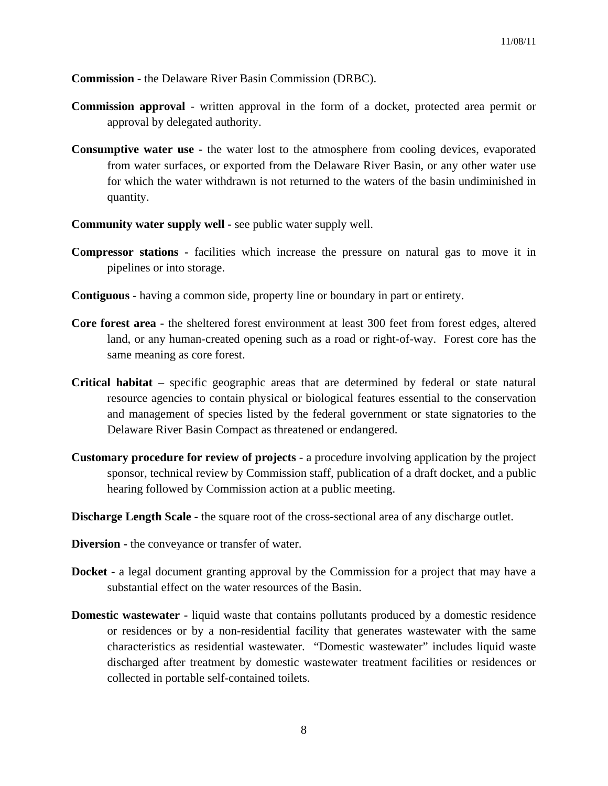**Commission** - the Delaware River Basin Commission (DRBC).

- **Commission approval** written approval in the form of a docket, protected area permit or approval by delegated authority.
- **Consumptive water use -** the water lost to the atmosphere from cooling devices, evaporated from water surfaces, or exported from the Delaware River Basin, or any other water use for which the water withdrawn is not returned to the waters of the basin undiminished in quantity.
- **Community water supply well** see public water supply well.
- **Compressor stations** facilities which increase the pressure on natural gas to move it in pipelines or into storage.
- **Contiguous** having a common side, property line or boundary in part or entirety.
- **Core forest area** the sheltered forest environment at least 300 feet from forest edges, altered land, or any human-created opening such as a road or right-of-way. Forest core has the same meaning as core forest.
- **Critical habitat**  specific geographic areas that are determined by federal or state natural resource agencies to contain physical or biological features essential to the conservation and management of species listed by the federal government or state signatories to the Delaware River Basin Compact as threatened or endangered.
- **Customary procedure for review of projects**  a procedure involving application by the project sponsor, technical review by Commission staff, publication of a draft docket, and a public hearing followed by Commission action at a public meeting.
- **Discharge Length Scale the square root of the cross-sectional area of any discharge outlet.**
- **Diversion -** the conveyance or transfer of water.
- **Docket** a legal document granting approval by the Commission for a project that may have a substantial effect on the water resources of the Basin.
- **Domestic wastewater -** liquid waste that contains pollutants produced by a domestic residence or residences or by a non-residential facility that generates wastewater with the same characteristics as residential wastewater. "Domestic wastewater" includes liquid waste discharged after treatment by domestic wastewater treatment facilities or residences or collected in portable self-contained toilets.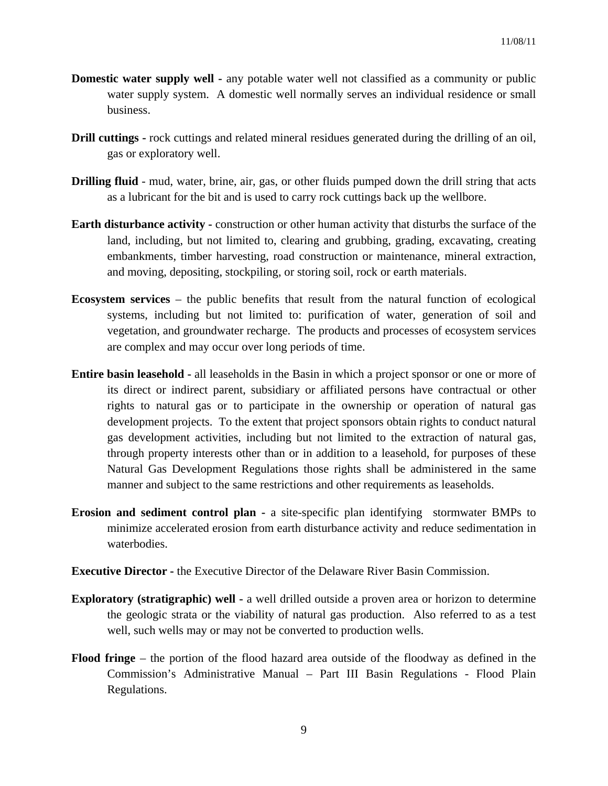- **Domestic water supply well -** any potable water well not classified as a community or public water supply system. A domestic well normally serves an individual residence or small business.
- **Drill cuttings -** rock cuttings and related mineral residues generated during the drilling of an oil, gas or exploratory well.
- **Drilling fluid**  mud, water, brine, air, gas, or other fluids pumped down the drill string that acts as a lubricant for the bit and is used to carry rock cuttings back up the wellbore.
- **Earth disturbance activity -** construction or other human activity that disturbs the surface of the land, including, but not limited to, clearing and grubbing, grading, excavating, creating embankments, timber harvesting, road construction or maintenance, mineral extraction, and moving, depositing, stockpiling, or storing soil, rock or earth materials.
- **Ecosystem services** the public benefits that result from the natural function of ecological systems, including but not limited to: purification of water, generation of soil and vegetation, and groundwater recharge. The products and processes of ecosystem services are complex and may occur over long periods of time.
- **Entire basin leasehold** all leaseholds in the Basin in which a project sponsor or one or more of its direct or indirect parent, subsidiary or affiliated persons have contractual or other rights to natural gas or to participate in the ownership or operation of natural gas development projects. To the extent that project sponsors obtain rights to conduct natural gas development activities, including but not limited to the extraction of natural gas, through property interests other than or in addition to a leasehold, for purposes of these Natural Gas Development Regulations those rights shall be administered in the same manner and subject to the same restrictions and other requirements as leaseholds.
- **Erosion and sediment control plan -** a site-specific plan identifying stormwater BMPs to minimize accelerated erosion from earth disturbance activity and reduce sedimentation in waterbodies.
- **Executive Director -** the Executive Director of the Delaware River Basin Commission.
- **Exploratory (stratigraphic) well -** a well drilled outside a proven area or horizon to determine the geologic strata or the viability of natural gas production. Also referred to as a test well, such wells may or may not be converted to production wells.
- **Flood fringe** the portion of the flood hazard area outside of the floodway as defined in the Commission's Administrative Manual – Part III Basin Regulations - Flood Plain Regulations.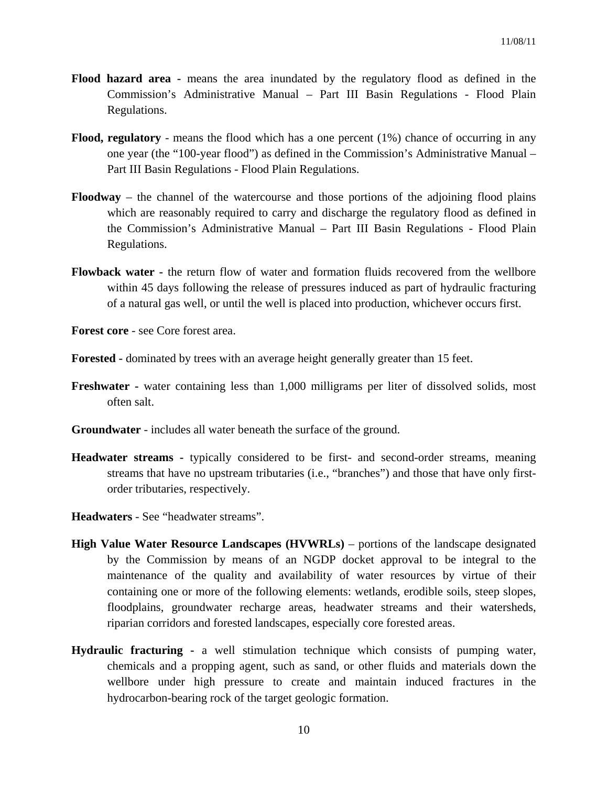- **Flood hazard area** means the area inundated by the regulatory flood as defined in the Commission's Administrative Manual – Part III Basin Regulations - Flood Plain Regulations.
- **Flood, regulatory** means the flood which has a one percent (1%) chance of occurring in any one year (the "100-year flood") as defined in the Commission's Administrative Manual – Part III Basin Regulations - Flood Plain Regulations.
- **Floodway** the channel of the watercourse and those portions of the adjoining flood plains which are reasonably required to carry and discharge the regulatory flood as defined in the Commission's Administrative Manual – Part III Basin Regulations - Flood Plain Regulations.
- **Flowback water -** the return flow of water and formation fluids recovered from the wellbore within 45 days following the release of pressures induced as part of hydraulic fracturing of a natural gas well, or until the well is placed into production, whichever occurs first.
- **Forest core** see Core forest area.
- **Forested** dominated by trees with an average height generally greater than 15 feet.
- **Freshwater -** water containing less than 1,000 milligrams per liter of dissolved solids, most often salt.
- **Groundwater**  includes all water beneath the surface of the ground.
- **Headwater streams** typically considered to be first- and second-order streams, meaning streams that have no upstream tributaries (i.e., "branches") and those that have only firstorder tributaries, respectively.
- **Headwaters** See "headwater streams".
- **High Value Water Resource Landscapes (HVWRLs)** portions of the landscape designated by the Commission by means of an NGDP docket approval to be integral to the maintenance of the quality and availability of water resources by virtue of their containing one or more of the following elements: wetlands, erodible soils, steep slopes, floodplains, groundwater recharge areas, headwater streams and their watersheds, riparian corridors and forested landscapes, especially core forested areas.
- **Hydraulic fracturing -** a well stimulation technique which consists of pumping water, chemicals and a propping agent, such as sand, or other fluids and materials down the wellbore under high pressure to create and maintain induced fractures in the hydrocarbon-bearing rock of the target geologic formation.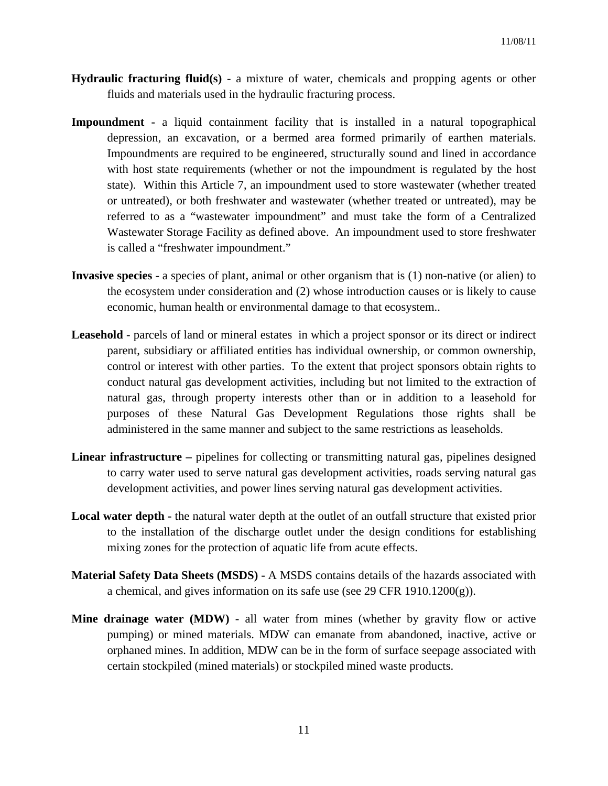- **Hydraulic fracturing fluid(s)** a mixture of water, chemicals and propping agents or other fluids and materials used in the hydraulic fracturing process.
- **Impoundment** a liquid containment facility that is installed in a natural topographical depression, an excavation, or a bermed area formed primarily of earthen materials. Impoundments are required to be engineered, structurally sound and lined in accordance with host state requirements (whether or not the impoundment is regulated by the host state). Within this Article 7, an impoundment used to store wastewater (whether treated or untreated), or both freshwater and wastewater (whether treated or untreated), may be referred to as a "wastewater impoundment" and must take the form of a Centralized Wastewater Storage Facility as defined above. An impoundment used to store freshwater is called a "freshwater impoundment."
- **Invasive species** a species of plant, animal or other organism that is (1) non-native (or alien) to the ecosystem under consideration and (2) whose introduction causes or is likely to cause economic, human health or environmental damage to that ecosystem..
- **Leasehold** parcels of land or mineral estates in which a project sponsor or its direct or indirect parent, subsidiary or affiliated entities has individual ownership, or common ownership, control or interest with other parties. To the extent that project sponsors obtain rights to conduct natural gas development activities, including but not limited to the extraction of natural gas, through property interests other than or in addition to a leasehold for purposes of these Natural Gas Development Regulations those rights shall be administered in the same manner and subject to the same restrictions as leaseholds.
- Linear infrastructure pipelines for collecting or transmitting natural gas, pipelines designed to carry water used to serve natural gas development activities, roads serving natural gas development activities, and power lines serving natural gas development activities.
- **Local water depth** the natural water depth at the outlet of an outfall structure that existed prior to the installation of the discharge outlet under the design conditions for establishing mixing zones for the protection of aquatic life from acute effects.
- **Material Safety Data Sheets (MSDS)** A MSDS contains details of the hazards associated with a chemical, and gives information on its safe use (see 29 CFR 1910.1200 $(g)$ ).
- **Mine drainage water (MDW)** all water from mines (whether by gravity flow or active pumping) or mined materials. MDW can emanate from abandoned, inactive, active or orphaned mines. In addition, MDW can be in the form of surface seepage associated with certain stockpiled (mined materials) or stockpiled mined waste products.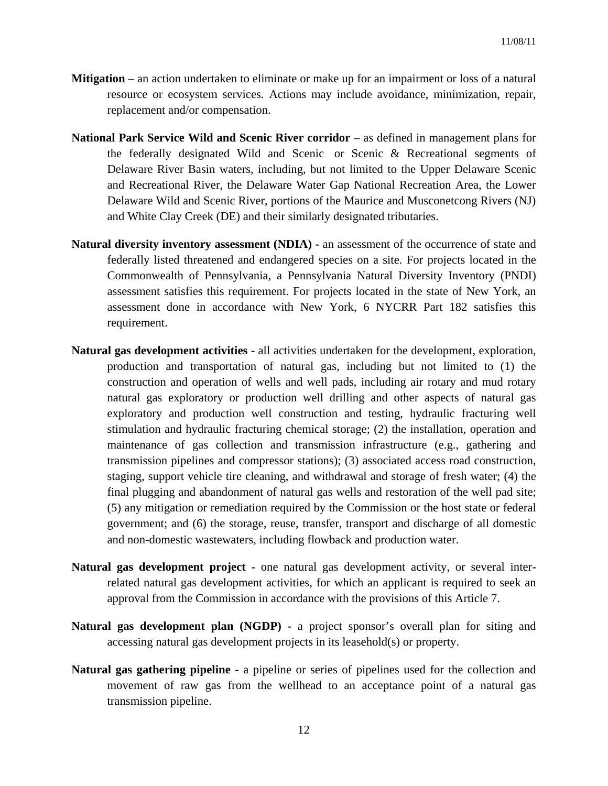- **Mitigation**  an action undertaken to eliminate or make up for an impairment or loss of a natural resource or ecosystem services. Actions may include avoidance, minimization, repair, replacement and/or compensation.
- **National Park Service Wild and Scenic River corridor** as defined in management plans for the federally designated Wild and Scenic or Scenic & Recreational segments of Delaware River Basin waters, including, but not limited to the Upper Delaware Scenic and Recreational River, the Delaware Water Gap National Recreation Area, the Lower Delaware Wild and Scenic River, portions of the Maurice and Musconetcong Rivers (NJ) and White Clay Creek (DE) and their similarly designated tributaries.
- **Natural diversity inventory assessment (NDIA)** an assessment of the occurrence of state and federally listed threatened and endangered species on a site. For projects located in the Commonwealth of Pennsylvania, a Pennsylvania Natural Diversity Inventory (PNDI) assessment satisfies this requirement. For projects located in the state of New York, an assessment done in accordance with New York, 6 NYCRR Part 182 satisfies this requirement.
- **Natural gas development activities** all activities undertaken for the development, exploration, production and transportation of natural gas, including but not limited to (1) the construction and operation of wells and well pads, including air rotary and mud rotary natural gas exploratory or production well drilling and other aspects of natural gas exploratory and production well construction and testing, hydraulic fracturing well stimulation and hydraulic fracturing chemical storage; (2) the installation, operation and maintenance of gas collection and transmission infrastructure (e.g., gathering and transmission pipelines and compressor stations); (3) associated access road construction, staging, support vehicle tire cleaning, and withdrawal and storage of fresh water; (4) the final plugging and abandonment of natural gas wells and restoration of the well pad site; (5) any mitigation or remediation required by the Commission or the host state or federal government; and (6) the storage, reuse, transfer, transport and discharge of all domestic and non-domestic wastewaters, including flowback and production water.
- **Natural gas development project -** one natural gas development activity, or several interrelated natural gas development activities, for which an applicant is required to seek an approval from the Commission in accordance with the provisions of this Article 7.
- **Natural gas development plan (NGDP)** a project sponsor's overall plan for siting and accessing natural gas development projects in its leasehold(s) or property.
- **Natural gas gathering pipeline** a pipeline or series of pipelines used for the collection and movement of raw gas from the wellhead to an acceptance point of a natural gas transmission pipeline.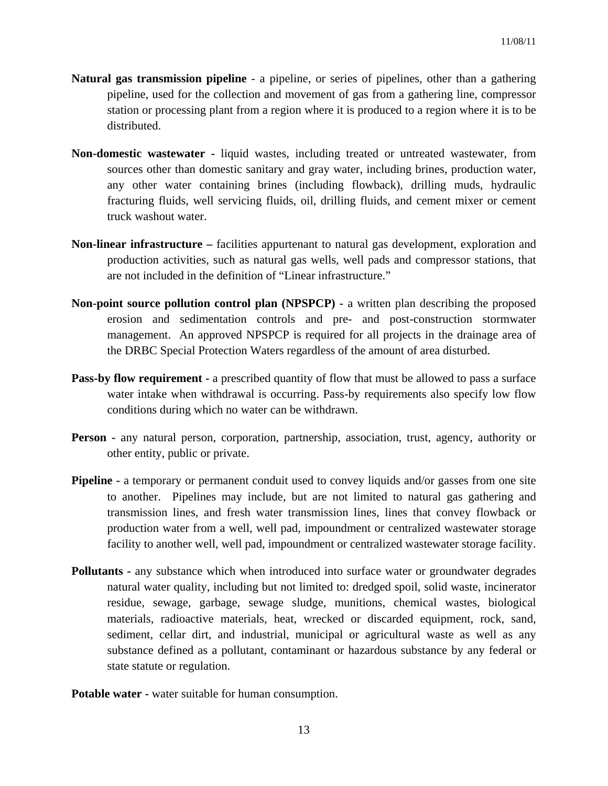- **Natural gas transmission pipeline** a pipeline, or series of pipelines, other than a gathering pipeline, used for the collection and movement of gas from a gathering line, compressor station or processing plant from a region where it is produced to a region where it is to be distributed.
- **Non-domestic wastewater -** liquid wastes, including treated or untreated wastewater, from sources other than domestic sanitary and gray water, including brines, production water, any other water containing brines (including flowback), drilling muds, hydraulic fracturing fluids, well servicing fluids, oil, drilling fluids, and cement mixer or cement truck washout water.
- **Non-linear infrastructure –** facilities appurtenant to natural gas development, exploration and production activities, such as natural gas wells, well pads and compressor stations, that are not included in the definition of "Linear infrastructure."
- **Non-point source pollution control plan (NPSPCP) -** a written plan describing the proposed erosion and sedimentation controls and pre- and post-construction stormwater management. An approved NPSPCP is required for all projects in the drainage area of the DRBC Special Protection Waters regardless of the amount of area disturbed.
- **Pass-by flow requirement -** a prescribed quantity of flow that must be allowed to pass a surface water intake when withdrawal is occurring. Pass-by requirements also specify low flow conditions during which no water can be withdrawn.
- **Person** any natural person, corporation, partnership, association, trust, agency, authority or other entity, public or private.
- **Pipeline -** a temporary or permanent conduit used to convey liquids and/or gasses from one site to another. Pipelines may include, but are not limited to natural gas gathering and transmission lines, and fresh water transmission lines, lines that convey flowback or production water from a well, well pad, impoundment or centralized wastewater storage facility to another well, well pad, impoundment or centralized wastewater storage facility.
- **Pollutants any substance which when introduced into surface water or groundwater degrades** natural water quality, including but not limited to: dredged spoil, solid waste, incinerator residue, sewage, garbage, sewage sludge, munitions, chemical wastes, biological materials, radioactive materials, heat, wrecked or discarded equipment, rock, sand, sediment, cellar dirt, and industrial, municipal or agricultural waste as well as any substance defined as a pollutant, contaminant or hazardous substance by any federal or state statute or regulation.

**Potable water -** water suitable for human consumption.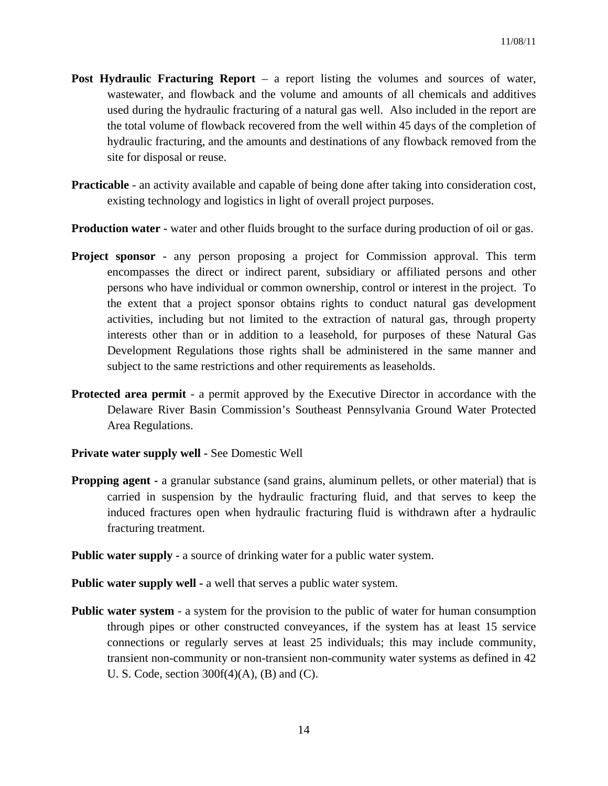- **Post Hydraulic Fracturing Report** a report listing the volumes and sources of water, wastewater, and flowback and the volume and amounts of all chemicals and additives used during the hydraulic fracturing of a natural gas well. Also included in the report are the total volume of flowback recovered from the well within 45 days of the completion of hydraulic fracturing, and the amounts and destinations of any flowback removed from the site for disposal or reuse.
- **Practicable** an activity available and capable of being done after taking into consideration cost, existing technology and logistics in light of overall project purposes.
- **Production water -** water and other fluids brought to the surface during production of oil or gas.
- **Project sponsor** any person proposing a project for Commission approval. This term encompasses the direct or indirect parent, subsidiary or affiliated persons and other persons who have individual or common ownership, control or interest in the project. To the extent that a project sponsor obtains rights to conduct natural gas development activities, including but not limited to the extraction of natural gas, through property interests other than or in addition to a leasehold, for purposes of these Natural Gas Development Regulations those rights shall be administered in the same manner and subject to the same restrictions and other requirements as leaseholds.
- **Protected area permit** a permit approved by the Executive Director in accordance with the Delaware River Basin Commission's Southeast Pennsylvania Ground Water Protected Area Regulations.
- **Private water supply well -** See Domestic Well
- **Propping agent -** a granular substance (sand grains, aluminum pellets, or other material) that is carried in suspension by the hydraulic fracturing fluid, and that serves to keep the induced fractures open when hydraulic fracturing fluid is withdrawn after a hydraulic fracturing treatment.
- **Public water supply -** a source of drinking water for a public water system.
- **Public water supply well a well that serves a public water system.**
- **Public water system** *-* a system for the provision to the public of water for human consumption through pipes or other constructed conveyances, if the system has at least 15 service connections or regularly serves at least 25 individuals; this may include community, transient non-community or non-transient non-community water systems as defined in 42 U. S. Code, section  $300f(4)(A)$ , (B) and (C).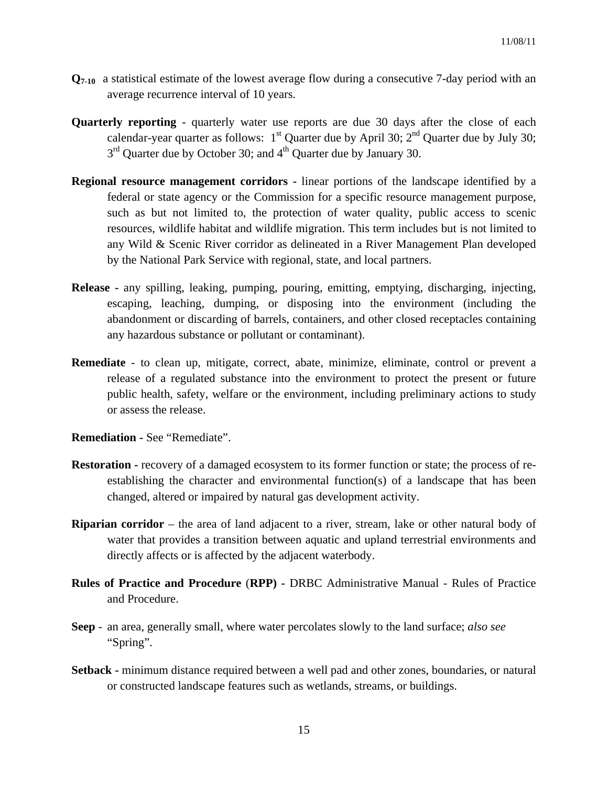- **Q7-10** a statistical estimate of the lowest average flow during a consecutive 7-day period with an average recurrence interval of 10 years.
- **Quarterly reporting** quarterly water use reports are due 30 days after the close of each calendar-year quarter as follows:  $1<sup>st</sup>$  Quarter due by April 30;  $2<sup>nd</sup>$  Quarter due by July 30;  $3<sup>rd</sup>$  Quarter due by October 30; and  $4<sup>th</sup>$  Quarter due by January 30.
- **Regional resource management corridors -** linear portions of the landscape identified by a federal or state agency or the Commission for a specific resource management purpose, such as but not limited to, the protection of water quality, public access to scenic resources, wildlife habitat and wildlife migration. This term includes but is not limited to any Wild & Scenic River corridor as delineated in a River Management Plan developed by the National Park Service with regional, state, and local partners.
- **Release** any spilling, leaking, pumping, pouring, emitting, emptying, discharging, injecting, escaping, leaching, dumping, or disposing into the environment (including the abandonment or discarding of barrels, containers, and other closed receptacles containing any hazardous substance or pollutant or contaminant).
- **Remediate**  to clean up, mitigate, correct, abate, minimize, eliminate, control or prevent a release of a regulated substance into the environment to protect the present or future public health, safety, welfare or the environment, including preliminary actions to study or assess the release.
- **Remediation -** See "Remediate".
- **Restoration recovery of a damaged ecosystem to its former function or state; the process of re**establishing the character and environmental function(s) of a landscape that has been changed, altered or impaired by natural gas development activity.
- **Riparian corridor** the area of land adjacent to a river, stream, lake or other natural body of water that provides a transition between aquatic and upland terrestrial environments and directly affects or is affected by the adjacent waterbody.
- **Rules of Practice and Procedure** (**RPP) -** DRBC Administrative Manual Rules of Practice and Procedure.
- **Seep**  an area, generally small, where water percolates slowly to the land surface; *also see* "Spring".
- **Setback -** minimum distance required between a well pad and other zones, boundaries, or natural or constructed landscape features such as wetlands, streams, or buildings.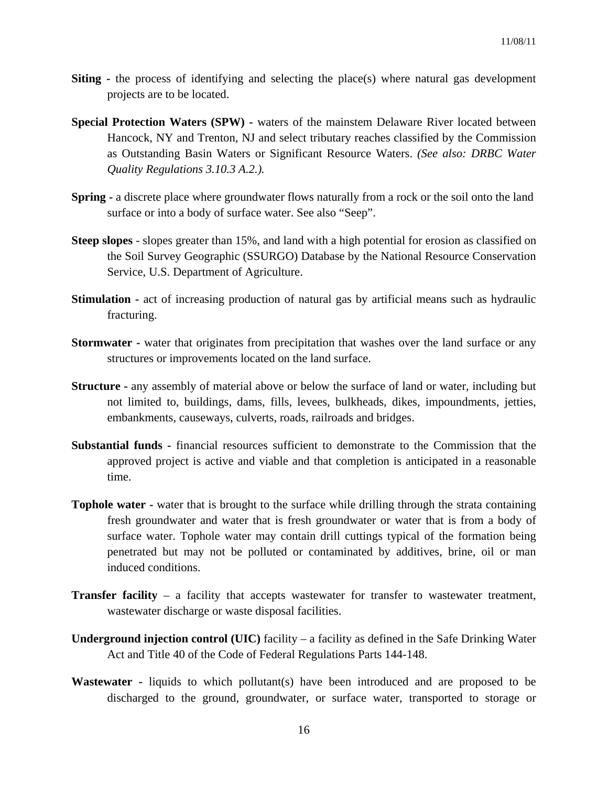- **Siting -** the process of identifying and selecting the place(s) where natural gas development projects are to be located.
- **Special Protection Waters (SPW)** waters of the mainstem Delaware River located between Hancock, NY and Trenton, NJ and select tributary reaches classified by the Commission as Outstanding Basin Waters or Significant Resource Waters. *(See also: DRBC Water Quality Regulations 3.10.3 A.2.).*
- **Spring a discrete place where groundwater flows naturally from a rock or the soil onto the land** surface or into a body of surface water. See also "Seep".
- **Steep slopes** slopes greater than 15%, and land with a high potential for erosion as classified on the Soil Survey Geographic (SSURGO) Database by the National Resource Conservation Service, U.S. Department of Agriculture.
- **Stimulation -** act of increasing production of natural gas by artificial means such as hydraulic fracturing.
- **Stormwater -** water that originates from precipitation that washes over the land surface or any structures or improvements located on the land surface.
- **Structure -** any assembly of material above or below the surface of land or water, including but not limited to, buildings, dams, fills, levees, bulkheads, dikes, impoundments, jetties, embankments, causeways, culverts, roads, railroads and bridges.
- **Substantial funds** financial resources sufficient to demonstrate to the Commission that the approved project is active and viable and that completion is anticipated in a reasonable time.
- **Tophole water** water that is brought to the surface while drilling through the strata containing fresh groundwater and water that is fresh groundwater or water that is from a body of surface water. Tophole water may contain drill cuttings typical of the formation being penetrated but may not be polluted or contaminated by additives, brine, oil or man induced conditions.
- **Transfer facility** a facility that accepts wastewater for transfer to wastewater treatment, wastewater discharge or waste disposal facilities.
- **Underground injection control (UIC)** facility a facility as defined in the Safe Drinking Water Act and Title 40 of the Code of Federal Regulations Parts 144-148.
- **Wastewater** liquids to which pollutant(s) have been introduced and are proposed to be discharged to the ground, groundwater, or surface water, transported to storage or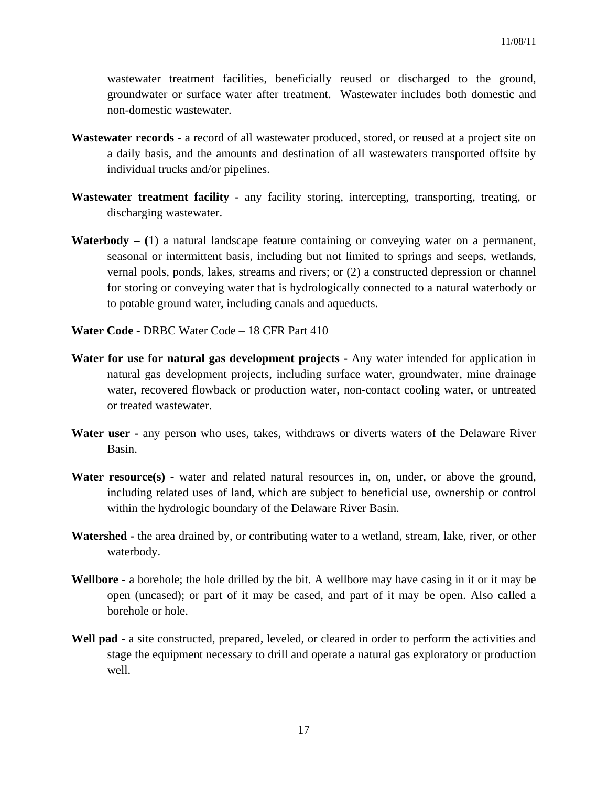wastewater treatment facilities, beneficially reused or discharged to the ground, groundwater or surface water after treatment. Wastewater includes both domestic and non-domestic wastewater.

- **Wastewater records** a record of all wastewater produced, stored, or reused at a project site on a daily basis, and the amounts and destination of all wastewaters transported offsite by individual trucks and/or pipelines.
- **Wastewater treatment facility** any facility storing, intercepting, transporting, treating, or discharging wastewater.
- **Waterbody (**1) a natural landscape feature containing or conveying water on a permanent, seasonal or intermittent basis, including but not limited to springs and seeps, wetlands, vernal pools, ponds, lakes, streams and rivers; or (2) a constructed depression or channel for storing or conveying water that is hydrologically connected to a natural waterbody or to potable ground water, including canals and aqueducts.
- **Water Code** DRBC Water Code 18 CFR Part 410
- **Water for use for natural gas development projects** Any water intended for application in natural gas development projects, including surface water, groundwater, mine drainage water, recovered flowback or production water, non-contact cooling water, or untreated or treated wastewater.
- **Water user -** any person who uses, takes, withdraws or diverts waters of the Delaware River Basin.
- **Water resource(s) -** water and related natural resources in, on, under, or above the ground, including related uses of land, which are subject to beneficial use, ownership or control within the hydrologic boundary of the Delaware River Basin.
- **Watershed** the area drained by, or contributing water to a wetland, stream, lake, river, or other waterbody.
- **Wellbore -** a borehole; the hole drilled by the bit. A wellbore may have casing in it or it may be open (uncased); or part of it may be cased, and part of it may be open. Also called a borehole or hole.
- Well pad a site constructed, prepared, leveled, or cleared in order to perform the activities and stage the equipment necessary to drill and operate a natural gas exploratory or production well.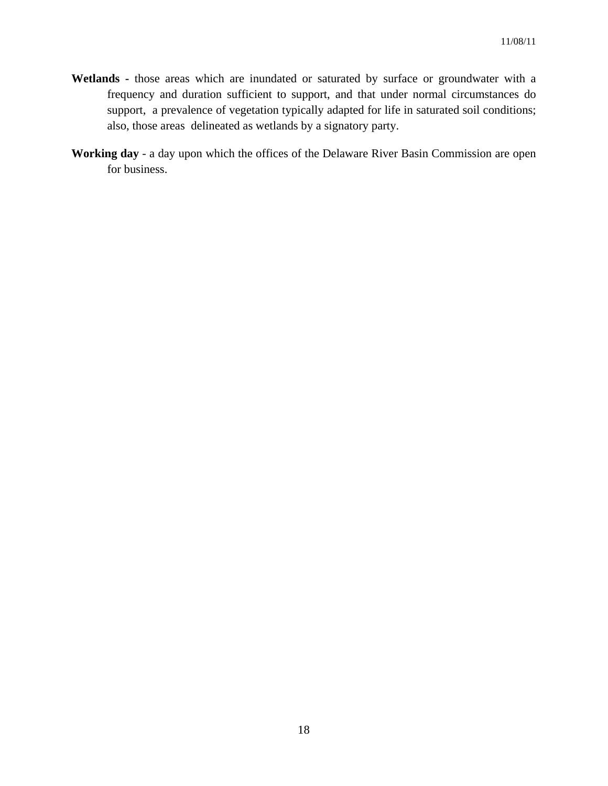- **Wetlands** those areas which are inundated or saturated by surface or groundwater with a frequency and duration sufficient to support, and that under normal circumstances do support, a prevalence of vegetation typically adapted for life in saturated soil conditions; also, those areas delineated as wetlands by a signatory party.
- **Working day** a day upon which the offices of the Delaware River Basin Commission are open for business.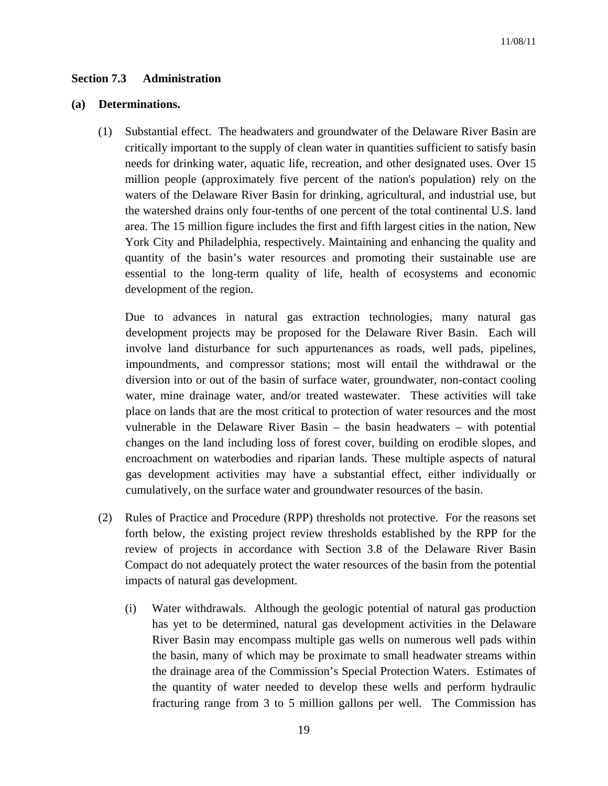### **Section 7.3 Administration**

#### **(a) Determinations.**

(1) Substantial effect. The headwaters and groundwater of the Delaware River Basin are critically important to the supply of clean water in quantities sufficient to satisfy basin needs for drinking water, aquatic life, recreation, and other designated uses. Over 15 million people (approximately five percent of the nation's population) rely on the waters of the Delaware River Basin for drinking, agricultural, and industrial use, but the watershed drains only four-tenths of one percent of the total continental U.S. land area. The 15 million figure includes the first and fifth largest cities in the nation, New York City and Philadelphia, respectively. Maintaining and enhancing the quality and quantity of the basin's water resources and promoting their sustainable use are essential to the long-term quality of life, health of ecosystems and economic development of the region.

 Due to advances in natural gas extraction technologies, many natural gas development projects may be proposed for the Delaware River Basin. Each will involve land disturbance for such appurtenances as roads, well pads, pipelines, impoundments, and compressor stations; most will entail the withdrawal or the diversion into or out of the basin of surface water, groundwater, non-contact cooling water, mine drainage water, and/or treated wastewater. These activities will take place on lands that are the most critical to protection of water resources and the most vulnerable in the Delaware River Basin – the basin headwaters – with potential changes on the land including loss of forest cover, building on erodible slopes, and encroachment on waterbodies and riparian lands. These multiple aspects of natural gas development activities may have a substantial effect, either individually or cumulatively, on the surface water and groundwater resources of the basin.

- (2) Rules of Practice and Procedure (RPP) thresholds not protective. For the reasons set forth below, the existing project review thresholds established by the RPP for the review of projects in accordance with Section 3.8 of the Delaware River Basin Compact do not adequately protect the water resources of the basin from the potential impacts of natural gas development.
	- (i) Water withdrawals. Although the geologic potential of natural gas production has yet to be determined, natural gas development activities in the Delaware River Basin may encompass multiple gas wells on numerous well pads within the basin, many of which may be proximate to small headwater streams within the drainage area of the Commission's Special Protection Waters. Estimates of the quantity of water needed to develop these wells and perform hydraulic fracturing range from 3 to 5 million gallons per well. The Commission has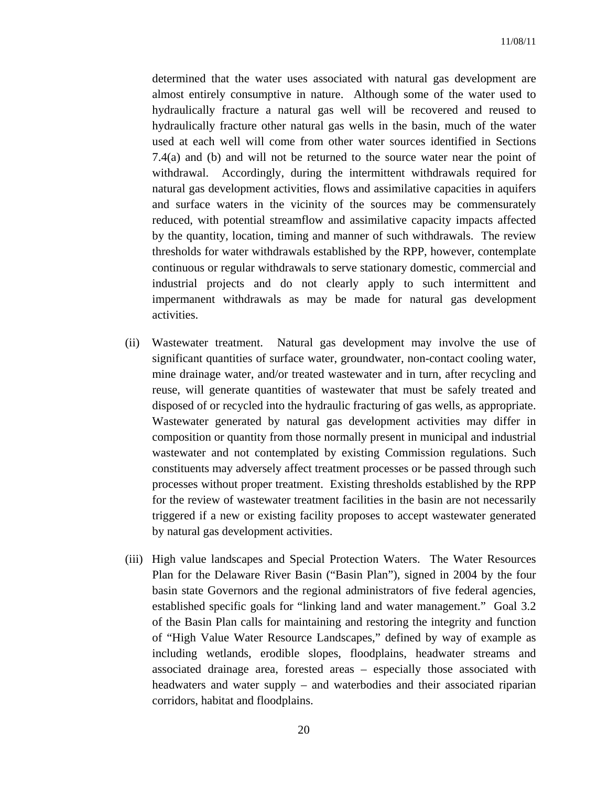determined that the water uses associated with natural gas development are almost entirely consumptive in nature. Although some of the water used to hydraulically fracture a natural gas well will be recovered and reused to hydraulically fracture other natural gas wells in the basin, much of the water used at each well will come from other water sources identified in Sections 7.4(a) and (b) and will not be returned to the source water near the point of withdrawal. Accordingly, during the intermittent withdrawals required for natural gas development activities, flows and assimilative capacities in aquifers and surface waters in the vicinity of the sources may be commensurately reduced, with potential streamflow and assimilative capacity impacts affected by the quantity, location, timing and manner of such withdrawals. The review thresholds for water withdrawals established by the RPP, however, contemplate continuous or regular withdrawals to serve stationary domestic, commercial and industrial projects and do not clearly apply to such intermittent and impermanent withdrawals as may be made for natural gas development activities.

- (ii) Wastewater treatment. Natural gas development may involve the use of significant quantities of surface water, groundwater, non-contact cooling water, mine drainage water, and/or treated wastewater and in turn, after recycling and reuse, will generate quantities of wastewater that must be safely treated and disposed of or recycled into the hydraulic fracturing of gas wells, as appropriate. Wastewater generated by natural gas development activities may differ in composition or quantity from those normally present in municipal and industrial wastewater and not contemplated by existing Commission regulations. Such constituents may adversely affect treatment processes or be passed through such processes without proper treatment. Existing thresholds established by the RPP for the review of wastewater treatment facilities in the basin are not necessarily triggered if a new or existing facility proposes to accept wastewater generated by natural gas development activities.
- (iii) High value landscapes and Special Protection Waters. The Water Resources Plan for the Delaware River Basin ("Basin Plan"), signed in 2004 by the four basin state Governors and the regional administrators of five federal agencies, established specific goals for "linking land and water management." Goal 3.2 of the Basin Plan calls for maintaining and restoring the integrity and function of "High Value Water Resource Landscapes," defined by way of example as including wetlands, erodible slopes, floodplains, headwater streams and associated drainage area, forested areas – especially those associated with headwaters and water supply – and waterbodies and their associated riparian corridors, habitat and floodplains.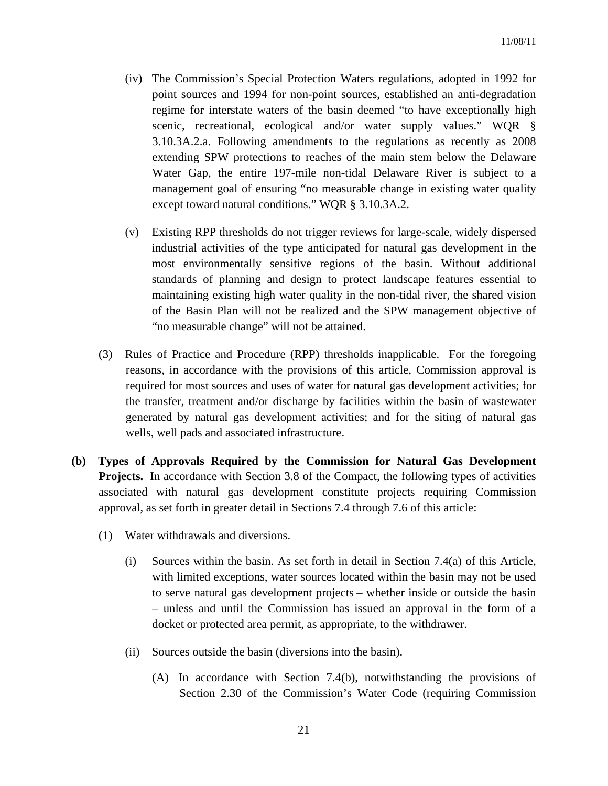- (iv) The Commission's Special Protection Waters regulations, adopted in 1992 for point sources and 1994 for non-point sources, established an anti-degradation regime for interstate waters of the basin deemed "to have exceptionally high scenic, recreational, ecological and/or water supply values." WQR § 3.10.3A.2.a. Following amendments to the regulations as recently as 2008 extending SPW protections to reaches of the main stem below the Delaware Water Gap, the entire 197-mile non-tidal Delaware River is subject to a management goal of ensuring "no measurable change in existing water quality except toward natural conditions." WQR § 3.10.3A.2.
- (v) Existing RPP thresholds do not trigger reviews for large-scale, widely dispersed industrial activities of the type anticipated for natural gas development in the most environmentally sensitive regions of the basin. Without additional standards of planning and design to protect landscape features essential to maintaining existing high water quality in the non-tidal river, the shared vision of the Basin Plan will not be realized and the SPW management objective of "no measurable change" will not be attained.
- (3) Rules of Practice and Procedure (RPP) thresholds inapplicable. For the foregoing reasons, in accordance with the provisions of this article, Commission approval is required for most sources and uses of water for natural gas development activities; for the transfer, treatment and/or discharge by facilities within the basin of wastewater generated by natural gas development activities; and for the siting of natural gas wells, well pads and associated infrastructure.
- **(b) Types of Approvals Required by the Commission for Natural Gas Development Projects.** In accordance with Section 3.8 of the Compact, the following types of activities associated with natural gas development constitute projects requiring Commission approval, as set forth in greater detail in Sections 7.4 through 7.6 of this article:
	- (1) Water withdrawals and diversions.
		- (i) Sources within the basin. As set forth in detail in Section 7.4(a) of this Article, with limited exceptions, water sources located within the basin may not be used to serve natural gas development projects – whether inside or outside the basin – unless and until the Commission has issued an approval in the form of a docket or protected area permit, as appropriate, to the withdrawer.
		- (ii) Sources outside the basin (diversions into the basin).
			- (A) In accordance with Section 7.4(b), notwithstanding the provisions of Section 2.30 of the Commission's Water Code (requiring Commission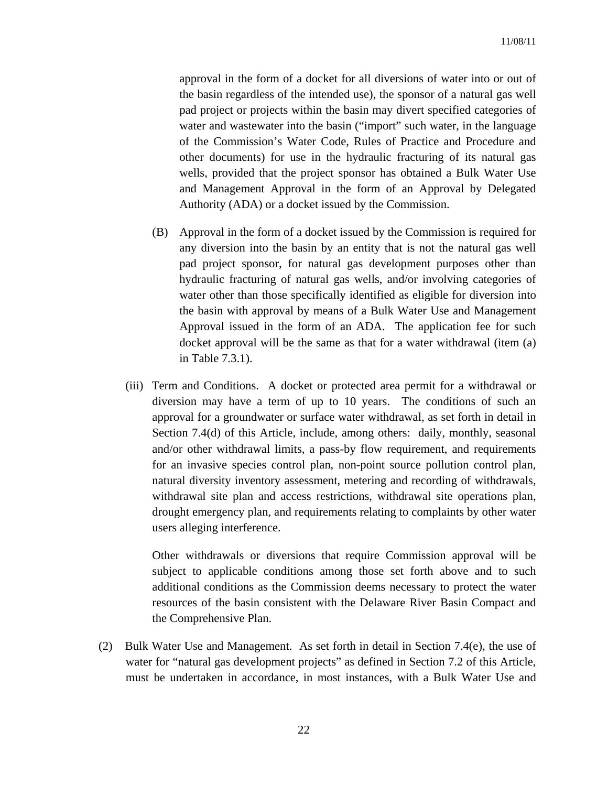approval in the form of a docket for all diversions of water into or out of the basin regardless of the intended use), the sponsor of a natural gas well pad project or projects within the basin may divert specified categories of water and wastewater into the basin ("import" such water, in the language of the Commission's Water Code, Rules of Practice and Procedure and other documents) for use in the hydraulic fracturing of its natural gas wells, provided that the project sponsor has obtained a Bulk Water Use and Management Approval in the form of an Approval by Delegated Authority (ADA) or a docket issued by the Commission.

- (B) Approval in the form of a docket issued by the Commission is required for any diversion into the basin by an entity that is not the natural gas well pad project sponsor, for natural gas development purposes other than hydraulic fracturing of natural gas wells, and/or involving categories of water other than those specifically identified as eligible for diversion into the basin with approval by means of a Bulk Water Use and Management Approval issued in the form of an ADA. The application fee for such docket approval will be the same as that for a water withdrawal (item (a) in Table 7.3.1).
- (iii) Term and Conditions. A docket or protected area permit for a withdrawal or diversion may have a term of up to 10 years. The conditions of such an approval for a groundwater or surface water withdrawal, as set forth in detail in Section 7.4(d) of this Article, include, among others: daily, monthly, seasonal and/or other withdrawal limits, a pass-by flow requirement, and requirements for an invasive species control plan, non-point source pollution control plan, natural diversity inventory assessment, metering and recording of withdrawals, withdrawal site plan and access restrictions, withdrawal site operations plan, drought emergency plan, and requirements relating to complaints by other water users alleging interference.

Other withdrawals or diversions that require Commission approval will be subject to applicable conditions among those set forth above and to such additional conditions as the Commission deems necessary to protect the water resources of the basin consistent with the Delaware River Basin Compact and the Comprehensive Plan.

(2) Bulk Water Use and Management. As set forth in detail in Section 7.4(e), the use of water for "natural gas development projects" as defined in Section 7.2 of this Article, must be undertaken in accordance, in most instances, with a Bulk Water Use and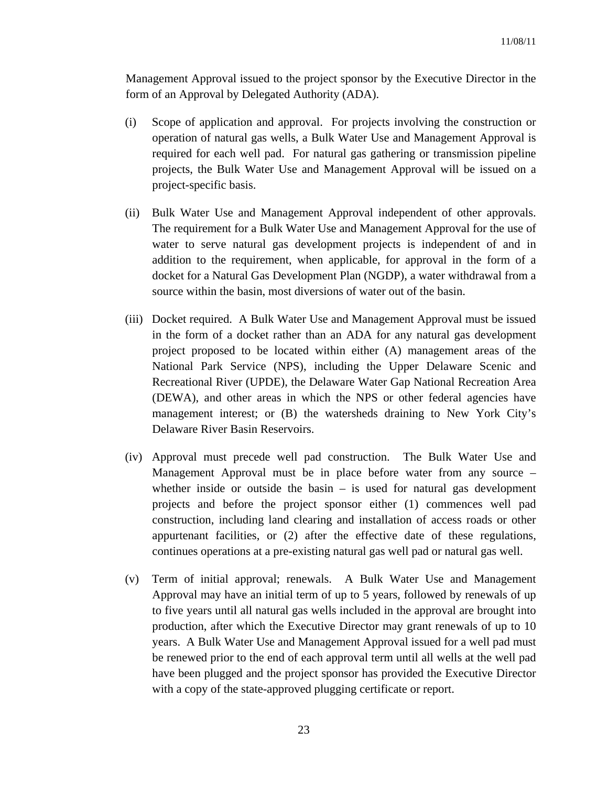Management Approval issued to the project sponsor by the Executive Director in the form of an Approval by Delegated Authority (ADA).

- (i) Scope of application and approval. For projects involving the construction or operation of natural gas wells, a Bulk Water Use and Management Approval is required for each well pad. For natural gas gathering or transmission pipeline projects, the Bulk Water Use and Management Approval will be issued on a project-specific basis.
- (ii) Bulk Water Use and Management Approval independent of other approvals. The requirement for a Bulk Water Use and Management Approval for the use of water to serve natural gas development projects is independent of and in addition to the requirement, when applicable, for approval in the form of a docket for a Natural Gas Development Plan (NGDP), a water withdrawal from a source within the basin, most diversions of water out of the basin.
- (iii) Docket required. A Bulk Water Use and Management Approval must be issued in the form of a docket rather than an ADA for any natural gas development project proposed to be located within either (A) management areas of the National Park Service (NPS), including the Upper Delaware Scenic and Recreational River (UPDE), the Delaware Water Gap National Recreation Area (DEWA), and other areas in which the NPS or other federal agencies have management interest; or (B) the watersheds draining to New York City's Delaware River Basin Reservoirs.
- (iv) Approval must precede well pad construction. The Bulk Water Use and Management Approval must be in place before water from any source – whether inside or outside the basin  $-$  is used for natural gas development projects and before the project sponsor either (1) commences well pad construction, including land clearing and installation of access roads or other appurtenant facilities, or (2) after the effective date of these regulations, continues operations at a pre-existing natural gas well pad or natural gas well.
- (v) Term of initial approval; renewals. A Bulk Water Use and Management Approval may have an initial term of up to 5 years, followed by renewals of up to five years until all natural gas wells included in the approval are brought into production, after which the Executive Director may grant renewals of up to 10 years. A Bulk Water Use and Management Approval issued for a well pad must be renewed prior to the end of each approval term until all wells at the well pad have been plugged and the project sponsor has provided the Executive Director with a copy of the state-approved plugging certificate or report.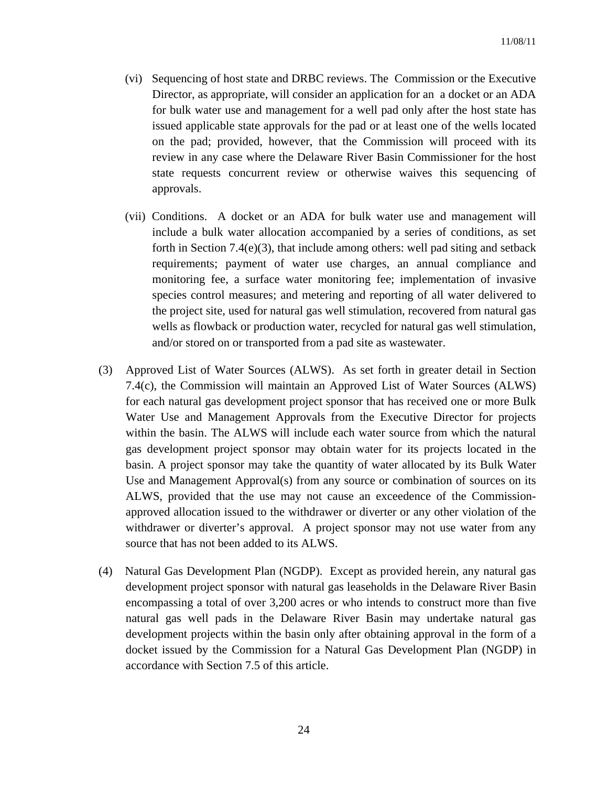- (vi) Sequencing of host state and DRBC reviews. The Commission or the Executive Director, as appropriate, will consider an application for an a docket or an ADA for bulk water use and management for a well pad only after the host state has issued applicable state approvals for the pad or at least one of the wells located on the pad; provided, however, that the Commission will proceed with its review in any case where the Delaware River Basin Commissioner for the host state requests concurrent review or otherwise waives this sequencing of approvals.
- (vii) Conditions. A docket or an ADA for bulk water use and management will include a bulk water allocation accompanied by a series of conditions, as set forth in Section 7.4(e)(3), that include among others: well pad siting and setback requirements; payment of water use charges, an annual compliance and monitoring fee, a surface water monitoring fee; implementation of invasive species control measures; and metering and reporting of all water delivered to the project site, used for natural gas well stimulation, recovered from natural gas wells as flowback or production water, recycled for natural gas well stimulation, and/or stored on or transported from a pad site as wastewater.
- (3) Approved List of Water Sources (ALWS). As set forth in greater detail in Section 7.4(c), the Commission will maintain an Approved List of Water Sources (ALWS) for each natural gas development project sponsor that has received one or more Bulk Water Use and Management Approvals from the Executive Director for projects within the basin. The ALWS will include each water source from which the natural gas development project sponsor may obtain water for its projects located in the basin. A project sponsor may take the quantity of water allocated by its Bulk Water Use and Management Approval(s) from any source or combination of sources on its ALWS, provided that the use may not cause an exceedence of the Commissionapproved allocation issued to the withdrawer or diverter or any other violation of the withdrawer or diverter's approval. A project sponsor may not use water from any source that has not been added to its ALWS.
- (4) Natural Gas Development Plan (NGDP). Except as provided herein, any natural gas development project sponsor with natural gas leaseholds in the Delaware River Basin encompassing a total of over 3,200 acres or who intends to construct more than five natural gas well pads in the Delaware River Basin may undertake natural gas development projects within the basin only after obtaining approval in the form of a docket issued by the Commission for a Natural Gas Development Plan (NGDP) in accordance with Section 7.5 of this article.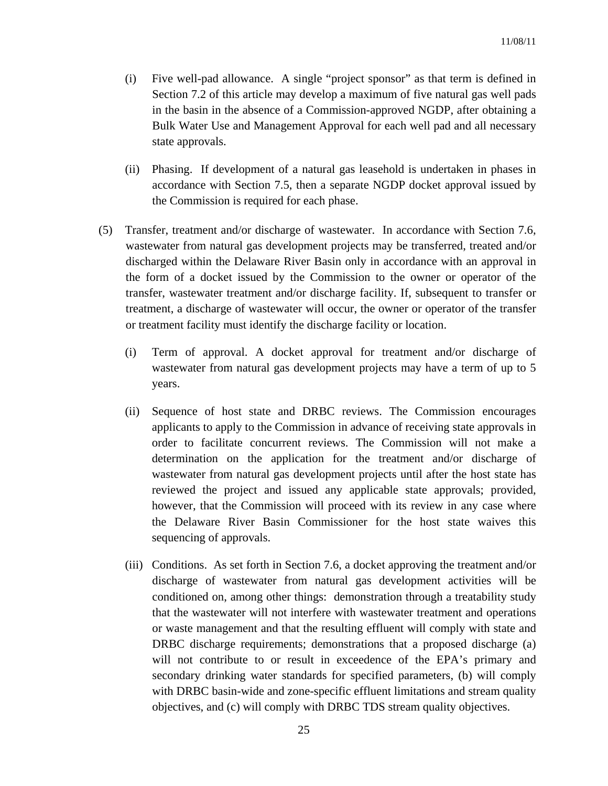- (i) Five well-pad allowance. A single "project sponsor" as that term is defined in Section 7.2 of this article may develop a maximum of five natural gas well pads in the basin in the absence of a Commission-approved NGDP, after obtaining a Bulk Water Use and Management Approval for each well pad and all necessary state approvals.
- (ii) Phasing. If development of a natural gas leasehold is undertaken in phases in accordance with Section 7.5, then a separate NGDP docket approval issued by the Commission is required for each phase.
- (5) Transfer, treatment and/or discharge of wastewater. In accordance with Section 7.6, wastewater from natural gas development projects may be transferred, treated and/or discharged within the Delaware River Basin only in accordance with an approval in the form of a docket issued by the Commission to the owner or operator of the transfer, wastewater treatment and/or discharge facility. If, subsequent to transfer or treatment, a discharge of wastewater will occur, the owner or operator of the transfer or treatment facility must identify the discharge facility or location.
	- (i) Term of approval. A docket approval for treatment and/or discharge of wastewater from natural gas development projects may have a term of up to 5 years.
	- (ii) Sequence of host state and DRBC reviews. The Commission encourages applicants to apply to the Commission in advance of receiving state approvals in order to facilitate concurrent reviews. The Commission will not make a determination on the application for the treatment and/or discharge of wastewater from natural gas development projects until after the host state has reviewed the project and issued any applicable state approvals; provided, however, that the Commission will proceed with its review in any case where the Delaware River Basin Commissioner for the host state waives this sequencing of approvals.
	- (iii) Conditions. As set forth in Section 7.6, a docket approving the treatment and/or discharge of wastewater from natural gas development activities will be conditioned on, among other things: demonstration through a treatability study that the wastewater will not interfere with wastewater treatment and operations or waste management and that the resulting effluent will comply with state and DRBC discharge requirements; demonstrations that a proposed discharge (a) will not contribute to or result in exceedence of the EPA's primary and secondary drinking water standards for specified parameters, (b) will comply with DRBC basin-wide and zone-specific effluent limitations and stream quality objectives, and (c) will comply with DRBC TDS stream quality objectives.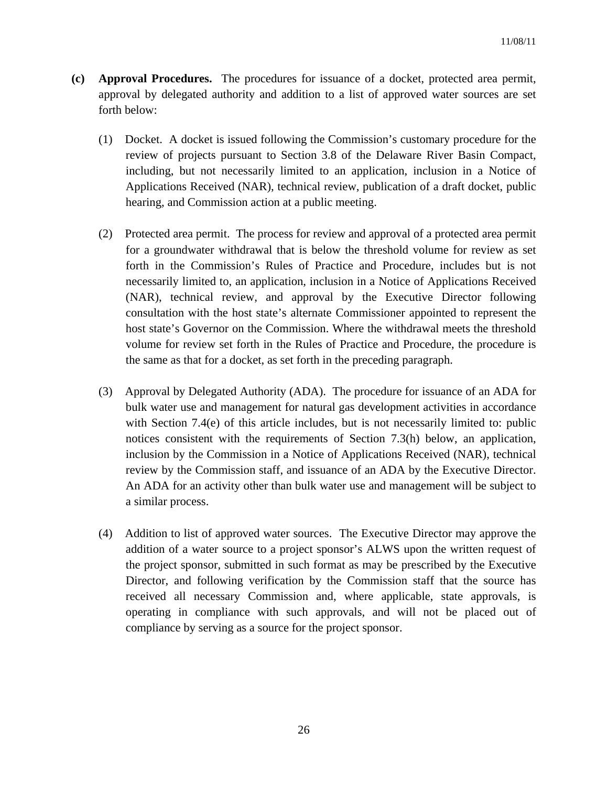- **(c) Approval Procedures.** The procedures for issuance of a docket, protected area permit, approval by delegated authority and addition to a list of approved water sources are set forth below:
	- (1) Docket. A docket is issued following the Commission's customary procedure for the review of projects pursuant to Section 3.8 of the Delaware River Basin Compact, including, but not necessarily limited to an application, inclusion in a Notice of Applications Received (NAR), technical review, publication of a draft docket, public hearing, and Commission action at a public meeting.
	- (2) Protected area permit. The process for review and approval of a protected area permit for a groundwater withdrawal that is below the threshold volume for review as set forth in the Commission's Rules of Practice and Procedure, includes but is not necessarily limited to, an application, inclusion in a Notice of Applications Received (NAR), technical review, and approval by the Executive Director following consultation with the host state's alternate Commissioner appointed to represent the host state's Governor on the Commission. Where the withdrawal meets the threshold volume for review set forth in the Rules of Practice and Procedure, the procedure is the same as that for a docket, as set forth in the preceding paragraph.
	- (3) Approval by Delegated Authority (ADA). The procedure for issuance of an ADA for bulk water use and management for natural gas development activities in accordance with Section 7.4(e) of this article includes, but is not necessarily limited to: public notices consistent with the requirements of Section 7.3(h) below, an application, inclusion by the Commission in a Notice of Applications Received (NAR), technical review by the Commission staff, and issuance of an ADA by the Executive Director. An ADA for an activity other than bulk water use and management will be subject to a similar process.
	- (4) Addition to list of approved water sources. The Executive Director may approve the addition of a water source to a project sponsor's ALWS upon the written request of the project sponsor, submitted in such format as may be prescribed by the Executive Director, and following verification by the Commission staff that the source has received all necessary Commission and, where applicable, state approvals, is operating in compliance with such approvals, and will not be placed out of compliance by serving as a source for the project sponsor.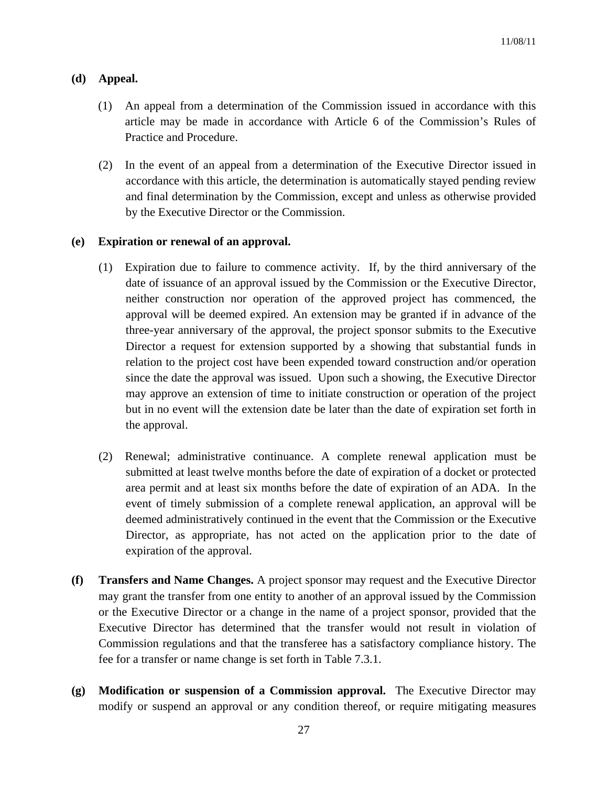# **(d) Appeal.**

- (1) An appeal from a determination of the Commission issued in accordance with this article may be made in accordance with Article 6 of the Commission's Rules of Practice and Procedure.
- (2) In the event of an appeal from a determination of the Executive Director issued in accordance with this article, the determination is automatically stayed pending review and final determination by the Commission, except and unless as otherwise provided by the Executive Director or the Commission.

## **(e) Expiration or renewal of an approval.**

- (1) Expiration due to failure to commence activity. If, by the third anniversary of the date of issuance of an approval issued by the Commission or the Executive Director, neither construction nor operation of the approved project has commenced, the approval will be deemed expired. An extension may be granted if in advance of the three-year anniversary of the approval, the project sponsor submits to the Executive Director a request for extension supported by a showing that substantial funds in relation to the project cost have been expended toward construction and/or operation since the date the approval was issued. Upon such a showing, the Executive Director may approve an extension of time to initiate construction or operation of the project but in no event will the extension date be later than the date of expiration set forth in the approval.
- (2) Renewal; administrative continuance. A complete renewal application must be submitted at least twelve months before the date of expiration of a docket or protected area permit and at least six months before the date of expiration of an ADA. In the event of timely submission of a complete renewal application, an approval will be deemed administratively continued in the event that the Commission or the Executive Director, as appropriate, has not acted on the application prior to the date of expiration of the approval.
- **(f) Transfers and Name Changes.** A project sponsor may request and the Executive Director may grant the transfer from one entity to another of an approval issued by the Commission or the Executive Director or a change in the name of a project sponsor, provided that the Executive Director has determined that the transfer would not result in violation of Commission regulations and that the transferee has a satisfactory compliance history. The fee for a transfer or name change is set forth in Table 7.3.1.
- **(g) Modification or suspension of a Commission approval.** The Executive Director may modify or suspend an approval or any condition thereof, or require mitigating measures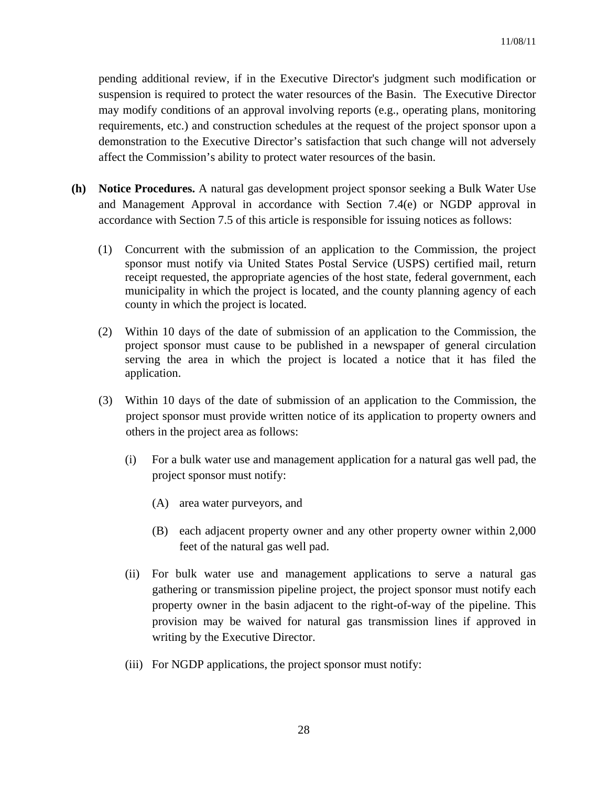pending additional review, if in the Executive Director's judgment such modification or suspension is required to protect the water resources of the Basin. The Executive Director may modify conditions of an approval involving reports (e.g., operating plans, monitoring requirements, etc.) and construction schedules at the request of the project sponsor upon a demonstration to the Executive Director's satisfaction that such change will not adversely affect the Commission's ability to protect water resources of the basin.

- **(h) Notice Procedures.** A natural gas development project sponsor seeking a Bulk Water Use and Management Approval in accordance with Section 7.4(e) or NGDP approval in accordance with Section 7.5 of this article is responsible for issuing notices as follows:
	- (1) Concurrent with the submission of an application to the Commission, the project sponsor must notify via United States Postal Service (USPS) certified mail, return receipt requested, the appropriate agencies of the host state, federal government, each municipality in which the project is located, and the county planning agency of each county in which the project is located.
	- (2) Within 10 days of the date of submission of an application to the Commission, the project sponsor must cause to be published in a newspaper of general circulation serving the area in which the project is located a notice that it has filed the application.
	- (3) Within 10 days of the date of submission of an application to the Commission, the project sponsor must provide written notice of its application to property owners and others in the project area as follows:
		- (i) For a bulk water use and management application for a natural gas well pad, the project sponsor must notify:
			- (A) area water purveyors, and
			- (B) each adjacent property owner and any other property owner within 2,000 feet of the natural gas well pad.
		- (ii) For bulk water use and management applications to serve a natural gas gathering or transmission pipeline project, the project sponsor must notify each property owner in the basin adjacent to the right-of-way of the pipeline. This provision may be waived for natural gas transmission lines if approved in writing by the Executive Director.
		- (iii) For NGDP applications, the project sponsor must notify: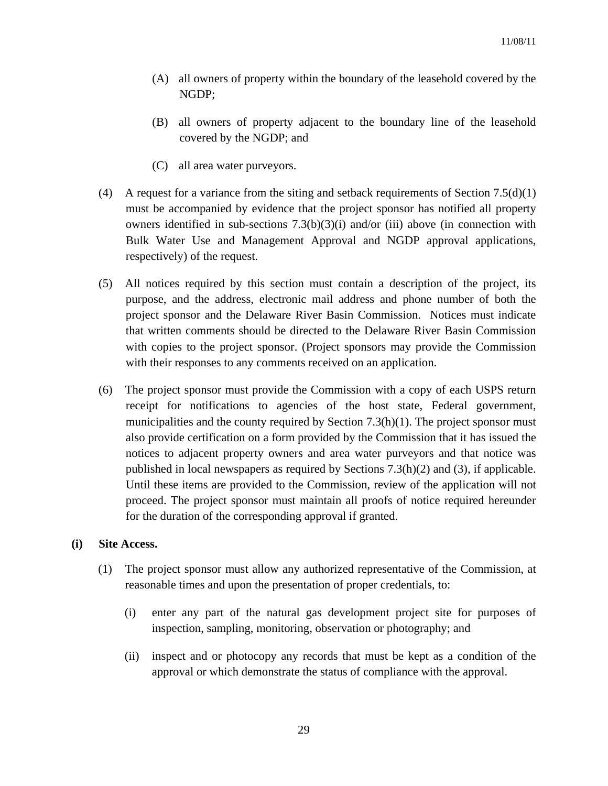- (A) all owners of property within the boundary of the leasehold covered by the NGDP;
- (B) all owners of property adjacent to the boundary line of the leasehold covered by the NGDP; and
- (C) all area water purveyors.
- (4) A request for a variance from the siting and setback requirements of Section 7.5(d)(1) must be accompanied by evidence that the project sponsor has notified all property owners identified in sub-sections  $7.3(b)(3)(i)$  and/or (iii) above (in connection with Bulk Water Use and Management Approval and NGDP approval applications, respectively) of the request.
- (5) All notices required by this section must contain a description of the project, its purpose, and the address, electronic mail address and phone number of both the project sponsor and the Delaware River Basin Commission. Notices must indicate that written comments should be directed to the Delaware River Basin Commission with copies to the project sponsor. (Project sponsors may provide the Commission with their responses to any comments received on an application.
- (6) The project sponsor must provide the Commission with a copy of each USPS return receipt for notifications to agencies of the host state, Federal government, municipalities and the county required by Section  $7.3(h)(1)$ . The project sponsor must also provide certification on a form provided by the Commission that it has issued the notices to adjacent property owners and area water purveyors and that notice was published in local newspapers as required by Sections 7.3(h)(2) and (3), if applicable. Until these items are provided to the Commission, review of the application will not proceed. The project sponsor must maintain all proofs of notice required hereunder for the duration of the corresponding approval if granted.

## **(i) Site Access.**

- (1) The project sponsor must allow any authorized representative of the Commission, at reasonable times and upon the presentation of proper credentials, to:
	- (i) enter any part of the natural gas development project site for purposes of inspection, sampling, monitoring, observation or photography; and
	- (ii) inspect and or photocopy any records that must be kept as a condition of the approval or which demonstrate the status of compliance with the approval.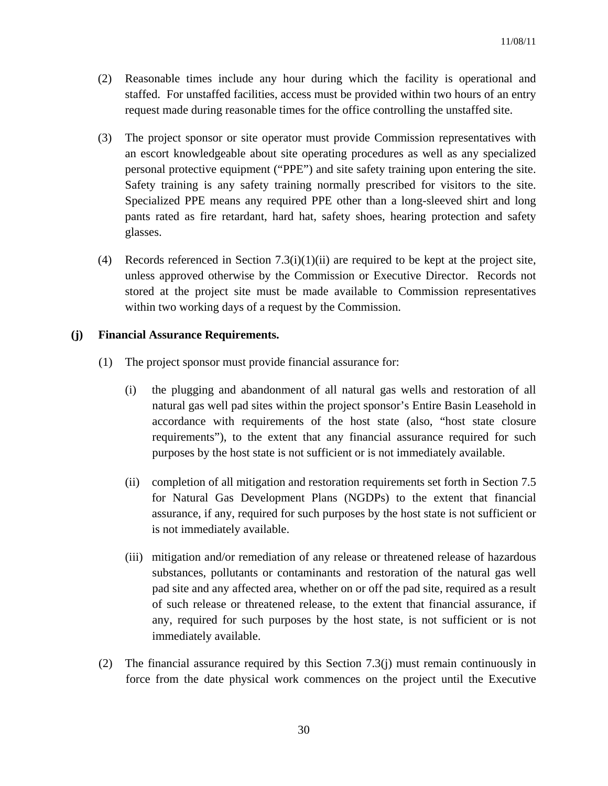- (2) Reasonable times include any hour during which the facility is operational and staffed. For unstaffed facilities, access must be provided within two hours of an entry request made during reasonable times for the office controlling the unstaffed site.
- (3) The project sponsor or site operator must provide Commission representatives with an escort knowledgeable about site operating procedures as well as any specialized personal protective equipment ("PPE") and site safety training upon entering the site. Safety training is any safety training normally prescribed for visitors to the site. Specialized PPE means any required PPE other than a long-sleeved shirt and long pants rated as fire retardant, hard hat, safety shoes, hearing protection and safety glasses.
- (4) Records referenced in Section 7.3(i)(1)(ii) are required to be kept at the project site, unless approved otherwise by the Commission or Executive Director. Records not stored at the project site must be made available to Commission representatives within two working days of a request by the Commission.

# **(j) Financial Assurance Requirements.**

- (1) The project sponsor must provide financial assurance for:
	- (i) the plugging and abandonment of all natural gas wells and restoration of all natural gas well pad sites within the project sponsor's Entire Basin Leasehold in accordance with requirements of the host state (also, "host state closure requirements"), to the extent that any financial assurance required for such purposes by the host state is not sufficient or is not immediately available.
	- (ii) completion of all mitigation and restoration requirements set forth in Section 7.5 for Natural Gas Development Plans (NGDPs) to the extent that financial assurance, if any, required for such purposes by the host state is not sufficient or is not immediately available.
	- (iii) mitigation and/or remediation of any release or threatened release of hazardous substances, pollutants or contaminants and restoration of the natural gas well pad site and any affected area, whether on or off the pad site, required as a result of such release or threatened release, to the extent that financial assurance, if any, required for such purposes by the host state, is not sufficient or is not immediately available.
- (2) The financial assurance required by this Section 7.3(j) must remain continuously in force from the date physical work commences on the project until the Executive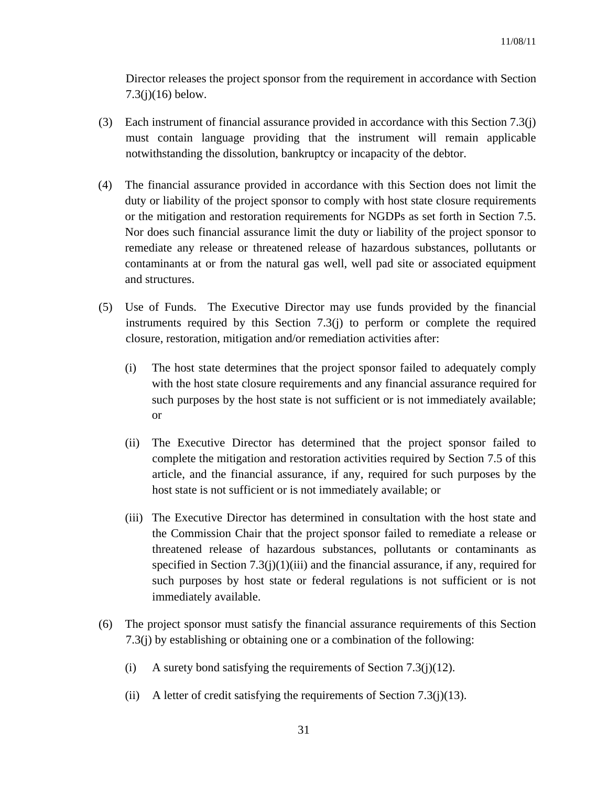Director releases the project sponsor from the requirement in accordance with Section 7.3(j)(16) below.

- (3) Each instrument of financial assurance provided in accordance with this Section 7.3(j) must contain language providing that the instrument will remain applicable notwithstanding the dissolution, bankruptcy or incapacity of the debtor.
- (4) The financial assurance provided in accordance with this Section does not limit the duty or liability of the project sponsor to comply with host state closure requirements or the mitigation and restoration requirements for NGDPs as set forth in Section 7.5. Nor does such financial assurance limit the duty or liability of the project sponsor to remediate any release or threatened release of hazardous substances, pollutants or contaminants at or from the natural gas well, well pad site or associated equipment and structures.
- (5) Use of Funds. The Executive Director may use funds provided by the financial instruments required by this Section 7.3(j) to perform or complete the required closure, restoration, mitigation and/or remediation activities after:
	- (i) The host state determines that the project sponsor failed to adequately comply with the host state closure requirements and any financial assurance required for such purposes by the host state is not sufficient or is not immediately available; or
	- (ii) The Executive Director has determined that the project sponsor failed to complete the mitigation and restoration activities required by Section 7.5 of this article, and the financial assurance, if any, required for such purposes by the host state is not sufficient or is not immediately available; or
	- (iii) The Executive Director has determined in consultation with the host state and the Commission Chair that the project sponsor failed to remediate a release or threatened release of hazardous substances, pollutants or contaminants as specified in Section  $7.3(j)(1)(iii)$  and the financial assurance, if any, required for such purposes by host state or federal regulations is not sufficient or is not immediately available.
- (6) The project sponsor must satisfy the financial assurance requirements of this Section 7.3(j) by establishing or obtaining one or a combination of the following:
	- (i) A surety bond satisfying the requirements of Section 7.3(j)(12).
	- (ii) A letter of credit satisfying the requirements of Section 7.3(j)(13).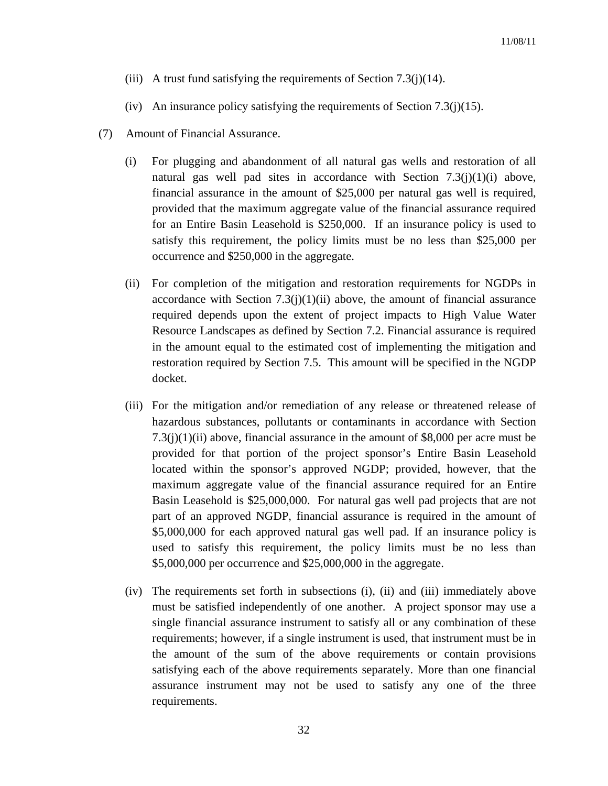- (iii) A trust fund satisfying the requirements of Section 7.3(j)(14).
- (iv) An insurance policy satisfying the requirements of Section 7.3(j)(15).
- (7) Amount of Financial Assurance.
	- (i) For plugging and abandonment of all natural gas wells and restoration of all natural gas well pad sites in accordance with Section  $7.3(j)(1)(i)$  above, financial assurance in the amount of \$25,000 per natural gas well is required, provided that the maximum aggregate value of the financial assurance required for an Entire Basin Leasehold is \$250,000. If an insurance policy is used to satisfy this requirement, the policy limits must be no less than \$25,000 per occurrence and \$250,000 in the aggregate.
	- (ii) For completion of the mitigation and restoration requirements for NGDPs in accordance with Section  $7.3(j)(1)(ii)$  above, the amount of financial assurance required depends upon the extent of project impacts to High Value Water Resource Landscapes as defined by Section 7.2. Financial assurance is required in the amount equal to the estimated cost of implementing the mitigation and restoration required by Section 7.5. This amount will be specified in the NGDP docket.
	- (iii) For the mitigation and/or remediation of any release or threatened release of hazardous substances, pollutants or contaminants in accordance with Section 7.3(j)(1)(ii) above, financial assurance in the amount of \$8,000 per acre must be provided for that portion of the project sponsor's Entire Basin Leasehold located within the sponsor's approved NGDP; provided, however, that the maximum aggregate value of the financial assurance required for an Entire Basin Leasehold is \$25,000,000. For natural gas well pad projects that are not part of an approved NGDP, financial assurance is required in the amount of \$5,000,000 for each approved natural gas well pad. If an insurance policy is used to satisfy this requirement, the policy limits must be no less than \$5,000,000 per occurrence and \$25,000,000 in the aggregate.
	- (iv) The requirements set forth in subsections (i), (ii) and (iii) immediately above must be satisfied independently of one another. A project sponsor may use a single financial assurance instrument to satisfy all or any combination of these requirements; however, if a single instrument is used, that instrument must be in the amount of the sum of the above requirements or contain provisions satisfying each of the above requirements separately. More than one financial assurance instrument may not be used to satisfy any one of the three requirements.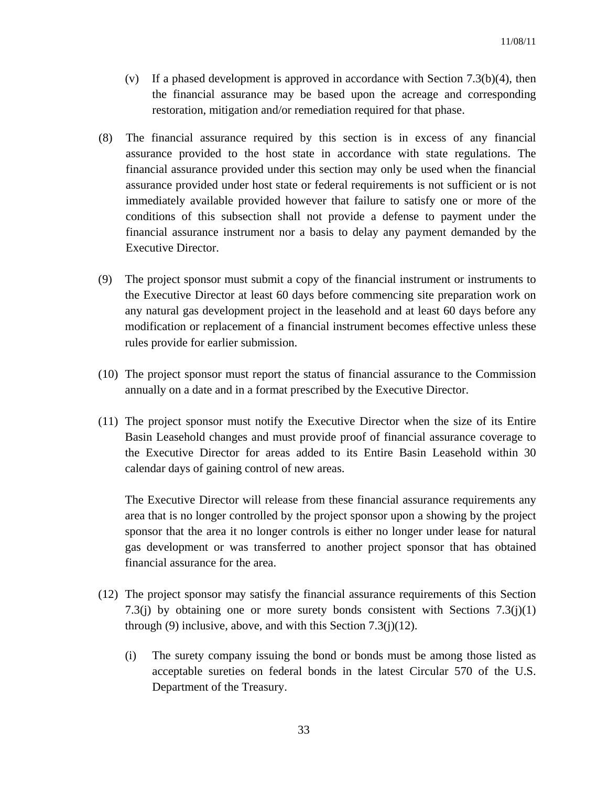- (v) If a phased development is approved in accordance with Section 7.3(b)(4), then the financial assurance may be based upon the acreage and corresponding restoration, mitigation and/or remediation required for that phase.
- (8) The financial assurance required by this section is in excess of any financial assurance provided to the host state in accordance with state regulations. The financial assurance provided under this section may only be used when the financial assurance provided under host state or federal requirements is not sufficient or is not immediately available provided however that failure to satisfy one or more of the conditions of this subsection shall not provide a defense to payment under the financial assurance instrument nor a basis to delay any payment demanded by the Executive Director.
- (9) The project sponsor must submit a copy of the financial instrument or instruments to the Executive Director at least 60 days before commencing site preparation work on any natural gas development project in the leasehold and at least 60 days before any modification or replacement of a financial instrument becomes effective unless these rules provide for earlier submission.
- (10) The project sponsor must report the status of financial assurance to the Commission annually on a date and in a format prescribed by the Executive Director.
- (11) The project sponsor must notify the Executive Director when the size of its Entire Basin Leasehold changes and must provide proof of financial assurance coverage to the Executive Director for areas added to its Entire Basin Leasehold within 30 calendar days of gaining control of new areas.

 The Executive Director will release from these financial assurance requirements any area that is no longer controlled by the project sponsor upon a showing by the project sponsor that the area it no longer controls is either no longer under lease for natural gas development or was transferred to another project sponsor that has obtained financial assurance for the area.

- (12) The project sponsor may satisfy the financial assurance requirements of this Section 7.3(j) by obtaining one or more surety bonds consistent with Sections  $7.3(j)(1)$ through (9) inclusive, above, and with this Section  $7.3(j)(12)$ .
	- (i) The surety company issuing the bond or bonds must be among those listed as acceptable sureties on federal bonds in the latest Circular 570 of the U.S. Department of the Treasury.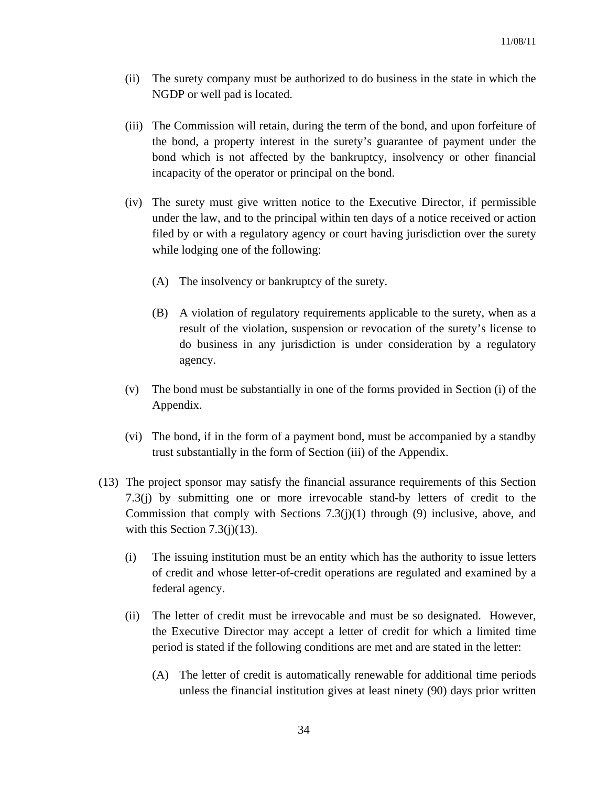- (ii) The surety company must be authorized to do business in the state in which the NGDP or well pad is located.
- (iii) The Commission will retain, during the term of the bond, and upon forfeiture of the bond, a property interest in the surety's guarantee of payment under the bond which is not affected by the bankruptcy, insolvency or other financial incapacity of the operator or principal on the bond.
- (iv) The surety must give written notice to the Executive Director, if permissible under the law, and to the principal within ten days of a notice received or action filed by or with a regulatory agency or court having jurisdiction over the surety while lodging one of the following:
	- (A) The insolvency or bankruptcy of the surety.
	- (B) A violation of regulatory requirements applicable to the surety, when as a result of the violation, suspension or revocation of the surety's license to do business in any jurisdiction is under consideration by a regulatory agency.
- (v) The bond must be substantially in one of the forms provided in Section (i) of the Appendix.
- (vi) The bond, if in the form of a payment bond, must be accompanied by a standby trust substantially in the form of Section (iii) of the Appendix.
- (13) The project sponsor may satisfy the financial assurance requirements of this Section 7.3(j) by submitting one or more irrevocable stand-by letters of credit to the Commission that comply with Sections 7.3(j)(1) through (9) inclusive, above, and with this Section 7.3(j)(13).
	- (i) The issuing institution must be an entity which has the authority to issue letters of credit and whose letter-of-credit operations are regulated and examined by a federal agency.
	- (ii) The letter of credit must be irrevocable and must be so designated. However, the Executive Director may accept a letter of credit for which a limited time period is stated if the following conditions are met and are stated in the letter:
		- (A) The letter of credit is automatically renewable for additional time periods unless the financial institution gives at least ninety (90) days prior written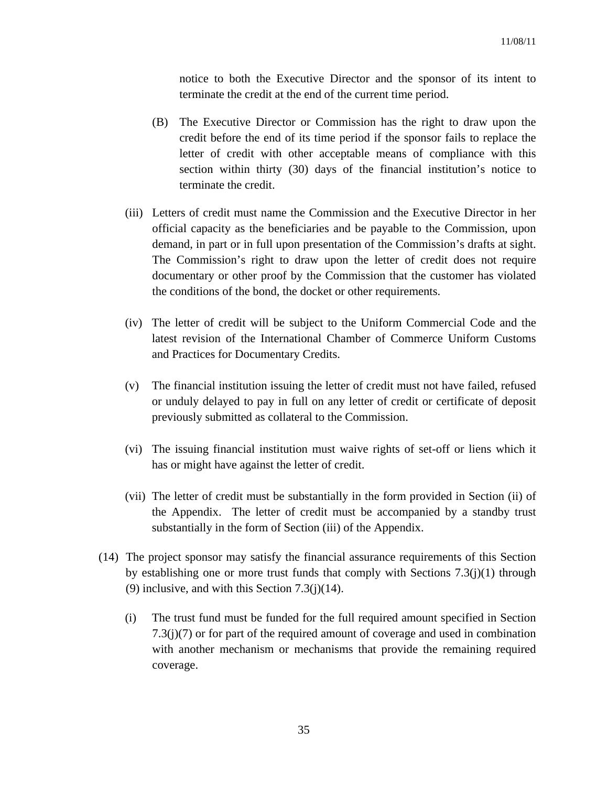notice to both the Executive Director and the sponsor of its intent to terminate the credit at the end of the current time period.

- (B) The Executive Director or Commission has the right to draw upon the credit before the end of its time period if the sponsor fails to replace the letter of credit with other acceptable means of compliance with this section within thirty (30) days of the financial institution's notice to terminate the credit.
- (iii) Letters of credit must name the Commission and the Executive Director in her official capacity as the beneficiaries and be payable to the Commission, upon demand, in part or in full upon presentation of the Commission's drafts at sight. The Commission's right to draw upon the letter of credit does not require documentary or other proof by the Commission that the customer has violated the conditions of the bond, the docket or other requirements.
- (iv) The letter of credit will be subject to the Uniform Commercial Code and the latest revision of the International Chamber of Commerce Uniform Customs and Practices for Documentary Credits.
- (v) The financial institution issuing the letter of credit must not have failed, refused or unduly delayed to pay in full on any letter of credit or certificate of deposit previously submitted as collateral to the Commission.
- (vi) The issuing financial institution must waive rights of set-off or liens which it has or might have against the letter of credit.
- (vii) The letter of credit must be substantially in the form provided in Section (ii) of the Appendix. The letter of credit must be accompanied by a standby trust substantially in the form of Section (iii) of the Appendix.
- (14) The project sponsor may satisfy the financial assurance requirements of this Section by establishing one or more trust funds that comply with Sections 7.3(j)(1) through (9) inclusive, and with this Section  $7.3(j)(14)$ .
	- (i) The trust fund must be funded for the full required amount specified in Section 7.3(j)(7) or for part of the required amount of coverage and used in combination with another mechanism or mechanisms that provide the remaining required coverage.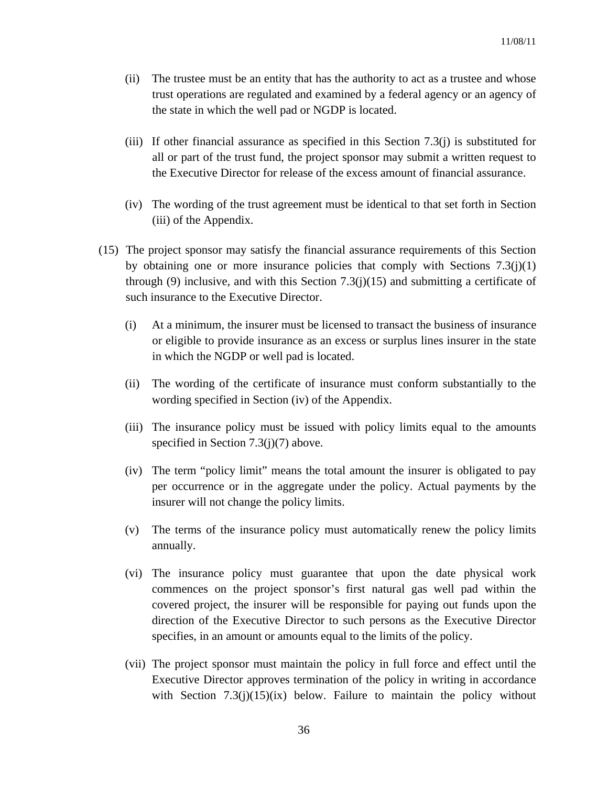- (ii) The trustee must be an entity that has the authority to act as a trustee and whose trust operations are regulated and examined by a federal agency or an agency of the state in which the well pad or NGDP is located.
- (iii) If other financial assurance as specified in this Section 7.3(j) is substituted for all or part of the trust fund, the project sponsor may submit a written request to the Executive Director for release of the excess amount of financial assurance.
- (iv) The wording of the trust agreement must be identical to that set forth in Section (iii) of the Appendix.
- (15) The project sponsor may satisfy the financial assurance requirements of this Section by obtaining one or more insurance policies that comply with Sections  $7.3(j)(1)$ through (9) inclusive, and with this Section 7.3(j)(15) and submitting a certificate of such insurance to the Executive Director.
	- (i) At a minimum, the insurer must be licensed to transact the business of insurance or eligible to provide insurance as an excess or surplus lines insurer in the state in which the NGDP or well pad is located.
	- (ii) The wording of the certificate of insurance must conform substantially to the wording specified in Section (iv) of the Appendix.
	- (iii) The insurance policy must be issued with policy limits equal to the amounts specified in Section 7.3(j)(7) above.
	- (iv) The term "policy limit" means the total amount the insurer is obligated to pay per occurrence or in the aggregate under the policy. Actual payments by the insurer will not change the policy limits.
	- (v) The terms of the insurance policy must automatically renew the policy limits annually.
	- (vi) The insurance policy must guarantee that upon the date physical work commences on the project sponsor's first natural gas well pad within the covered project, the insurer will be responsible for paying out funds upon the direction of the Executive Director to such persons as the Executive Director specifies, in an amount or amounts equal to the limits of the policy.
	- (vii) The project sponsor must maintain the policy in full force and effect until the Executive Director approves termination of the policy in writing in accordance with Section  $7.3(j)(15)(ix)$  below. Failure to maintain the policy without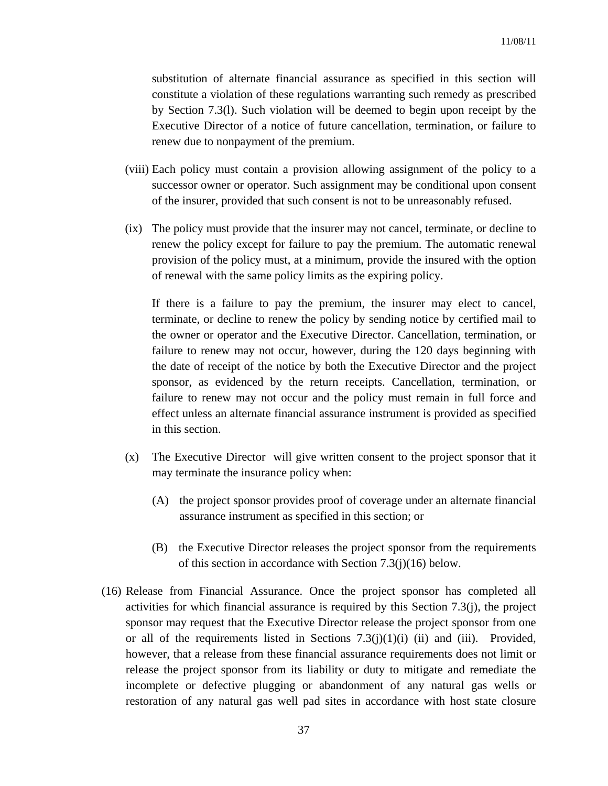substitution of alternate financial assurance as specified in this section will constitute a violation of these regulations warranting such remedy as prescribed by Section 7.3(l). Such violation will be deemed to begin upon receipt by the Executive Director of a notice of future cancellation, termination, or failure to renew due to nonpayment of the premium.

- (viii) Each policy must contain a provision allowing assignment of the policy to a successor owner or operator. Such assignment may be conditional upon consent of the insurer, provided that such consent is not to be unreasonably refused.
- (ix) The policy must provide that the insurer may not cancel, terminate, or decline to renew the policy except for failure to pay the premium. The automatic renewal provision of the policy must, at a minimum, provide the insured with the option of renewal with the same policy limits as the expiring policy.

If there is a failure to pay the premium, the insurer may elect to cancel, terminate, or decline to renew the policy by sending notice by certified mail to the owner or operator and the Executive Director. Cancellation, termination, or failure to renew may not occur, however, during the 120 days beginning with the date of receipt of the notice by both the Executive Director and the project sponsor, as evidenced by the return receipts. Cancellation, termination, or failure to renew may not occur and the policy must remain in full force and effect unless an alternate financial assurance instrument is provided as specified in this section.

- (x) The Executive Director will give written consent to the project sponsor that it may terminate the insurance policy when:
	- (A) the project sponsor provides proof of coverage under an alternate financial assurance instrument as specified in this section; or
	- (B) the Executive Director releases the project sponsor from the requirements of this section in accordance with Section 7.3(j)(16) below.
- (16) Release from Financial Assurance. Once the project sponsor has completed all activities for which financial assurance is required by this Section 7.3(j), the project sponsor may request that the Executive Director release the project sponsor from one or all of the requirements listed in Sections  $7.3(j)(1)(i)$  (ii) and (iii). Provided, however, that a release from these financial assurance requirements does not limit or release the project sponsor from its liability or duty to mitigate and remediate the incomplete or defective plugging or abandonment of any natural gas wells or restoration of any natural gas well pad sites in accordance with host state closure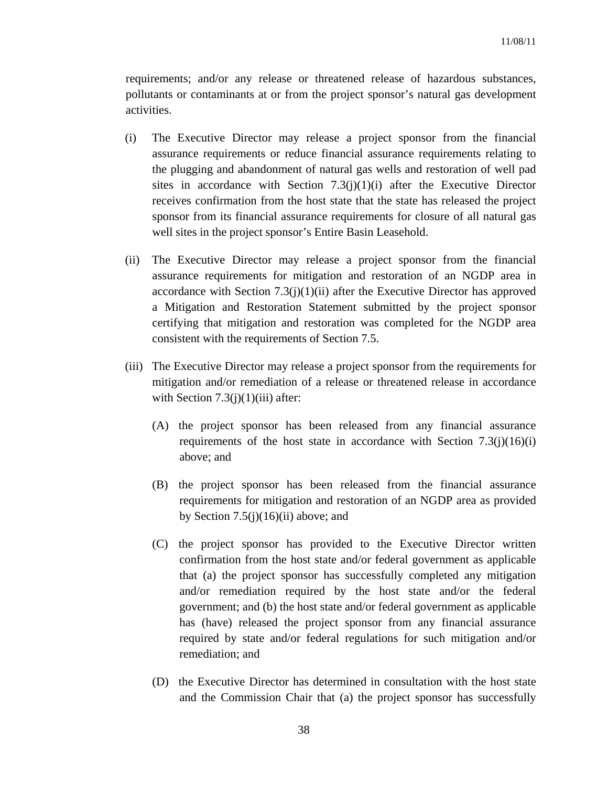requirements; and/or any release or threatened release of hazardous substances, pollutants or contaminants at or from the project sponsor's natural gas development activities.

- (i) The Executive Director may release a project sponsor from the financial assurance requirements or reduce financial assurance requirements relating to the plugging and abandonment of natural gas wells and restoration of well pad sites in accordance with Section  $7.3(i)(1)(i)$  after the Executive Director receives confirmation from the host state that the state has released the project sponsor from its financial assurance requirements for closure of all natural gas well sites in the project sponsor's Entire Basin Leasehold.
- (ii) The Executive Director may release a project sponsor from the financial assurance requirements for mitigation and restoration of an NGDP area in accordance with Section  $7.3(j)(1)(ii)$  after the Executive Director has approved a Mitigation and Restoration Statement submitted by the project sponsor certifying that mitigation and restoration was completed for the NGDP area consistent with the requirements of Section 7.5.
- (iii) The Executive Director may release a project sponsor from the requirements for mitigation and/or remediation of a release or threatened release in accordance with Section  $7.3(j)(1)(iii)$  after:
	- (A) the project sponsor has been released from any financial assurance requirements of the host state in accordance with Section  $7.3(j)(16)(i)$ above; and
	- (B) the project sponsor has been released from the financial assurance requirements for mitigation and restoration of an NGDP area as provided by Section  $7.5(i)(16)(ii)$  above; and
	- (C) the project sponsor has provided to the Executive Director written confirmation from the host state and/or federal government as applicable that (a) the project sponsor has successfully completed any mitigation and/or remediation required by the host state and/or the federal government; and (b) the host state and/or federal government as applicable has (have) released the project sponsor from any financial assurance required by state and/or federal regulations for such mitigation and/or remediation; and
	- (D) the Executive Director has determined in consultation with the host state and the Commission Chair that (a) the project sponsor has successfully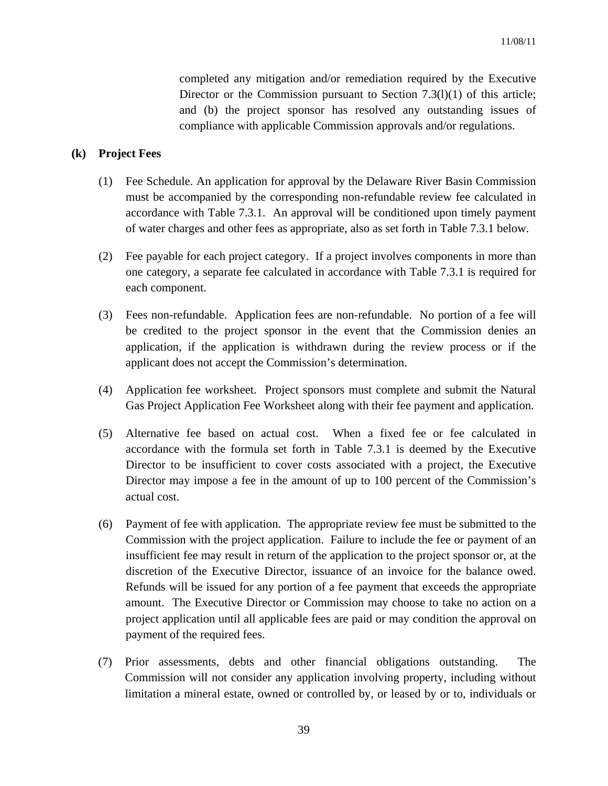completed any mitigation and/or remediation required by the Executive Director or the Commission pursuant to Section  $7.3(1)(1)$  of this article; and (b) the project sponsor has resolved any outstanding issues of compliance with applicable Commission approvals and/or regulations.

## **(k) Project Fees**

- (1) Fee Schedule. An application for approval by the Delaware River Basin Commission must be accompanied by the corresponding non-refundable review fee calculated in accordance with Table 7.3.1. An approval will be conditioned upon timely payment of water charges and other fees as appropriate, also as set forth in Table 7.3.1 below.
- (2) Fee payable for each project category. If a project involves components in more than one category, a separate fee calculated in accordance with Table 7.3.1 is required for each component.
- (3) Fees non-refundable. Application fees are non-refundable. No portion of a fee will be credited to the project sponsor in the event that the Commission denies an application, if the application is withdrawn during the review process or if the applicant does not accept the Commission's determination.
- (4) Application fee worksheet. Project sponsors must complete and submit the Natural Gas Project Application Fee Worksheet along with their fee payment and application.
- (5) Alternative fee based on actual cost. When a fixed fee or fee calculated in accordance with the formula set forth in Table 7.3.1 is deemed by the Executive Director to be insufficient to cover costs associated with a project, the Executive Director may impose a fee in the amount of up to 100 percent of the Commission's actual cost.
- (6) Payment of fee with application. The appropriate review fee must be submitted to the Commission with the project application. Failure to include the fee or payment of an insufficient fee may result in return of the application to the project sponsor or, at the discretion of the Executive Director, issuance of an invoice for the balance owed. Refunds will be issued for any portion of a fee payment that exceeds the appropriate amount. The Executive Director or Commission may choose to take no action on a project application until all applicable fees are paid or may condition the approval on payment of the required fees.
- (7) Prior assessments, debts and other financial obligations outstanding. The Commission will not consider any application involving property, including without limitation a mineral estate, owned or controlled by, or leased by or to, individuals or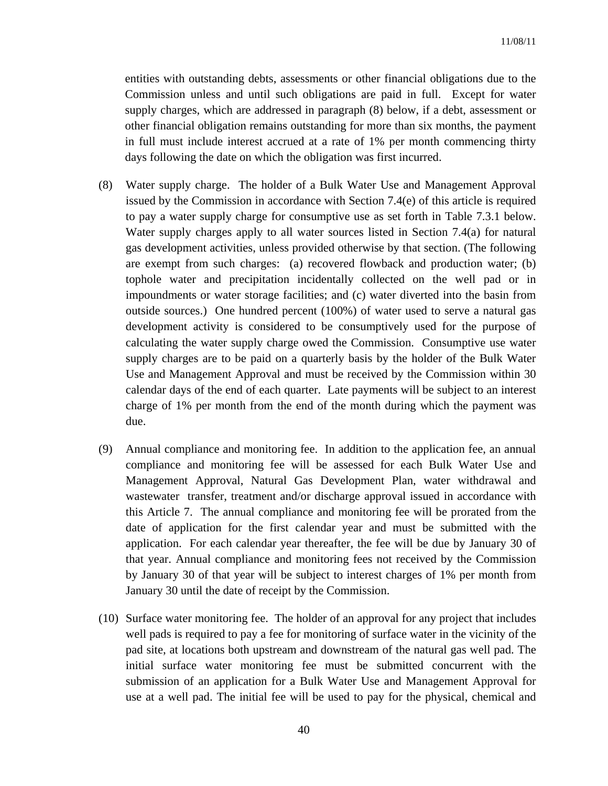entities with outstanding debts, assessments or other financial obligations due to the Commission unless and until such obligations are paid in full. Except for water supply charges, which are addressed in paragraph (8) below, if a debt, assessment or other financial obligation remains outstanding for more than six months, the payment in full must include interest accrued at a rate of 1% per month commencing thirty days following the date on which the obligation was first incurred.

- (8) Water supply charge. The holder of a Bulk Water Use and Management Approval issued by the Commission in accordance with Section 7.4(e) of this article is required to pay a water supply charge for consumptive use as set forth in Table 7.3.1 below. Water supply charges apply to all water sources listed in Section 7.4(a) for natural gas development activities, unless provided otherwise by that section. (The following are exempt from such charges: (a) recovered flowback and production water; (b) tophole water and precipitation incidentally collected on the well pad or in impoundments or water storage facilities; and (c) water diverted into the basin from outside sources.) One hundred percent (100%) of water used to serve a natural gas development activity is considered to be consumptively used for the purpose of calculating the water supply charge owed the Commission. Consumptive use water supply charges are to be paid on a quarterly basis by the holder of the Bulk Water Use and Management Approval and must be received by the Commission within 30 calendar days of the end of each quarter. Late payments will be subject to an interest charge of 1% per month from the end of the month during which the payment was due.
- (9) Annual compliance and monitoring fee. In addition to the application fee, an annual compliance and monitoring fee will be assessed for each Bulk Water Use and Management Approval, Natural Gas Development Plan, water withdrawal and wastewater transfer, treatment and/or discharge approval issued in accordance with this Article 7. The annual compliance and monitoring fee will be prorated from the date of application for the first calendar year and must be submitted with the application. For each calendar year thereafter, the fee will be due by January 30 of that year. Annual compliance and monitoring fees not received by the Commission by January 30 of that year will be subject to interest charges of 1% per month from January 30 until the date of receipt by the Commission.
- (10) Surface water monitoring fee. The holder of an approval for any project that includes well pads is required to pay a fee for monitoring of surface water in the vicinity of the pad site, at locations both upstream and downstream of the natural gas well pad. The initial surface water monitoring fee must be submitted concurrent with the submission of an application for a Bulk Water Use and Management Approval for use at a well pad. The initial fee will be used to pay for the physical, chemical and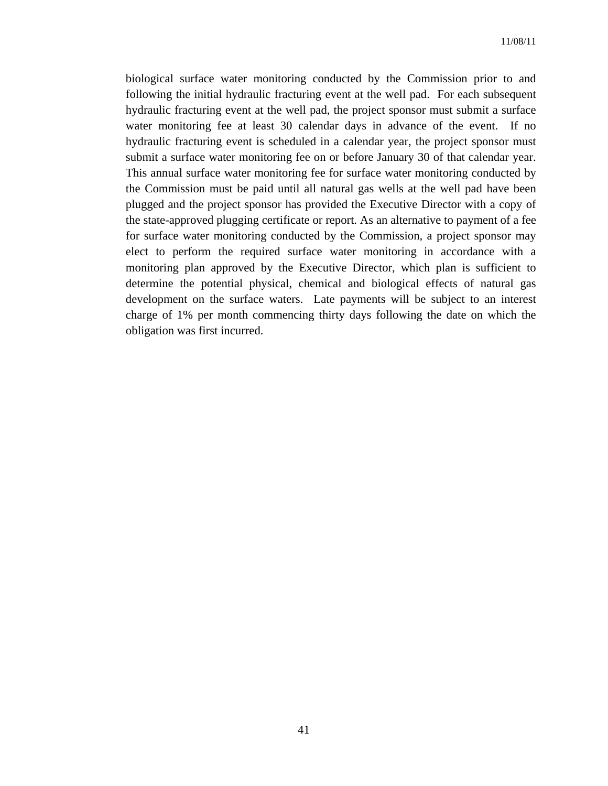biological surface water monitoring conducted by the Commission prior to and following the initial hydraulic fracturing event at the well pad. For each subsequent hydraulic fracturing event at the well pad, the project sponsor must submit a surface water monitoring fee at least 30 calendar days in advance of the event. If no hydraulic fracturing event is scheduled in a calendar year, the project sponsor must submit a surface water monitoring fee on or before January 30 of that calendar year. This annual surface water monitoring fee for surface water monitoring conducted by the Commission must be paid until all natural gas wells at the well pad have been plugged and the project sponsor has provided the Executive Director with a copy of the state-approved plugging certificate or report. As an alternative to payment of a fee for surface water monitoring conducted by the Commission, a project sponsor may elect to perform the required surface water monitoring in accordance with a monitoring plan approved by the Executive Director, which plan is sufficient to determine the potential physical, chemical and biological effects of natural gas development on the surface waters. Late payments will be subject to an interest charge of 1% per month commencing thirty days following the date on which the obligation was first incurred.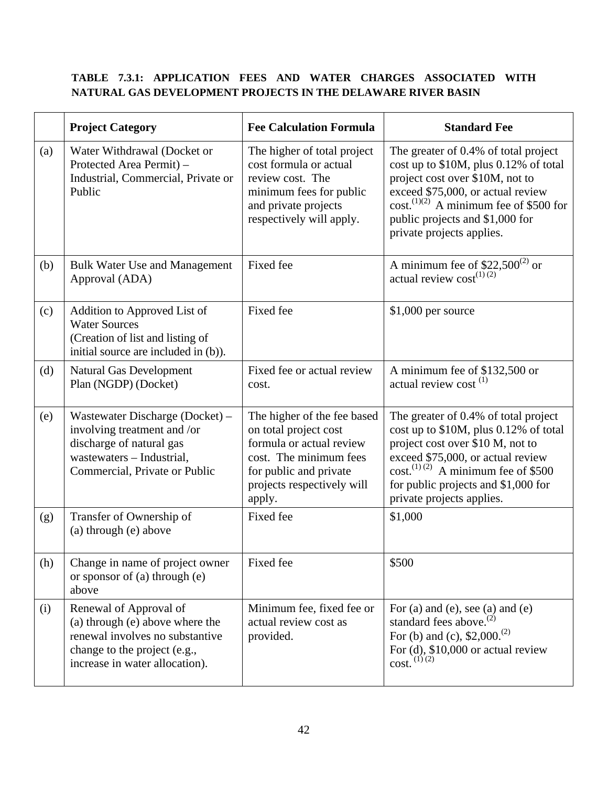# **TABLE 7.3.1: APPLICATION FEES AND WATER CHARGES ASSOCIATED WITH NATURAL GAS DEVELOPMENT PROJECTS IN THE DELAWARE RIVER BASIN**

|     | <b>Project Category</b>                                                                                                                                        | <b>Fee Calculation Formula</b>                                                                                                                                               | <b>Standard Fee</b>                                                                                                                                                                                                                                                          |
|-----|----------------------------------------------------------------------------------------------------------------------------------------------------------------|------------------------------------------------------------------------------------------------------------------------------------------------------------------------------|------------------------------------------------------------------------------------------------------------------------------------------------------------------------------------------------------------------------------------------------------------------------------|
| (a) | Water Withdrawal (Docket or<br>Protected Area Permit) -<br>Industrial, Commercial, Private or<br>Public                                                        | The higher of total project<br>cost formula or actual<br>review cost. The<br>minimum fees for public<br>and private projects<br>respectively will apply.                     | The greater of 0.4% of total project<br>cost up to \$10M, plus 0.12% of total<br>project cost over \$10M, not to<br>exceed \$75,000, or actual review<br>$cost^{(1)(2)}$ A minimum fee of \$500 for<br>public projects and \$1,000 for<br>private projects applies.          |
| (b) | <b>Bulk Water Use and Management</b><br>Approval (ADA)                                                                                                         | Fixed fee                                                                                                                                                                    | A minimum fee of \$22,500 <sup>(2)</sup> or<br>actual review $cost^{(1)(2)}$                                                                                                                                                                                                 |
| (c) | Addition to Approved List of<br><b>Water Sources</b><br>(Creation of list and listing of<br>initial source are included in (b)).                               | Fixed fee                                                                                                                                                                    | $$1,000$ per source                                                                                                                                                                                                                                                          |
| (d) | <b>Natural Gas Development</b><br>Plan (NGDP) (Docket)                                                                                                         | Fixed fee or actual review<br>cost.                                                                                                                                          | A minimum fee of \$132,500 or<br>actual review cost <sup>(1)</sup>                                                                                                                                                                                                           |
| (e) | Wastewater Discharge (Docket) –<br>involving treatment and /or<br>discharge of natural gas<br>wastewaters - Industrial,<br>Commercial, Private or Public       | The higher of the fee based<br>on total project cost<br>formula or actual review<br>cost. The minimum fees<br>for public and private<br>projects respectively will<br>apply. | The greater of 0.4% of total project<br>cost up to \$10M, plus 0.12% of total<br>project cost over \$10 M, not to<br>exceed \$75,000, or actual review<br>$\text{cost.}^{(1)(2)}$ A minimum fee of \$500<br>for public projects and \$1,000 for<br>private projects applies. |
| (g) | Transfer of Ownership of<br>(a) through (e) above                                                                                                              | Fixed fee                                                                                                                                                                    | \$1,000                                                                                                                                                                                                                                                                      |
| (h) | Change in name of project owner<br>or sponsor of (a) through (e)<br>above                                                                                      | Fixed fee                                                                                                                                                                    | \$500                                                                                                                                                                                                                                                                        |
| (i) | Renewal of Approval of<br>(a) through (e) above where the<br>renewal involves no substantive<br>change to the project (e.g.,<br>increase in water allocation). | Minimum fee, fixed fee or<br>actual review cost as<br>provided.                                                                                                              | For (a) and (e), see (a) and (e)<br>standard fees above. <sup>(2)</sup><br>For (b) and (c), $$2,000.(2)$<br>For $(d)$ , \$10,000 or actual review<br>$cost.$ <sup>(1)(2)</sup>                                                                                               |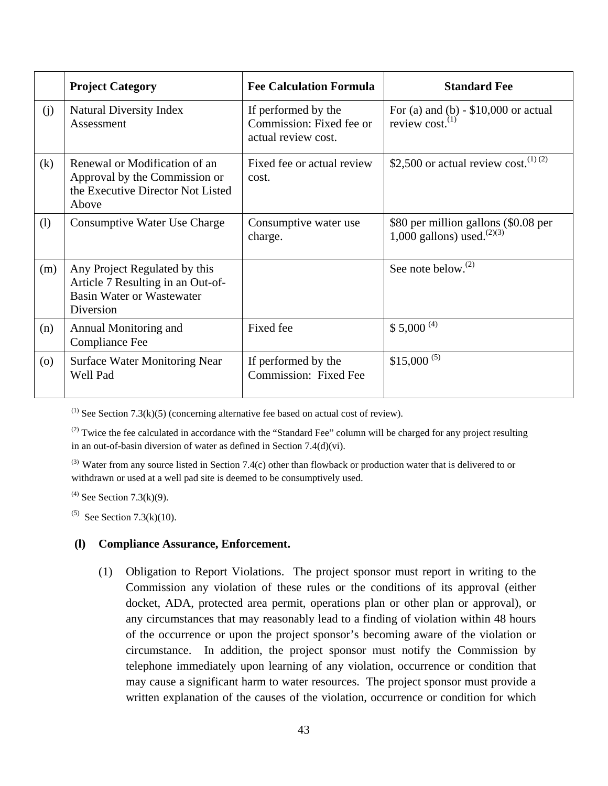|                    | <b>Project Category</b>                                                                                             | <b>Fee Calculation Formula</b>                                         | <b>Standard Fee</b>                                                      |
|--------------------|---------------------------------------------------------------------------------------------------------------------|------------------------------------------------------------------------|--------------------------------------------------------------------------|
| (j)                | <b>Natural Diversity Index</b><br>Assessment                                                                        | If performed by the<br>Commission: Fixed fee or<br>actual review cost. | For (a) and (b) $-$ \$10,000 or actual<br>review cost. $^{(1)}$          |
| (k)                | Renewal or Modification of an<br>Approval by the Commission or<br>the Executive Director Not Listed<br>Above        | Fixed fee or actual review<br>cost.                                    | \$2,500 or actual review cost. $(1)(2)$                                  |
| (1)                | Consumptive Water Use Charge                                                                                        | Consumptive water use<br>charge.                                       | \$80 per million gallons (\$0.08 per<br>1,000 gallons) used. $^{(2)(3)}$ |
| (m)                | Any Project Regulated by this<br>Article 7 Resulting in an Out-of-<br><b>Basin Water or Wastewater</b><br>Diversion |                                                                        | See note below. $^{(2)}$                                                 |
| (n)                | Annual Monitoring and<br><b>Compliance Fee</b>                                                                      | Fixed fee                                                              | $$5,000$ <sup>(4)</sup>                                                  |
| $\left( 0 \right)$ | <b>Surface Water Monitoring Near</b><br>Well Pad                                                                    | If performed by the<br>Commission: Fixed Fee                           | $$15,000^{(5)}$                                                          |

 $(1)$  See Section 7.3(k)(5) (concerning alternative fee based on actual cost of review).

 $(2)$  Twice the fee calculated in accordance with the "Standard Fee" column will be charged for any project resulting in an out-of-basin diversion of water as defined in Section 7.4(d)(vi).

(3) Water from any source listed in Section 7.4(c) other than flowback or production water that is delivered to or withdrawn or used at a well pad site is deemed to be consumptively used.

 $^{(4)}$  See Section 7.3(k)(9).

 $^{(5)}$  See Section 7.3(k)(10).

#### **(l) Compliance Assurance, Enforcement.**

(1) Obligation to Report Violations. The project sponsor must report in writing to the Commission any violation of these rules or the conditions of its approval (either docket, ADA, protected area permit, operations plan or other plan or approval), or any circumstances that may reasonably lead to a finding of violation within 48 hours of the occurrence or upon the project sponsor's becoming aware of the violation or circumstance. In addition, the project sponsor must notify the Commission by telephone immediately upon learning of any violation, occurrence or condition that may cause a significant harm to water resources. The project sponsor must provide a written explanation of the causes of the violation, occurrence or condition for which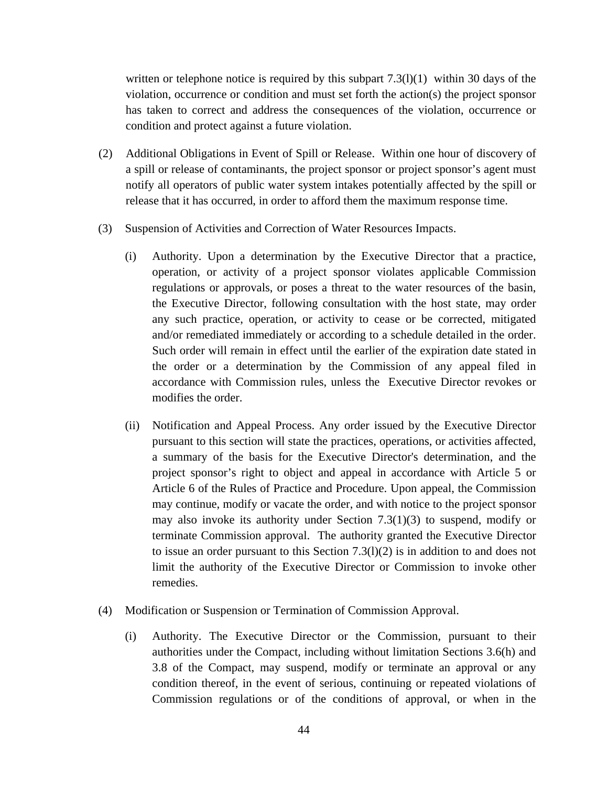written or telephone notice is required by this subpart  $7.3(1)(1)$  within 30 days of the violation, occurrence or condition and must set forth the action(s) the project sponsor has taken to correct and address the consequences of the violation, occurrence or condition and protect against a future violation.

- (2) Additional Obligations in Event of Spill or Release. Within one hour of discovery of a spill or release of contaminants, the project sponsor or project sponsor's agent must notify all operators of public water system intakes potentially affected by the spill or release that it has occurred, in order to afford them the maximum response time.
- (3) Suspension of Activities and Correction of Water Resources Impacts.
	- (i) Authority. Upon a determination by the Executive Director that a practice, operation, or activity of a project sponsor violates applicable Commission regulations or approvals, or poses a threat to the water resources of the basin, the Executive Director, following consultation with the host state, may order any such practice, operation, or activity to cease or be corrected, mitigated and/or remediated immediately or according to a schedule detailed in the order. Such order will remain in effect until the earlier of the expiration date stated in the order or a determination by the Commission of any appeal filed in accordance with Commission rules, unless the Executive Director revokes or modifies the order.
	- (ii) Notification and Appeal Process. Any order issued by the Executive Director pursuant to this section will state the practices, operations, or activities affected, a summary of the basis for the Executive Director's determination, and the project sponsor's right to object and appeal in accordance with Article 5 or Article 6 of the Rules of Practice and Procedure. Upon appeal, the Commission may continue, modify or vacate the order, and with notice to the project sponsor may also invoke its authority under Section  $7.3(1)(3)$  to suspend, modify or terminate Commission approval. The authority granted the Executive Director to issue an order pursuant to this Section 7.3(l)(2) is in addition to and does not limit the authority of the Executive Director or Commission to invoke other remedies.
- (4) Modification or Suspension or Termination of Commission Approval.
	- (i) Authority. The Executive Director or the Commission, pursuant to their authorities under the Compact, including without limitation Sections 3.6(h) and 3.8 of the Compact, may suspend, modify or terminate an approval or any condition thereof, in the event of serious, continuing or repeated violations of Commission regulations or of the conditions of approval, or when in the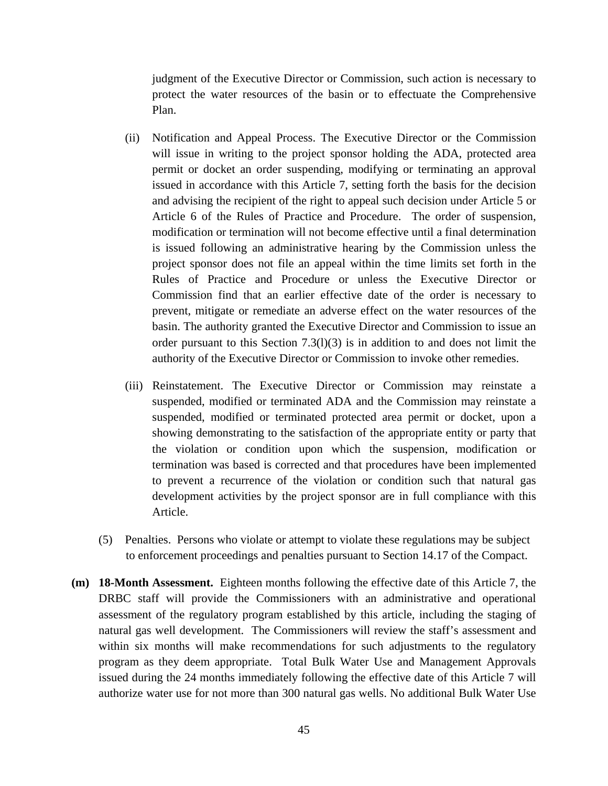judgment of the Executive Director or Commission, such action is necessary to protect the water resources of the basin or to effectuate the Comprehensive Plan.

- (ii) Notification and Appeal Process. The Executive Director or the Commission will issue in writing to the project sponsor holding the ADA, protected area permit or docket an order suspending, modifying or terminating an approval issued in accordance with this Article 7, setting forth the basis for the decision and advising the recipient of the right to appeal such decision under Article 5 or Article 6 of the Rules of Practice and Procedure. The order of suspension, modification or termination will not become effective until a final determination is issued following an administrative hearing by the Commission unless the project sponsor does not file an appeal within the time limits set forth in the Rules of Practice and Procedure or unless the Executive Director or Commission find that an earlier effective date of the order is necessary to prevent, mitigate or remediate an adverse effect on the water resources of the basin. The authority granted the Executive Director and Commission to issue an order pursuant to this Section  $7.3(1)(3)$  is in addition to and does not limit the authority of the Executive Director or Commission to invoke other remedies.
- (iii) Reinstatement. The Executive Director or Commission may reinstate a suspended, modified or terminated ADA and the Commission may reinstate a suspended, modified or terminated protected area permit or docket, upon a showing demonstrating to the satisfaction of the appropriate entity or party that the violation or condition upon which the suspension, modification or termination was based is corrected and that procedures have been implemented to prevent a recurrence of the violation or condition such that natural gas development activities by the project sponsor are in full compliance with this Article.
- (5) Penalties. Persons who violate or attempt to violate these regulations may be subject to enforcement proceedings and penalties pursuant to Section 14.17 of the Compact.
- **(m) 18-Month Assessment.** Eighteen months following the effective date of this Article 7, the DRBC staff will provide the Commissioners with an administrative and operational assessment of the regulatory program established by this article, including the staging of natural gas well development. The Commissioners will review the staff's assessment and within six months will make recommendations for such adjustments to the regulatory program as they deem appropriate. Total Bulk Water Use and Management Approvals issued during the 24 months immediately following the effective date of this Article 7 will authorize water use for not more than 300 natural gas wells. No additional Bulk Water Use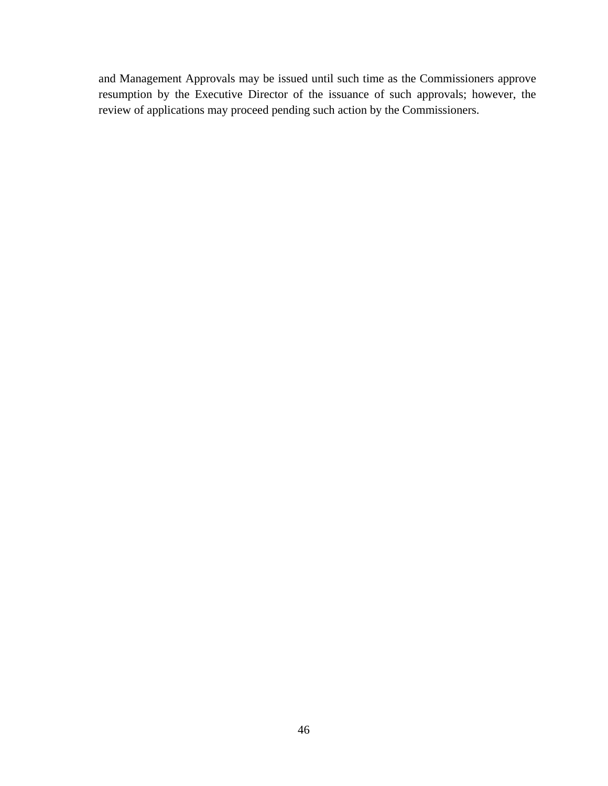and Management Approvals may be issued until such time as the Commissioners approve resumption by the Executive Director of the issuance of such approvals; however, the review of applications may proceed pending such action by the Commissioners.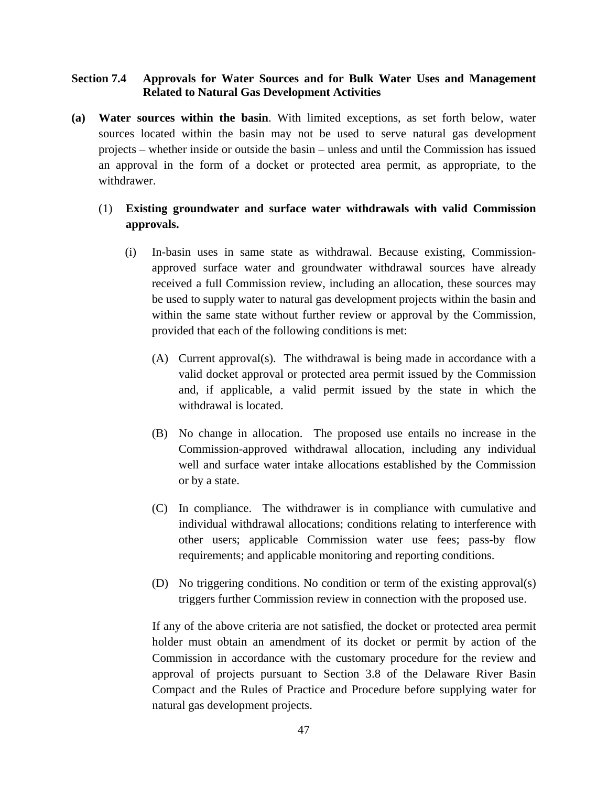## **Section 7.4 Approvals for Water Sources and for Bulk Water Uses and Management Related to Natural Gas Development Activities**

**(a) Water sources within the basin**. With limited exceptions, as set forth below, water sources located within the basin may not be used to serve natural gas development projects – whether inside or outside the basin – unless and until the Commission has issued an approval in the form of a docket or protected area permit, as appropriate, to the withdrawer.

# (1) **Existing groundwater and surface water withdrawals with valid Commission approvals.**

- (i) In-basin uses in same state as withdrawal. Because existing, Commissionapproved surface water and groundwater withdrawal sources have already received a full Commission review, including an allocation, these sources may be used to supply water to natural gas development projects within the basin and within the same state without further review or approval by the Commission, provided that each of the following conditions is met:
	- (A) Current approval(s). The withdrawal is being made in accordance with a valid docket approval or protected area permit issued by the Commission and, if applicable, a valid permit issued by the state in which the withdrawal is located.
	- (B) No change in allocation. The proposed use entails no increase in the Commission-approved withdrawal allocation, including any individual well and surface water intake allocations established by the Commission or by a state.
	- (C) In compliance. The withdrawer is in compliance with cumulative and individual withdrawal allocations; conditions relating to interference with other users; applicable Commission water use fees; pass-by flow requirements; and applicable monitoring and reporting conditions.
	- (D) No triggering conditions. No condition or term of the existing approval(s) triggers further Commission review in connection with the proposed use.

If any of the above criteria are not satisfied, the docket or protected area permit holder must obtain an amendment of its docket or permit by action of the Commission in accordance with the customary procedure for the review and approval of projects pursuant to Section 3.8 of the Delaware River Basin Compact and the Rules of Practice and Procedure before supplying water for natural gas development projects.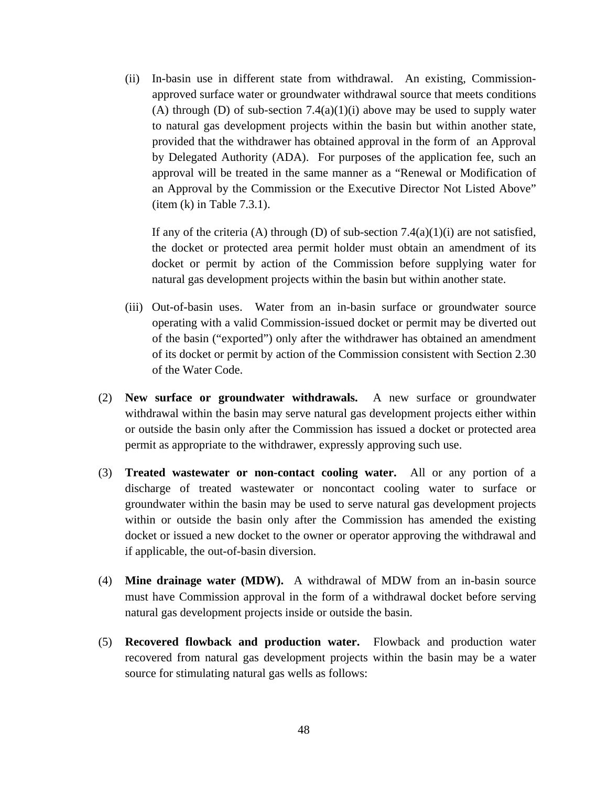(ii) In-basin use in different state from withdrawal. An existing, Commissionapproved surface water or groundwater withdrawal source that meets conditions (A) through (D) of sub-section  $7.4(a)(1)(i)$  above may be used to supply water to natural gas development projects within the basin but within another state, provided that the withdrawer has obtained approval in the form of an Approval by Delegated Authority (ADA). For purposes of the application fee, such an approval will be treated in the same manner as a "Renewal or Modification of an Approval by the Commission or the Executive Director Not Listed Above"  $(item (k) in Table 7.3.1).$ 

If any of the criteria (A) through (D) of sub-section 7.4(a)(1)(i) are not satisfied, the docket or protected area permit holder must obtain an amendment of its docket or permit by action of the Commission before supplying water for natural gas development projects within the basin but within another state.

- (iii) Out-of-basin uses. Water from an in-basin surface or groundwater source operating with a valid Commission-issued docket or permit may be diverted out of the basin ("exported") only after the withdrawer has obtained an amendment of its docket or permit by action of the Commission consistent with Section 2.30 of the Water Code.
- (2) **New surface or groundwater withdrawals.** A new surface or groundwater withdrawal within the basin may serve natural gas development projects either within or outside the basin only after the Commission has issued a docket or protected area permit as appropriate to the withdrawer, expressly approving such use.
- (3) **Treated wastewater or non-contact cooling water.** All or any portion of a discharge of treated wastewater or noncontact cooling water to surface or groundwater within the basin may be used to serve natural gas development projects within or outside the basin only after the Commission has amended the existing docket or issued a new docket to the owner or operator approving the withdrawal and if applicable, the out-of-basin diversion.
- (4) **Mine drainage water (MDW).** A withdrawal of MDW from an in-basin source must have Commission approval in the form of a withdrawal docket before serving natural gas development projects inside or outside the basin.
- (5) **Recovered flowback and production water.** Flowback and production water recovered from natural gas development projects within the basin may be a water source for stimulating natural gas wells as follows: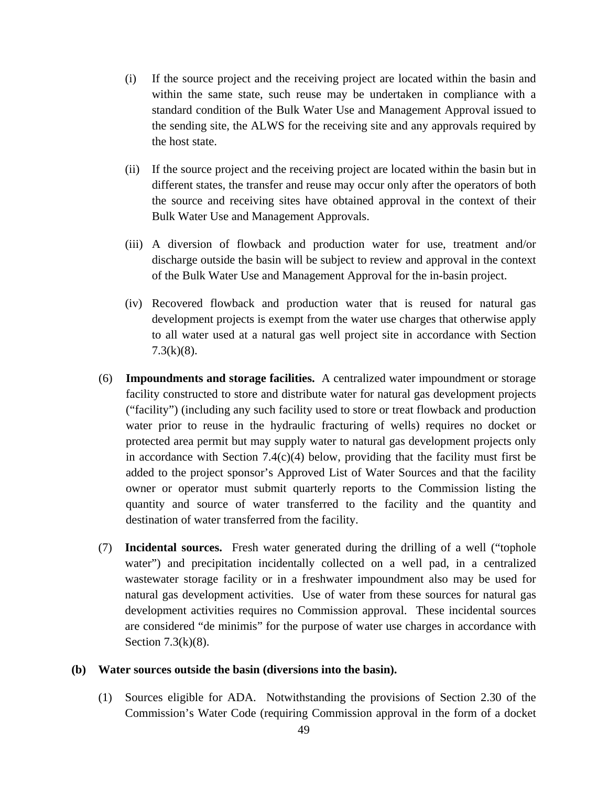- (i) If the source project and the receiving project are located within the basin and within the same state, such reuse may be undertaken in compliance with a standard condition of the Bulk Water Use and Management Approval issued to the sending site, the ALWS for the receiving site and any approvals required by the host state.
- (ii) If the source project and the receiving project are located within the basin but in different states, the transfer and reuse may occur only after the operators of both the source and receiving sites have obtained approval in the context of their Bulk Water Use and Management Approvals.
- (iii) A diversion of flowback and production water for use, treatment and/or discharge outside the basin will be subject to review and approval in the context of the Bulk Water Use and Management Approval for the in-basin project.
- (iv) Recovered flowback and production water that is reused for natural gas development projects is exempt from the water use charges that otherwise apply to all water used at a natural gas well project site in accordance with Section  $7.3(k)(8)$ .
- (6) **Impoundments and storage facilities.** A centralized water impoundment or storage facility constructed to store and distribute water for natural gas development projects ("facility") (including any such facility used to store or treat flowback and production water prior to reuse in the hydraulic fracturing of wells) requires no docket or protected area permit but may supply water to natural gas development projects only in accordance with Section 7.4(c)(4) below, providing that the facility must first be added to the project sponsor's Approved List of Water Sources and that the facility owner or operator must submit quarterly reports to the Commission listing the quantity and source of water transferred to the facility and the quantity and destination of water transferred from the facility.
- (7) **Incidental sources.** Fresh water generated during the drilling of a well ("tophole water") and precipitation incidentally collected on a well pad, in a centralized wastewater storage facility or in a freshwater impoundment also may be used for natural gas development activities. Use of water from these sources for natural gas development activities requires no Commission approval. These incidental sources are considered "de minimis" for the purpose of water use charges in accordance with Section 7.3(k)(8).

#### **(b) Water sources outside the basin (diversions into the basin).**

(1) Sources eligible for ADA.Notwithstanding the provisions of Section 2.30 of the Commission's Water Code (requiring Commission approval in the form of a docket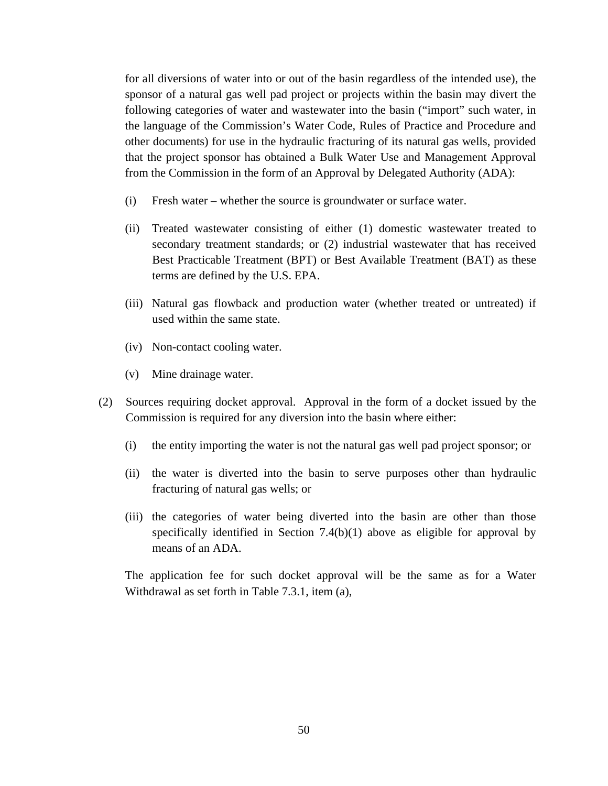for all diversions of water into or out of the basin regardless of the intended use), the sponsor of a natural gas well pad project or projects within the basin may divert the following categories of water and wastewater into the basin ("import" such water, in the language of the Commission's Water Code, Rules of Practice and Procedure and other documents) for use in the hydraulic fracturing of its natural gas wells, provided that the project sponsor has obtained a Bulk Water Use and Management Approval from the Commission in the form of an Approval by Delegated Authority (ADA):

- (i) Fresh water whether the source is groundwater or surface water.
- (ii) Treated wastewater consisting of either (1) domestic wastewater treated to secondary treatment standards; or (2) industrial wastewater that has received Best Practicable Treatment (BPT) or Best Available Treatment (BAT) as these terms are defined by the U.S. EPA.
- (iii) Natural gas flowback and production water (whether treated or untreated) if used within the same state.
- (iv) Non-contact cooling water.
- (v) Mine drainage water.
- (2) Sources requiring docket approval. Approval in the form of a docket issued by the Commission is required for any diversion into the basin where either:
	- (i) the entity importing the water is not the natural gas well pad project sponsor; or
	- (ii) the water is diverted into the basin to serve purposes other than hydraulic fracturing of natural gas wells; or
	- (iii) the categories of water being diverted into the basin are other than those specifically identified in Section 7.4(b)(1) above as eligible for approval by means of an ADA.

The application fee for such docket approval will be the same as for a Water Withdrawal as set forth in Table 7.3.1, item (a),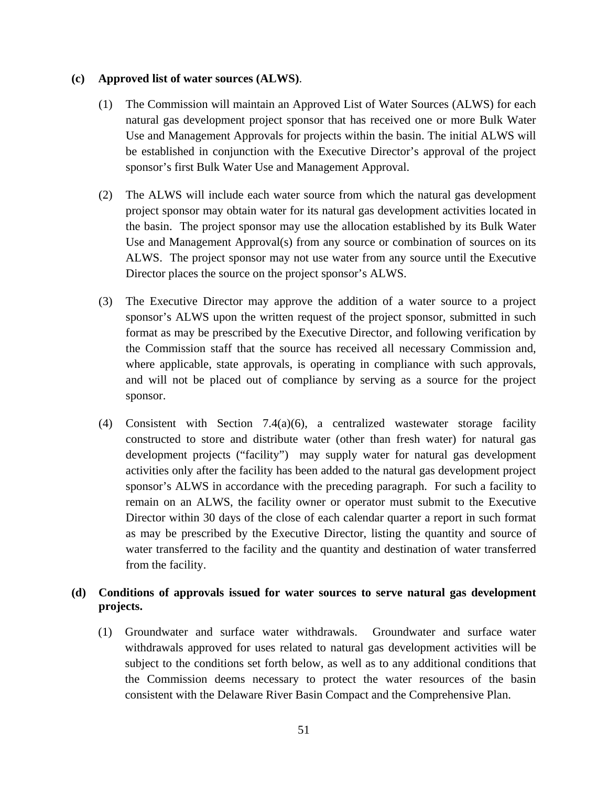#### **(c) Approved list of water sources (ALWS)**.

- (1) The Commission will maintain an Approved List of Water Sources (ALWS) for each natural gas development project sponsor that has received one or more Bulk Water Use and Management Approvals for projects within the basin. The initial ALWS will be established in conjunction with the Executive Director's approval of the project sponsor's first Bulk Water Use and Management Approval.
- (2) The ALWS will include each water source from which the natural gas development project sponsor may obtain water for its natural gas development activities located in the basin. The project sponsor may use the allocation established by its Bulk Water Use and Management Approval(s) from any source or combination of sources on its ALWS. The project sponsor may not use water from any source until the Executive Director places the source on the project sponsor's ALWS.
- (3) The Executive Director may approve the addition of a water source to a project sponsor's ALWS upon the written request of the project sponsor, submitted in such format as may be prescribed by the Executive Director, and following verification by the Commission staff that the source has received all necessary Commission and, where applicable, state approvals, is operating in compliance with such approvals, and will not be placed out of compliance by serving as a source for the project sponsor.
- (4) Consistent with Section 7.4(a)(6), a centralized wastewater storage facility constructed to store and distribute water (other than fresh water) for natural gas development projects ("facility") may supply water for natural gas development activities only after the facility has been added to the natural gas development project sponsor's ALWS in accordance with the preceding paragraph. For such a facility to remain on an ALWS, the facility owner or operator must submit to the Executive Director within 30 days of the close of each calendar quarter a report in such format as may be prescribed by the Executive Director, listing the quantity and source of water transferred to the facility and the quantity and destination of water transferred from the facility.

## **(d) Conditions of approvals issued for water sources to serve natural gas development projects.**

(1) Groundwater and surface water withdrawals. Groundwater and surface water withdrawals approved for uses related to natural gas development activities will be subject to the conditions set forth below, as well as to any additional conditions that the Commission deems necessary to protect the water resources of the basin consistent with the Delaware River Basin Compact and the Comprehensive Plan.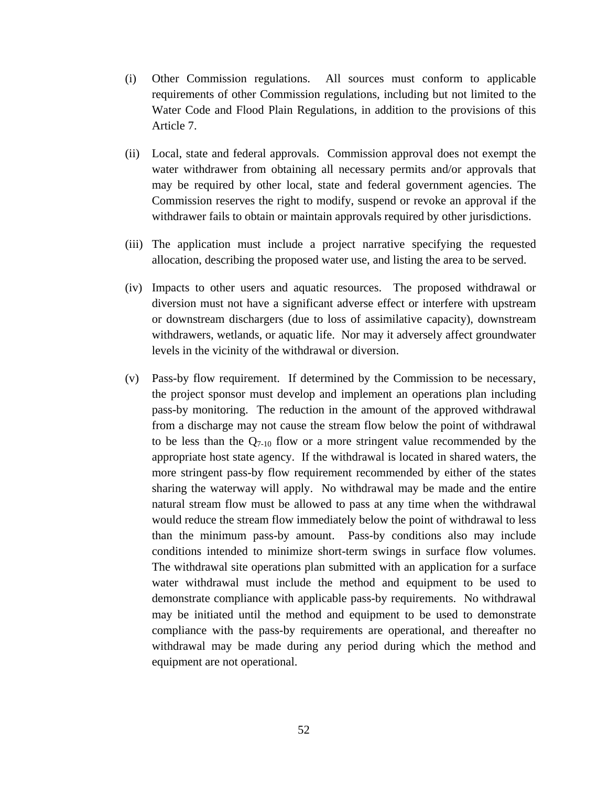- (i) Other Commission regulations. All sources must conform to applicable requirements of other Commission regulations, including but not limited to the Water Code and Flood Plain Regulations, in addition to the provisions of this Article 7.
- (ii) Local, state and federal approvals. Commission approval does not exempt the water withdrawer from obtaining all necessary permits and/or approvals that may be required by other local, state and federal government agencies. The Commission reserves the right to modify, suspend or revoke an approval if the withdrawer fails to obtain or maintain approvals required by other jurisdictions.
- (iii) The application must include a project narrative specifying the requested allocation, describing the proposed water use, and listing the area to be served.
- (iv) Impacts to other users and aquatic resources. The proposed withdrawal or diversion must not have a significant adverse effect or interfere with upstream or downstream dischargers (due to loss of assimilative capacity), downstream withdrawers, wetlands, or aquatic life. Nor may it adversely affect groundwater levels in the vicinity of the withdrawal or diversion.
- (v) Pass-by flow requirement. If determined by the Commission to be necessary, the project sponsor must develop and implement an operations plan including pass-by monitoring. The reduction in the amount of the approved withdrawal from a discharge may not cause the stream flow below the point of withdrawal to be less than the  $Q_{7-10}$  flow or a more stringent value recommended by the appropriate host state agency. If the withdrawal is located in shared waters, the more stringent pass-by flow requirement recommended by either of the states sharing the waterway will apply. No withdrawal may be made and the entire natural stream flow must be allowed to pass at any time when the withdrawal would reduce the stream flow immediately below the point of withdrawal to less than the minimum pass-by amount. Pass-by conditions also may include conditions intended to minimize short-term swings in surface flow volumes. The withdrawal site operations plan submitted with an application for a surface water withdrawal must include the method and equipment to be used to demonstrate compliance with applicable pass-by requirements. No withdrawal may be initiated until the method and equipment to be used to demonstrate compliance with the pass-by requirements are operational, and thereafter no withdrawal may be made during any period during which the method and equipment are not operational.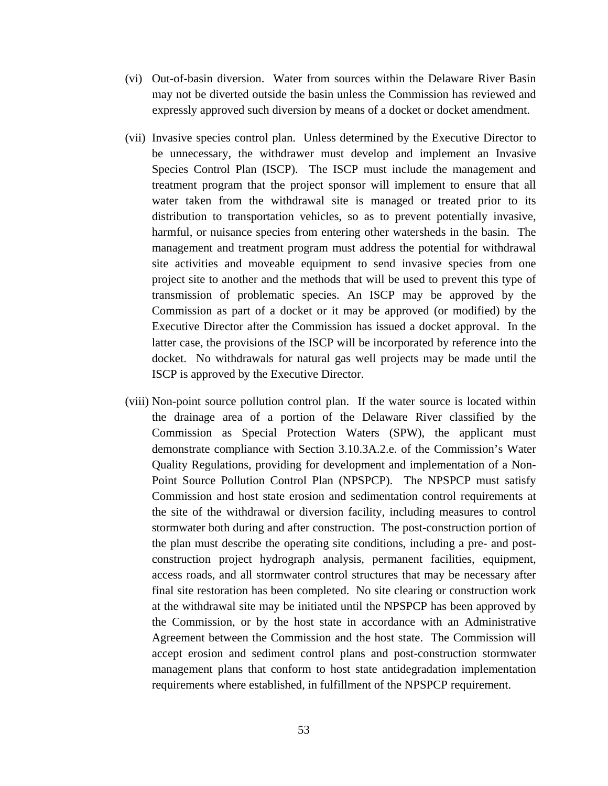- (vi) Out-of-basin diversion. Water from sources within the Delaware River Basin may not be diverted outside the basin unless the Commission has reviewed and expressly approved such diversion by means of a docket or docket amendment.
- (vii) Invasive species control plan. Unless determined by the Executive Director to be unnecessary, the withdrawer must develop and implement an Invasive Species Control Plan (ISCP). The ISCP must include the management and treatment program that the project sponsor will implement to ensure that all water taken from the withdrawal site is managed or treated prior to its distribution to transportation vehicles, so as to prevent potentially invasive, harmful, or nuisance species from entering other watersheds in the basin. The management and treatment program must address the potential for withdrawal site activities and moveable equipment to send invasive species from one project site to another and the methods that will be used to prevent this type of transmission of problematic species. An ISCP may be approved by the Commission as part of a docket or it may be approved (or modified) by the Executive Director after the Commission has issued a docket approval. In the latter case, the provisions of the ISCP will be incorporated by reference into the docket. No withdrawals for natural gas well projects may be made until the ISCP is approved by the Executive Director.
- (viii) Non-point source pollution control plan. If the water source is located within the drainage area of a portion of the Delaware River classified by the Commission as Special Protection Waters (SPW), the applicant must demonstrate compliance with Section 3.10.3A.2.e. of the Commission's Water Quality Regulations, providing for development and implementation of a Non-Point Source Pollution Control Plan (NPSPCP). The NPSPCP must satisfy Commission and host state erosion and sedimentation control requirements at the site of the withdrawal or diversion facility, including measures to control stormwater both during and after construction. The post-construction portion of the plan must describe the operating site conditions, including a pre- and postconstruction project hydrograph analysis, permanent facilities, equipment, access roads, and all stormwater control structures that may be necessary after final site restoration has been completed. No site clearing or construction work at the withdrawal site may be initiated until the NPSPCP has been approved by the Commission, or by the host state in accordance with an Administrative Agreement between the Commission and the host state. The Commission will accept erosion and sediment control plans and post-construction stormwater management plans that conform to host state antidegradation implementation requirements where established, in fulfillment of the NPSPCP requirement.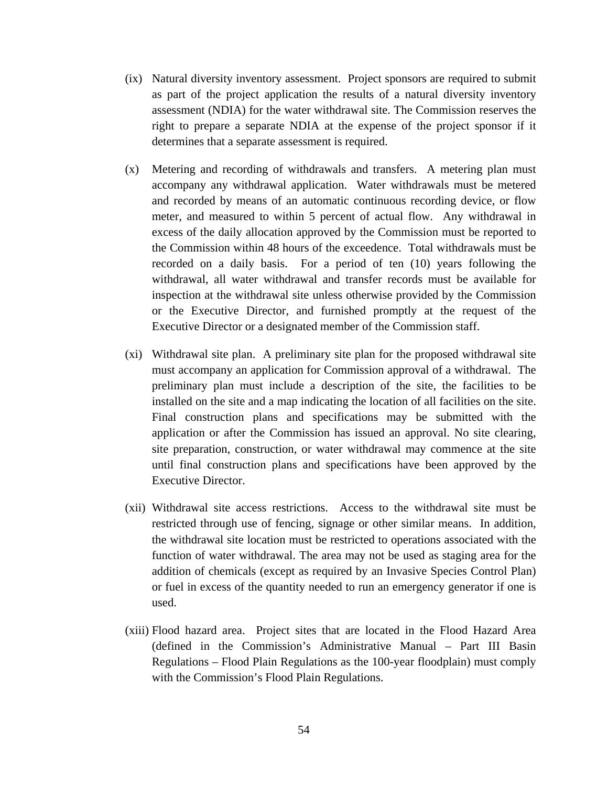- (ix) Natural diversity inventory assessment. Project sponsors are required to submit as part of the project application the results of a natural diversity inventory assessment (NDIA) for the water withdrawal site. The Commission reserves the right to prepare a separate NDIA at the expense of the project sponsor if it determines that a separate assessment is required.
- (x) Metering and recording of withdrawals and transfers. A metering plan must accompany any withdrawal application. Water withdrawals must be metered and recorded by means of an automatic continuous recording device, or flow meter, and measured to within 5 percent of actual flow. Any withdrawal in excess of the daily allocation approved by the Commission must be reported to the Commission within 48 hours of the exceedence. Total withdrawals must be recorded on a daily basis. For a period of ten (10) years following the withdrawal, all water withdrawal and transfer records must be available for inspection at the withdrawal site unless otherwise provided by the Commission or the Executive Director, and furnished promptly at the request of the Executive Director or a designated member of the Commission staff.
- (xi) Withdrawal site plan. A preliminary site plan for the proposed withdrawal site must accompany an application for Commission approval of a withdrawal. The preliminary plan must include a description of the site, the facilities to be installed on the site and a map indicating the location of all facilities on the site. Final construction plans and specifications may be submitted with the application or after the Commission has issued an approval. No site clearing, site preparation, construction, or water withdrawal may commence at the site until final construction plans and specifications have been approved by the Executive Director.
- (xii) Withdrawal site access restrictions. Access to the withdrawal site must be restricted through use of fencing, signage or other similar means. In addition, the withdrawal site location must be restricted to operations associated with the function of water withdrawal. The area may not be used as staging area for the addition of chemicals (except as required by an Invasive Species Control Plan) or fuel in excess of the quantity needed to run an emergency generator if one is used.
- (xiii) Flood hazard area. Project sites that are located in the Flood Hazard Area (defined in the Commission's Administrative Manual – Part III Basin Regulations – Flood Plain Regulations as the 100-year floodplain) must comply with the Commission's Flood Plain Regulations.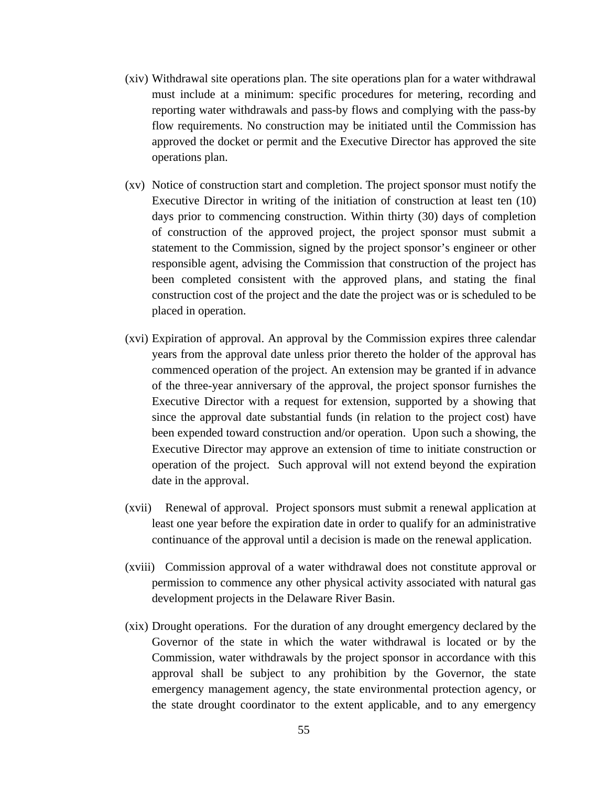- (xiv) Withdrawal site operations plan. The site operations plan for a water withdrawal must include at a minimum: specific procedures for metering, recording and reporting water withdrawals and pass-by flows and complying with the pass-by flow requirements. No construction may be initiated until the Commission has approved the docket or permit and the Executive Director has approved the site operations plan.
- (xv) Notice of construction start and completion. The project sponsor must notify the Executive Director in writing of the initiation of construction at least ten (10) days prior to commencing construction. Within thirty (30) days of completion of construction of the approved project, the project sponsor must submit a statement to the Commission, signed by the project sponsor's engineer or other responsible agent, advising the Commission that construction of the project has been completed consistent with the approved plans, and stating the final construction cost of the project and the date the project was or is scheduled to be placed in operation.
- (xvi) Expiration of approval. An approval by the Commission expires three calendar years from the approval date unless prior thereto the holder of the approval has commenced operation of the project. An extension may be granted if in advance of the three-year anniversary of the approval, the project sponsor furnishes the Executive Director with a request for extension, supported by a showing that since the approval date substantial funds (in relation to the project cost) have been expended toward construction and/or operation. Upon such a showing, the Executive Director may approve an extension of time to initiate construction or operation of the project. Such approval will not extend beyond the expiration date in the approval.
- (xvii) Renewal of approval. Project sponsors must submit a renewal application at least one year before the expiration date in order to qualify for an administrative continuance of the approval until a decision is made on the renewal application.
- (xviii) Commission approval of a water withdrawal does not constitute approval or permission to commence any other physical activity associated with natural gas development projects in the Delaware River Basin.
- (xix) Drought operations. For the duration of any drought emergency declared by the Governor of the state in which the water withdrawal is located or by the Commission, water withdrawals by the project sponsor in accordance with this approval shall be subject to any prohibition by the Governor, the state emergency management agency, the state environmental protection agency, or the state drought coordinator to the extent applicable, and to any emergency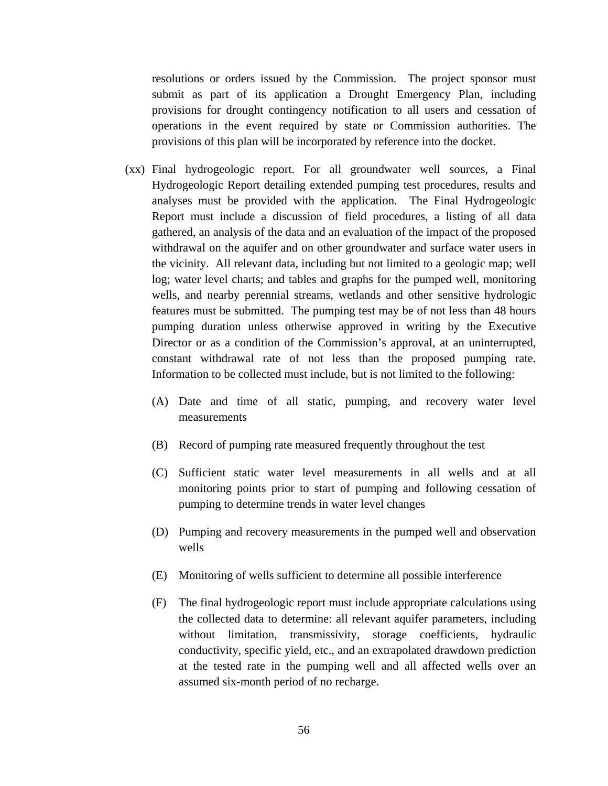resolutions or orders issued by the Commission. The project sponsor must submit as part of its application a Drought Emergency Plan, including provisions for drought contingency notification to all users and cessation of operations in the event required by state or Commission authorities. The provisions of this plan will be incorporated by reference into the docket.

- (xx) Final hydrogeologic report. For all groundwater well sources, a Final Hydrogeologic Report detailing extended pumping test procedures, results and analyses must be provided with the application. The Final Hydrogeologic Report must include a discussion of field procedures, a listing of all data gathered, an analysis of the data and an evaluation of the impact of the proposed withdrawal on the aquifer and on other groundwater and surface water users in the vicinity. All relevant data, including but not limited to a geologic map; well log; water level charts; and tables and graphs for the pumped well, monitoring wells, and nearby perennial streams, wetlands and other sensitive hydrologic features must be submitted. The pumping test may be of not less than 48 hours pumping duration unless otherwise approved in writing by the Executive Director or as a condition of the Commission's approval, at an uninterrupted, constant withdrawal rate of not less than the proposed pumping rate. Information to be collected must include, but is not limited to the following:
	- (A) Date and time of all static, pumping, and recovery water level measurements
	- (B) Record of pumping rate measured frequently throughout the test
	- (C) Sufficient static water level measurements in all wells and at all monitoring points prior to start of pumping and following cessation of pumping to determine trends in water level changes
	- (D) Pumping and recovery measurements in the pumped well and observation wells
	- (E) Monitoring of wells sufficient to determine all possible interference
	- (F) The final hydrogeologic report must include appropriate calculations using the collected data to determine: all relevant aquifer parameters, including without limitation, transmissivity, storage coefficients, hydraulic conductivity, specific yield, etc., and an extrapolated drawdown prediction at the tested rate in the pumping well and all affected wells over an assumed six-month period of no recharge.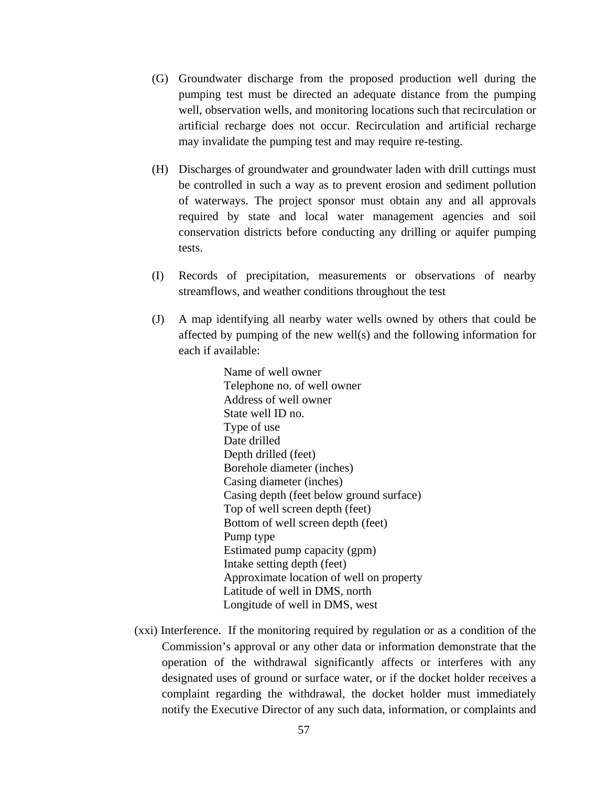- (G) Groundwater discharge from the proposed production well during the pumping test must be directed an adequate distance from the pumping well, observation wells, and monitoring locations such that recirculation or artificial recharge does not occur. Recirculation and artificial recharge may invalidate the pumping test and may require re-testing.
- (H) Discharges of groundwater and groundwater laden with drill cuttings must be controlled in such a way as to prevent erosion and sediment pollution of waterways. The project sponsor must obtain any and all approvals required by state and local water management agencies and soil conservation districts before conducting any drilling or aquifer pumping tests.
- (I) Records of precipitation, measurements or observations of nearby streamflows, and weather conditions throughout the test
- (J) A map identifying all nearby water wells owned by others that could be affected by pumping of the new well(s) and the following information for each if available:

Name of well owner Telephone no. of well owner Address of well owner State well ID no. Type of use Date drilled Depth drilled (feet) Borehole diameter (inches) Casing diameter (inches) Casing depth (feet below ground surface) Top of well screen depth (feet) Bottom of well screen depth (feet) Pump type Estimated pump capacity (gpm) Intake setting depth (feet) Approximate location of well on property Latitude of well in DMS, north Longitude of well in DMS, west

(xxi) Interference. If the monitoring required by regulation or as a condition of the Commission's approval or any other data or information demonstrate that the operation of the withdrawal significantly affects or interferes with any designated uses of ground or surface water, or if the docket holder receives a complaint regarding the withdrawal, the docket holder must immediately notify the Executive Director of any such data, information, or complaints and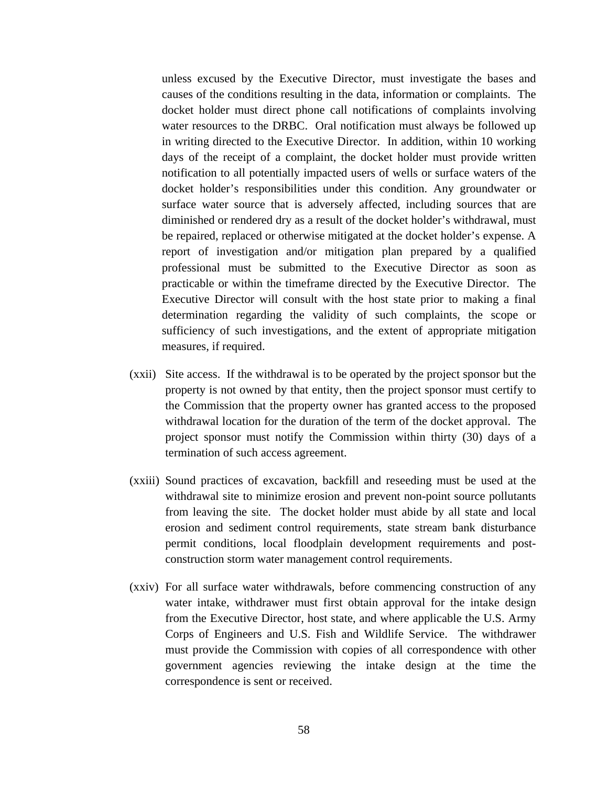unless excused by the Executive Director, must investigate the bases and causes of the conditions resulting in the data, information or complaints. The docket holder must direct phone call notifications of complaints involving water resources to the DRBC. Oral notification must always be followed up in writing directed to the Executive Director. In addition, within 10 working days of the receipt of a complaint, the docket holder must provide written notification to all potentially impacted users of wells or surface waters of the docket holder's responsibilities under this condition. Any groundwater or surface water source that is adversely affected, including sources that are diminished or rendered dry as a result of the docket holder's withdrawal, must be repaired, replaced or otherwise mitigated at the docket holder's expense. A report of investigation and/or mitigation plan prepared by a qualified professional must be submitted to the Executive Director as soon as practicable or within the timeframe directed by the Executive Director. The Executive Director will consult with the host state prior to making a final determination regarding the validity of such complaints, the scope or sufficiency of such investigations, and the extent of appropriate mitigation measures, if required.

- (xxii) Site access. If the withdrawal is to be operated by the project sponsor but the property is not owned by that entity, then the project sponsor must certify to the Commission that the property owner has granted access to the proposed withdrawal location for the duration of the term of the docket approval. The project sponsor must notify the Commission within thirty (30) days of a termination of such access agreement.
- (xxiii) Sound practices of excavation, backfill and reseeding must be used at the withdrawal site to minimize erosion and prevent non-point source pollutants from leaving the site. The docket holder must abide by all state and local erosion and sediment control requirements, state stream bank disturbance permit conditions, local floodplain development requirements and postconstruction storm water management control requirements.
- (xxiv) For all surface water withdrawals, before commencing construction of any water intake, withdrawer must first obtain approval for the intake design from the Executive Director, host state, and where applicable the U.S. Army Corps of Engineers and U.S. Fish and Wildlife Service. The withdrawer must provide the Commission with copies of all correspondence with other government agencies reviewing the intake design at the time the correspondence is sent or received.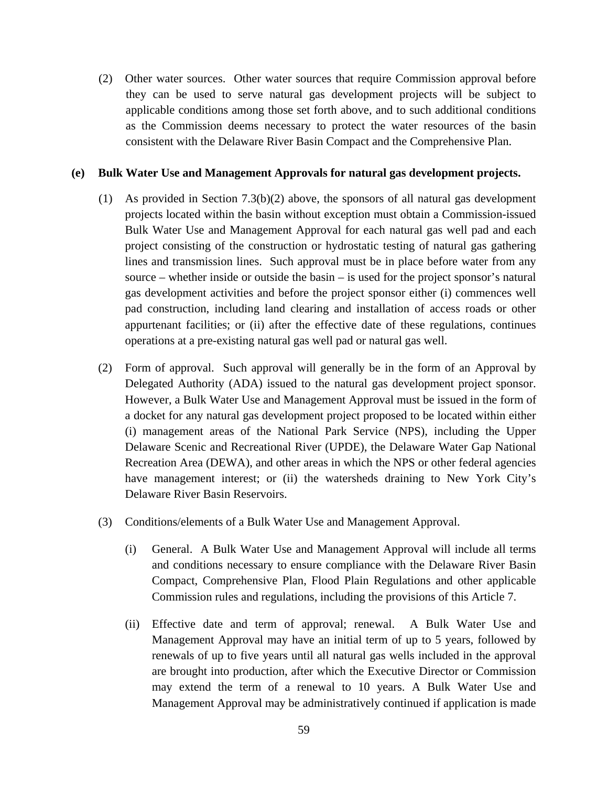(2) Other water sources. Other water sources that require Commission approval before they can be used to serve natural gas development projects will be subject to applicable conditions among those set forth above, and to such additional conditions as the Commission deems necessary to protect the water resources of the basin consistent with the Delaware River Basin Compact and the Comprehensive Plan.

### **(e) Bulk Water Use and Management Approvals for natural gas development projects.**

- (1) As provided in Section 7.3(b)(2) above, the sponsors of all natural gas development projects located within the basin without exception must obtain a Commission-issued Bulk Water Use and Management Approval for each natural gas well pad and each project consisting of the construction or hydrostatic testing of natural gas gathering lines and transmission lines. Such approval must be in place before water from any source – whether inside or outside the basin – is used for the project sponsor's natural gas development activities and before the project sponsor either (i) commences well pad construction, including land clearing and installation of access roads or other appurtenant facilities; or (ii) after the effective date of these regulations, continues operations at a pre-existing natural gas well pad or natural gas well.
- (2) Form of approval. Such approval will generally be in the form of an Approval by Delegated Authority (ADA) issued to the natural gas development project sponsor. However, a Bulk Water Use and Management Approval must be issued in the form of a docket for any natural gas development project proposed to be located within either (i) management areas of the National Park Service (NPS), including the Upper Delaware Scenic and Recreational River (UPDE), the Delaware Water Gap National Recreation Area (DEWA), and other areas in which the NPS or other federal agencies have management interest; or (ii) the watersheds draining to New York City's Delaware River Basin Reservoirs.
- (3) Conditions/elements of a Bulk Water Use and Management Approval.
	- (i) General. A Bulk Water Use and Management Approval will include all terms and conditions necessary to ensure compliance with the Delaware River Basin Compact, Comprehensive Plan, Flood Plain Regulations and other applicable Commission rules and regulations, including the provisions of this Article 7.
	- (ii) Effective date and term of approval; renewal. A Bulk Water Use and Management Approval may have an initial term of up to 5 years, followed by renewals of up to five years until all natural gas wells included in the approval are brought into production, after which the Executive Director or Commission may extend the term of a renewal to 10 years. A Bulk Water Use and Management Approval may be administratively continued if application is made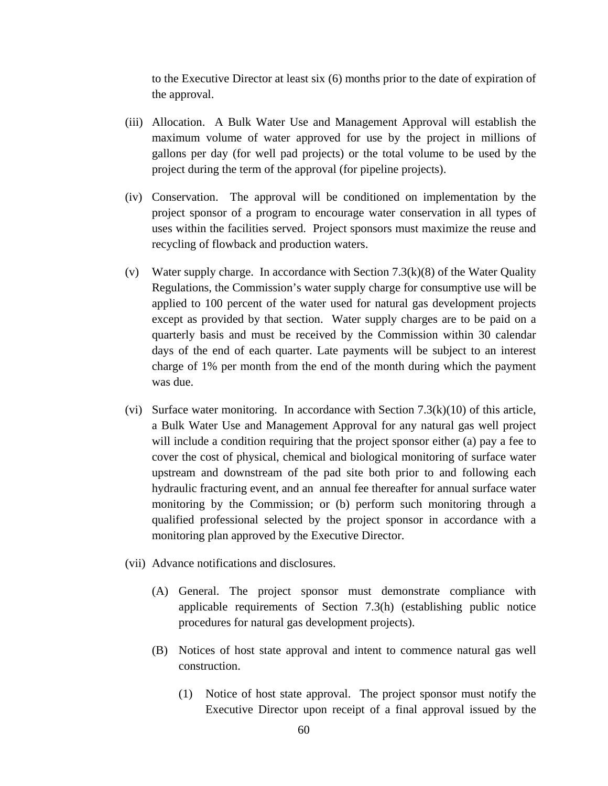to the Executive Director at least six (6) months prior to the date of expiration of the approval.

- (iii) Allocation. A Bulk Water Use and Management Approval will establish the maximum volume of water approved for use by the project in millions of gallons per day (for well pad projects) or the total volume to be used by the project during the term of the approval (for pipeline projects).
- (iv) Conservation. The approval will be conditioned on implementation by the project sponsor of a program to encourage water conservation in all types of uses within the facilities served. Project sponsors must maximize the reuse and recycling of flowback and production waters.
- (v) Water supply charge. In accordance with Section 7.3(k)(8) of the Water Quality Regulations, the Commission's water supply charge for consumptive use will be applied to 100 percent of the water used for natural gas development projects except as provided by that section. Water supply charges are to be paid on a quarterly basis and must be received by the Commission within 30 calendar days of the end of each quarter. Late payments will be subject to an interest charge of 1% per month from the end of the month during which the payment was due.
- (vi) Surface water monitoring. In accordance with Section  $7.3(k)(10)$  of this article, a Bulk Water Use and Management Approval for any natural gas well project will include a condition requiring that the project sponsor either (a) pay a fee to cover the cost of physical, chemical and biological monitoring of surface water upstream and downstream of the pad site both prior to and following each hydraulic fracturing event, and an annual fee thereafter for annual surface water monitoring by the Commission; or (b) perform such monitoring through a qualified professional selected by the project sponsor in accordance with a monitoring plan approved by the Executive Director.
- (vii) Advance notifications and disclosures.
	- (A) General. The project sponsor must demonstrate compliance with applicable requirements of Section 7.3(h) (establishing public notice procedures for natural gas development projects).
	- (B) Notices of host state approval and intent to commence natural gas well construction.
		- (1) Notice of host state approval. The project sponsor must notify the Executive Director upon receipt of a final approval issued by the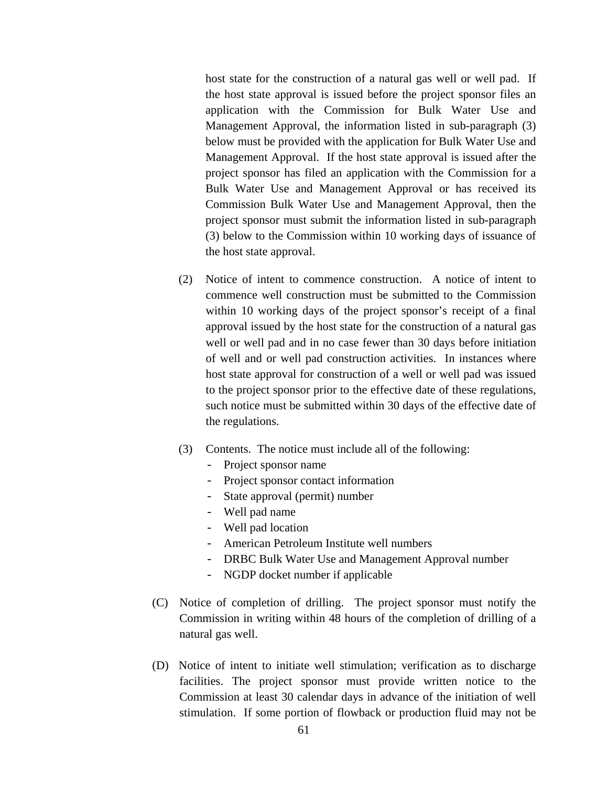host state for the construction of a natural gas well or well pad. If the host state approval is issued before the project sponsor files an application with the Commission for Bulk Water Use and Management Approval, the information listed in sub-paragraph (3) below must be provided with the application for Bulk Water Use and Management Approval. If the host state approval is issued after the project sponsor has filed an application with the Commission for a Bulk Water Use and Management Approval or has received its Commission Bulk Water Use and Management Approval, then the project sponsor must submit the information listed in sub-paragraph (3) below to the Commission within 10 working days of issuance of the host state approval.

- (2) Notice of intent to commence construction. A notice of intent to commence well construction must be submitted to the Commission within 10 working days of the project sponsor's receipt of a final approval issued by the host state for the construction of a natural gas well or well pad and in no case fewer than 30 days before initiation of well and or well pad construction activities. In instances where host state approval for construction of a well or well pad was issued to the project sponsor prior to the effective date of these regulations, such notice must be submitted within 30 days of the effective date of the regulations.
- (3) Contents. The notice must include all of the following:
	- Project sponsor name
	- Project sponsor contact information
	- State approval (permit) number
	- Well pad name
	- Well pad location
	- American Petroleum Institute well numbers
	- DRBC Bulk Water Use and Management Approval number
	- NGDP docket number if applicable
- (C) Notice of completion of drilling. The project sponsor must notify the Commission in writing within 48 hours of the completion of drilling of a natural gas well.
- (D) Notice of intent to initiate well stimulation; verification as to discharge facilities. The project sponsor must provide written notice to the Commission at least 30 calendar days in advance of the initiation of well stimulation. If some portion of flowback or production fluid may not be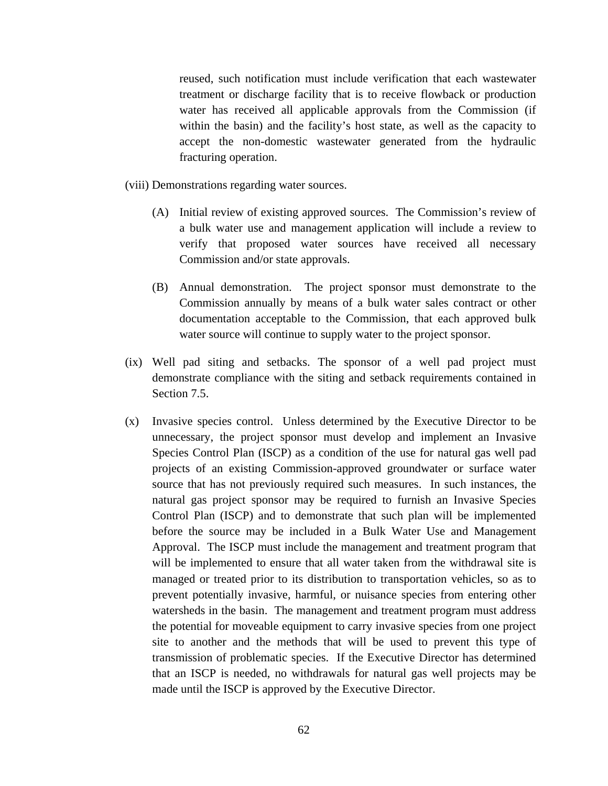reused, such notification must include verification that each wastewater treatment or discharge facility that is to receive flowback or production water has received all applicable approvals from the Commission (if within the basin) and the facility's host state, as well as the capacity to accept the non-domestic wastewater generated from the hydraulic fracturing operation.

(viii) Demonstrations regarding water sources.

- (A) Initial review of existing approved sources. The Commission's review of a bulk water use and management application will include a review to verify that proposed water sources have received all necessary Commission and/or state approvals.
- (B) Annual demonstration. The project sponsor must demonstrate to the Commission annually by means of a bulk water sales contract or other documentation acceptable to the Commission, that each approved bulk water source will continue to supply water to the project sponsor.
- (ix) Well pad siting and setbacks. The sponsor of a well pad project must demonstrate compliance with the siting and setback requirements contained in Section 7.5.
- (x) Invasive species control. Unless determined by the Executive Director to be unnecessary, the project sponsor must develop and implement an Invasive Species Control Plan (ISCP) as a condition of the use for natural gas well pad projects of an existing Commission-approved groundwater or surface water source that has not previously required such measures. In such instances, the natural gas project sponsor may be required to furnish an Invasive Species Control Plan (ISCP) and to demonstrate that such plan will be implemented before the source may be included in a Bulk Water Use and Management Approval. The ISCP must include the management and treatment program that will be implemented to ensure that all water taken from the withdrawal site is managed or treated prior to its distribution to transportation vehicles, so as to prevent potentially invasive, harmful, or nuisance species from entering other watersheds in the basin. The management and treatment program must address the potential for moveable equipment to carry invasive species from one project site to another and the methods that will be used to prevent this type of transmission of problematic species. If the Executive Director has determined that an ISCP is needed, no withdrawals for natural gas well projects may be made until the ISCP is approved by the Executive Director.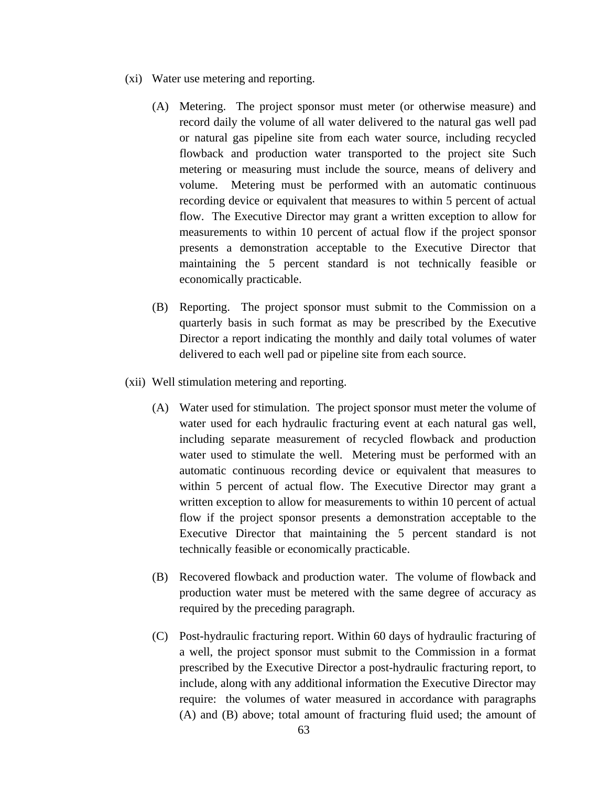- (xi) Water use metering and reporting.
	- (A) Metering. The project sponsor must meter (or otherwise measure) and record daily the volume of all water delivered to the natural gas well pad or natural gas pipeline site from each water source, including recycled flowback and production water transported to the project site Such metering or measuring must include the source, means of delivery and volume. Metering must be performed with an automatic continuous recording device or equivalent that measures to within 5 percent of actual flow. The Executive Director may grant a written exception to allow for measurements to within 10 percent of actual flow if the project sponsor presents a demonstration acceptable to the Executive Director that maintaining the 5 percent standard is not technically feasible or economically practicable.
	- (B) Reporting. The project sponsor must submit to the Commission on a quarterly basis in such format as may be prescribed by the Executive Director a report indicating the monthly and daily total volumes of water delivered to each well pad or pipeline site from each source.
- (xii) Well stimulation metering and reporting.
	- (A) Water used for stimulation. The project sponsor must meter the volume of water used for each hydraulic fracturing event at each natural gas well, including separate measurement of recycled flowback and production water used to stimulate the well. Metering must be performed with an automatic continuous recording device or equivalent that measures to within 5 percent of actual flow. The Executive Director may grant a written exception to allow for measurements to within 10 percent of actual flow if the project sponsor presents a demonstration acceptable to the Executive Director that maintaining the 5 percent standard is not technically feasible or economically practicable.
	- (B) Recovered flowback and production water. The volume of flowback and production water must be metered with the same degree of accuracy as required by the preceding paragraph.
	- (C) Post-hydraulic fracturing report. Within 60 days of hydraulic fracturing of a well, the project sponsor must submit to the Commission in a format prescribed by the Executive Director a post-hydraulic fracturing report, to include, along with any additional information the Executive Director may require: the volumes of water measured in accordance with paragraphs (A) and (B) above; total amount of fracturing fluid used; the amount of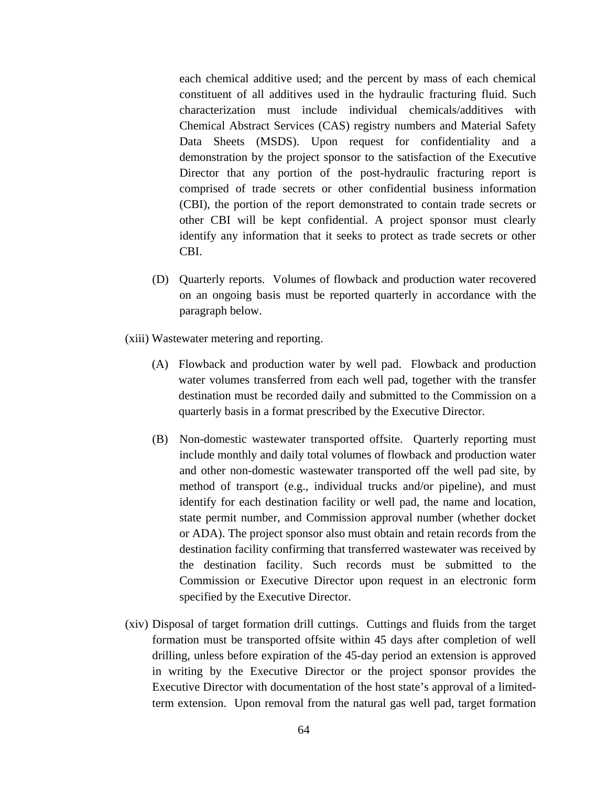each chemical additive used; and the percent by mass of each chemical constituent of all additives used in the hydraulic fracturing fluid. Such characterization must include individual chemicals/additives with Chemical Abstract Services (CAS) registry numbers and Material Safety Data Sheets (MSDS). Upon request for confidentiality and a demonstration by the project sponsor to the satisfaction of the Executive Director that any portion of the post-hydraulic fracturing report is comprised of trade secrets or other confidential business information (CBI), the portion of the report demonstrated to contain trade secrets or other CBI will be kept confidential. A project sponsor must clearly identify any information that it seeks to protect as trade secrets or other CBI.

- (D) Quarterly reports. Volumes of flowback and production water recovered on an ongoing basis must be reported quarterly in accordance with the paragraph below.
- (xiii) Wastewater metering and reporting.
	- (A) Flowback and production water by well pad. Flowback and production water volumes transferred from each well pad, together with the transfer destination must be recorded daily and submitted to the Commission on a quarterly basis in a format prescribed by the Executive Director.
	- (B) Non-domestic wastewater transported offsite. Quarterly reporting must include monthly and daily total volumes of flowback and production water and other non-domestic wastewater transported off the well pad site, by method of transport (e.g., individual trucks and/or pipeline), and must identify for each destination facility or well pad, the name and location, state permit number, and Commission approval number (whether docket or ADA). The project sponsor also must obtain and retain records from the destination facility confirming that transferred wastewater was received by the destination facility. Such records must be submitted to the Commission or Executive Director upon request in an electronic form specified by the Executive Director.
- (xiv) Disposal of target formation drill cuttings. Cuttings and fluids from the target formation must be transported offsite within 45 days after completion of well drilling, unless before expiration of the 45-day period an extension is approved in writing by the Executive Director or the project sponsor provides the Executive Director with documentation of the host state's approval of a limitedterm extension. Upon removal from the natural gas well pad, target formation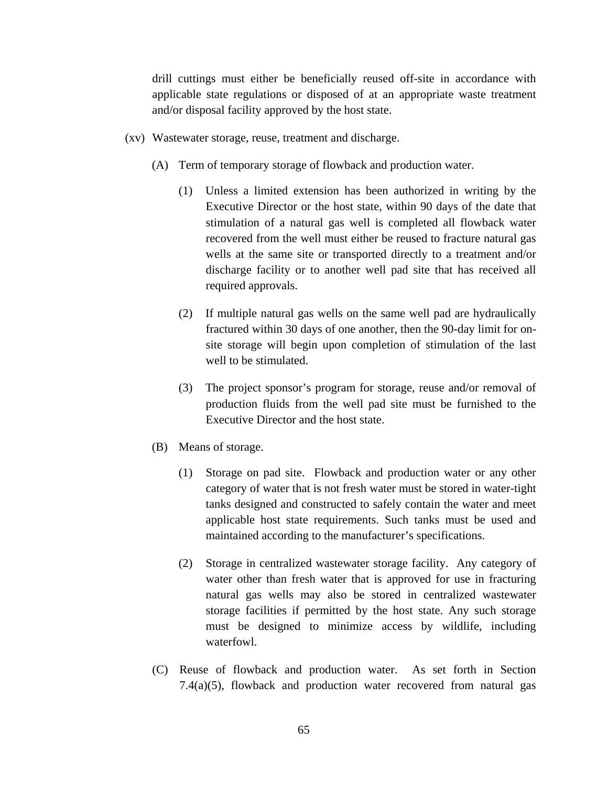drill cuttings must either be beneficially reused off-site in accordance with applicable state regulations or disposed of at an appropriate waste treatment and/or disposal facility approved by the host state.

- (xv) Wastewater storage, reuse, treatment and discharge.
	- (A) Term of temporary storage of flowback and production water.
		- (1) Unless a limited extension has been authorized in writing by the Executive Director or the host state, within 90 days of the date that stimulation of a natural gas well is completed all flowback water recovered from the well must either be reused to fracture natural gas wells at the same site or transported directly to a treatment and/or discharge facility or to another well pad site that has received all required approvals.
		- (2) If multiple natural gas wells on the same well pad are hydraulically fractured within 30 days of one another, then the 90-day limit for onsite storage will begin upon completion of stimulation of the last well to be stimulated.
		- (3) The project sponsor's program for storage, reuse and/or removal of production fluids from the well pad site must be furnished to the Executive Director and the host state.
	- (B) Means of storage.
		- (1) Storage on pad site. Flowback and production water or any other category of water that is not fresh water must be stored in water-tight tanks designed and constructed to safely contain the water and meet applicable host state requirements. Such tanks must be used and maintained according to the manufacturer's specifications.
		- (2) Storage in centralized wastewater storage facility. Any category of water other than fresh water that is approved for use in fracturing natural gas wells may also be stored in centralized wastewater storage facilities if permitted by the host state. Any such storage must be designed to minimize access by wildlife, including waterfowl.
	- (C) Reuse of flowback and production water. As set forth in Section 7.4(a)(5), flowback and production water recovered from natural gas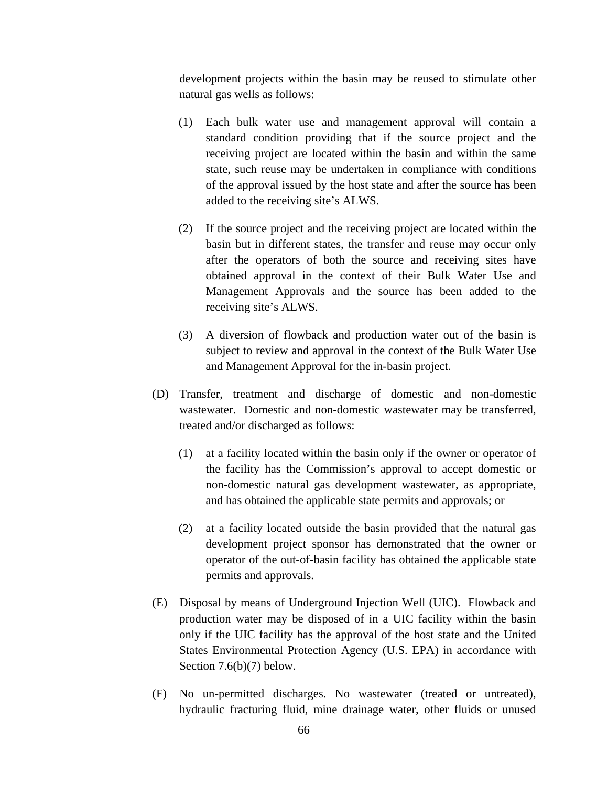development projects within the basin may be reused to stimulate other natural gas wells as follows:

- (1) Each bulk water use and management approval will contain a standard condition providing that if the source project and the receiving project are located within the basin and within the same state, such reuse may be undertaken in compliance with conditions of the approval issued by the host state and after the source has been added to the receiving site's ALWS.
- (2) If the source project and the receiving project are located within the basin but in different states, the transfer and reuse may occur only after the operators of both the source and receiving sites have obtained approval in the context of their Bulk Water Use and Management Approvals and the source has been added to the receiving site's ALWS.
- (3) A diversion of flowback and production water out of the basin is subject to review and approval in the context of the Bulk Water Use and Management Approval for the in-basin project.
- (D) Transfer, treatment and discharge of domestic and non-domestic wastewater. Domestic and non-domestic wastewater may be transferred, treated and/or discharged as follows:
	- (1) at a facility located within the basin only if the owner or operator of the facility has the Commission's approval to accept domestic or non-domestic natural gas development wastewater, as appropriate, and has obtained the applicable state permits and approvals; or
	- (2) at a facility located outside the basin provided that the natural gas development project sponsor has demonstrated that the owner or operator of the out-of-basin facility has obtained the applicable state permits and approvals.
- (E) Disposal by means of Underground Injection Well (UIC). Flowback and production water may be disposed of in a UIC facility within the basin only if the UIC facility has the approval of the host state and the United States Environmental Protection Agency (U.S. EPA) in accordance with Section 7.6(b)(7) below.
- (F) No un-permitted discharges. No wastewater (treated or untreated), hydraulic fracturing fluid, mine drainage water, other fluids or unused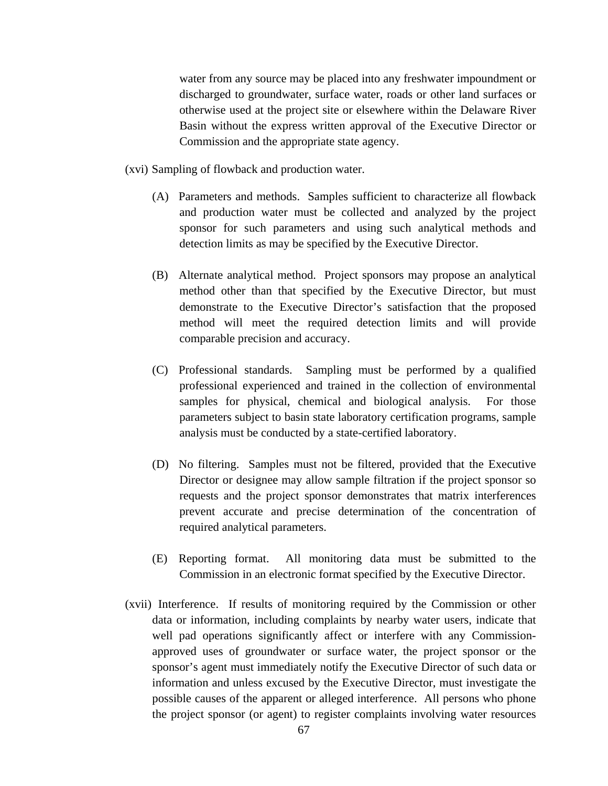water from any source may be placed into any freshwater impoundment or discharged to groundwater, surface water, roads or other land surfaces or otherwise used at the project site or elsewhere within the Delaware River Basin without the express written approval of the Executive Director or Commission and the appropriate state agency.

(xvi) Sampling of flowback and production water.

- (A) Parameters and methods. Samples sufficient to characterize all flowback and production water must be collected and analyzed by the project sponsor for such parameters and using such analytical methods and detection limits as may be specified by the Executive Director.
- (B) Alternate analytical method. Project sponsors may propose an analytical method other than that specified by the Executive Director, but must demonstrate to the Executive Director's satisfaction that the proposed method will meet the required detection limits and will provide comparable precision and accuracy.
- (C) Professional standards. Sampling must be performed by a qualified professional experienced and trained in the collection of environmental samples for physical, chemical and biological analysis. For those parameters subject to basin state laboratory certification programs, sample analysis must be conducted by a state-certified laboratory.
- (D) No filtering. Samples must not be filtered, provided that the Executive Director or designee may allow sample filtration if the project sponsor so requests and the project sponsor demonstrates that matrix interferences prevent accurate and precise determination of the concentration of required analytical parameters.
- (E) Reporting format. All monitoring data must be submitted to the Commission in an electronic format specified by the Executive Director.
- (xvii) Interference. If results of monitoring required by the Commission or other data or information, including complaints by nearby water users, indicate that well pad operations significantly affect or interfere with any Commissionapproved uses of groundwater or surface water, the project sponsor or the sponsor's agent must immediately notify the Executive Director of such data or information and unless excused by the Executive Director, must investigate the possible causes of the apparent or alleged interference. All persons who phone the project sponsor (or agent) to register complaints involving water resources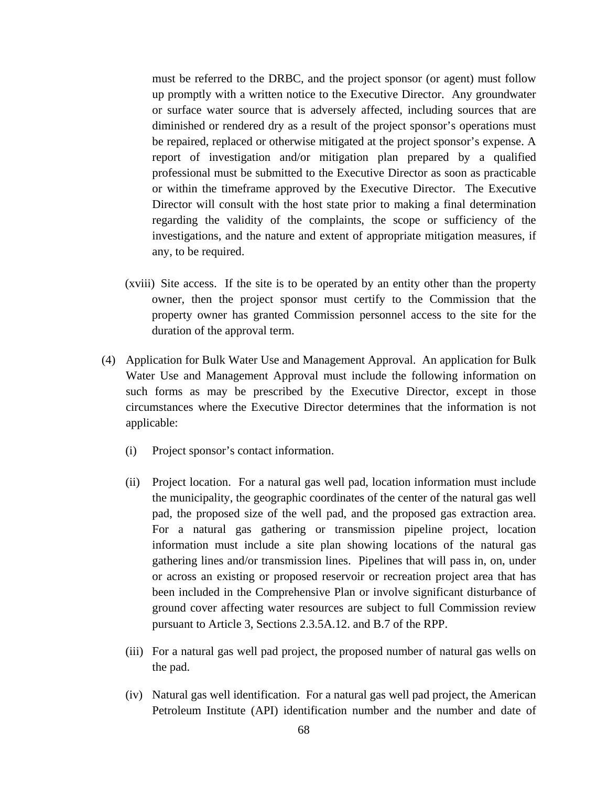must be referred to the DRBC, and the project sponsor (or agent) must follow up promptly with a written notice to the Executive Director. Any groundwater or surface water source that is adversely affected, including sources that are diminished or rendered dry as a result of the project sponsor's operations must be repaired, replaced or otherwise mitigated at the project sponsor's expense. A report of investigation and/or mitigation plan prepared by a qualified professional must be submitted to the Executive Director as soon as practicable or within the timeframe approved by the Executive Director. The Executive Director will consult with the host state prior to making a final determination regarding the validity of the complaints, the scope or sufficiency of the investigations, and the nature and extent of appropriate mitigation measures, if any, to be required.

- (xviii) Site access. If the site is to be operated by an entity other than the property owner, then the project sponsor must certify to the Commission that the property owner has granted Commission personnel access to the site for the duration of the approval term.
- (4) Application for Bulk Water Use and Management Approval. An application for Bulk Water Use and Management Approval must include the following information on such forms as may be prescribed by the Executive Director, except in those circumstances where the Executive Director determines that the information is not applicable:
	- (i) Project sponsor's contact information.
	- (ii) Project location. For a natural gas well pad, location information must include the municipality, the geographic coordinates of the center of the natural gas well pad, the proposed size of the well pad, and the proposed gas extraction area. For a natural gas gathering or transmission pipeline project, location information must include a site plan showing locations of the natural gas gathering lines and/or transmission lines. Pipelines that will pass in, on, under or across an existing or proposed reservoir or recreation project area that has been included in the Comprehensive Plan or involve significant disturbance of ground cover affecting water resources are subject to full Commission review pursuant to Article 3, Sections 2.3.5A.12. and B.7 of the RPP.
	- (iii) For a natural gas well pad project, the proposed number of natural gas wells on the pad.
	- (iv) Natural gas well identification. For a natural gas well pad project, the American Petroleum Institute (API) identification number and the number and date of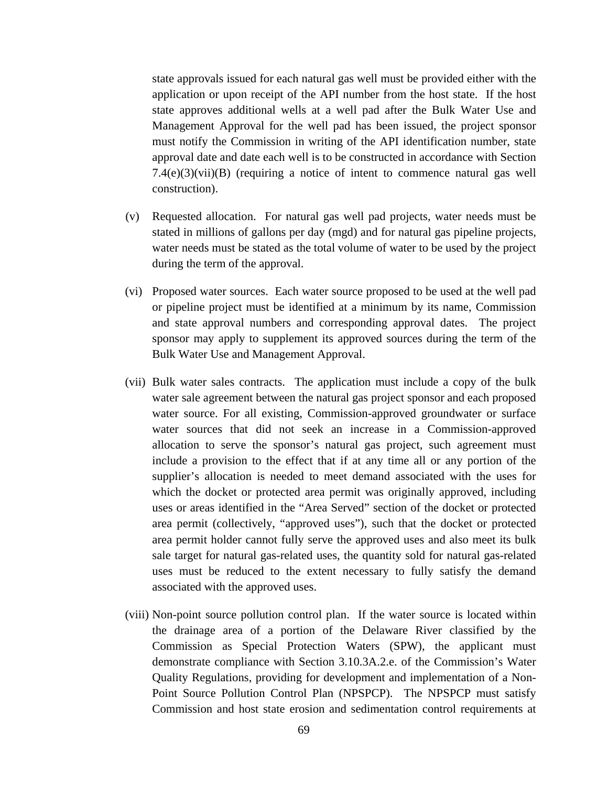state approvals issued for each natural gas well must be provided either with the application or upon receipt of the API number from the host state. If the host state approves additional wells at a well pad after the Bulk Water Use and Management Approval for the well pad has been issued, the project sponsor must notify the Commission in writing of the API identification number, state approval date and date each well is to be constructed in accordance with Section 7.4(e)(3)(vii)(B) (requiring a notice of intent to commence natural gas well construction).

- (v) Requested allocation. For natural gas well pad projects, water needs must be stated in millions of gallons per day (mgd) and for natural gas pipeline projects, water needs must be stated as the total volume of water to be used by the project during the term of the approval.
- (vi) Proposed water sources. Each water source proposed to be used at the well pad or pipeline project must be identified at a minimum by its name, Commission and state approval numbers and corresponding approval dates. The project sponsor may apply to supplement its approved sources during the term of the Bulk Water Use and Management Approval.
- (vii) Bulk water sales contracts. The application must include a copy of the bulk water sale agreement between the natural gas project sponsor and each proposed water source. For all existing, Commission-approved groundwater or surface water sources that did not seek an increase in a Commission-approved allocation to serve the sponsor's natural gas project, such agreement must include a provision to the effect that if at any time all or any portion of the supplier's allocation is needed to meet demand associated with the uses for which the docket or protected area permit was originally approved, including uses or areas identified in the "Area Served" section of the docket or protected area permit (collectively, "approved uses"), such that the docket or protected area permit holder cannot fully serve the approved uses and also meet its bulk sale target for natural gas-related uses, the quantity sold for natural gas-related uses must be reduced to the extent necessary to fully satisfy the demand associated with the approved uses.
- (viii) Non-point source pollution control plan. If the water source is located within the drainage area of a portion of the Delaware River classified by the Commission as Special Protection Waters (SPW), the applicant must demonstrate compliance with Section 3.10.3A.2.e. of the Commission's Water Quality Regulations, providing for development and implementation of a Non-Point Source Pollution Control Plan (NPSPCP). The NPSPCP must satisfy Commission and host state erosion and sedimentation control requirements at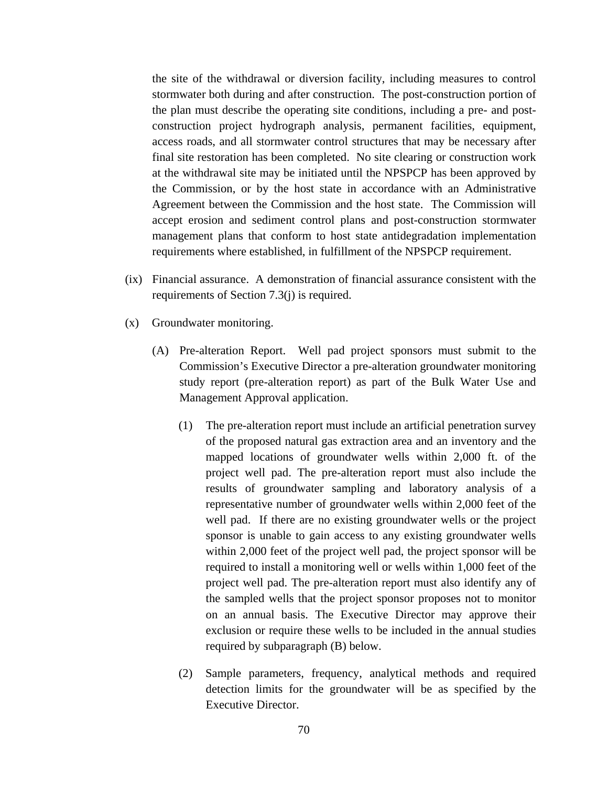the site of the withdrawal or diversion facility, including measures to control stormwater both during and after construction. The post-construction portion of the plan must describe the operating site conditions, including a pre- and postconstruction project hydrograph analysis, permanent facilities, equipment, access roads, and all stormwater control structures that may be necessary after final site restoration has been completed. No site clearing or construction work at the withdrawal site may be initiated until the NPSPCP has been approved by the Commission, or by the host state in accordance with an Administrative Agreement between the Commission and the host state. The Commission will accept erosion and sediment control plans and post-construction stormwater management plans that conform to host state antidegradation implementation requirements where established, in fulfillment of the NPSPCP requirement.

- (ix) Financial assurance. A demonstration of financial assurance consistent with the requirements of Section 7.3(j) is required.
- (x) Groundwater monitoring.
	- (A)Pre-alteration Report. Well pad project sponsors must submit to the Commission's Executive Director a pre-alteration groundwater monitoring study report (pre-alteration report) as part of the Bulk Water Use and Management Approval application.
		- (1) The pre-alteration report must include an artificial penetration survey of the proposed natural gas extraction area and an inventory and the mapped locations of groundwater wells within 2,000 ft. of the project well pad. The pre-alteration report must also include the results of groundwater sampling and laboratory analysis of a representative number of groundwater wells within 2,000 feet of the well pad. If there are no existing groundwater wells or the project sponsor is unable to gain access to any existing groundwater wells within 2,000 feet of the project well pad, the project sponsor will be required to install a monitoring well or wells within 1,000 feet of the project well pad. The pre-alteration report must also identify any of the sampled wells that the project sponsor proposes not to monitor on an annual basis. The Executive Director may approve their exclusion or require these wells to be included in the annual studies required by subparagraph (B) below.
		- (2) Sample parameters, frequency, analytical methods and required detection limits for the groundwater will be as specified by the Executive Director.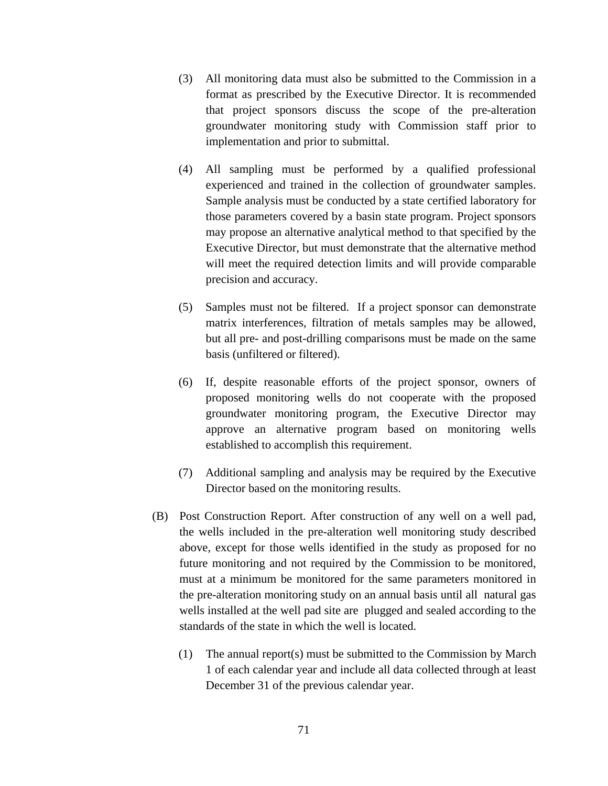- (3) All monitoring data must also be submitted to the Commission in a format as prescribed by the Executive Director. It is recommended that project sponsors discuss the scope of the pre-alteration groundwater monitoring study with Commission staff prior to implementation and prior to submittal.
- (4) All sampling must be performed by a qualified professional experienced and trained in the collection of groundwater samples. Sample analysis must be conducted by a state certified laboratory for those parameters covered by a basin state program. Project sponsors may propose an alternative analytical method to that specified by the Executive Director, but must demonstrate that the alternative method will meet the required detection limits and will provide comparable precision and accuracy.
- (5) Samples must not be filtered. If a project sponsor can demonstrate matrix interferences, filtration of metals samples may be allowed, but all pre- and post-drilling comparisons must be made on the same basis (unfiltered or filtered).
- (6) If, despite reasonable efforts of the project sponsor, owners of proposed monitoring wells do not cooperate with the proposed groundwater monitoring program, the Executive Director may approve an alternative program based on monitoring wells established to accomplish this requirement.
- (7) Additional sampling and analysis may be required by the Executive Director based on the monitoring results.
- (B) Post Construction Report. After construction of any well on a well pad, the wells included in the pre-alteration well monitoring study described above, except for those wells identified in the study as proposed for no future monitoring and not required by the Commission to be monitored, must at a minimum be monitored for the same parameters monitored in the pre-alteration monitoring study on an annual basis until all natural gas wells installed at the well pad site are plugged and sealed according to the standards of the state in which the well is located.
	- (1) The annual report(s) must be submitted to the Commission by March 1 of each calendar year and include all data collected through at least December 31 of the previous calendar year.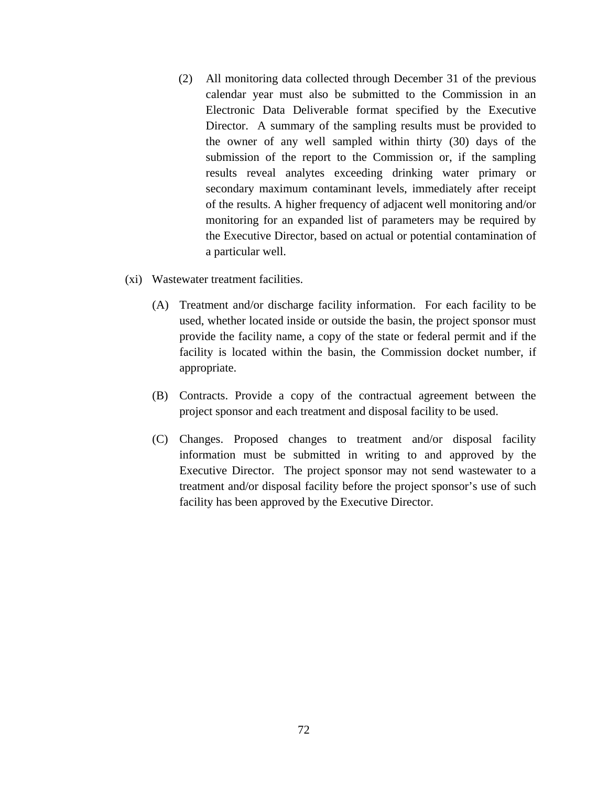- (2) All monitoring data collected through December 31 of the previous calendar year must also be submitted to the Commission in an Electronic Data Deliverable format specified by the Executive Director. A summary of the sampling results must be provided to the owner of any well sampled within thirty (30) days of the submission of the report to the Commission or, if the sampling results reveal analytes exceeding drinking water primary or secondary maximum contaminant levels, immediately after receipt of the results. A higher frequency of adjacent well monitoring and/or monitoring for an expanded list of parameters may be required by the Executive Director, based on actual or potential contamination of a particular well.
- (xi) Wastewater treatment facilities.
	- (A) Treatment and/or discharge facility information. For each facility to be used, whether located inside or outside the basin, the project sponsor must provide the facility name, a copy of the state or federal permit and if the facility is located within the basin, the Commission docket number, if appropriate.
	- (B) Contracts. Provide a copy of the contractual agreement between the project sponsor and each treatment and disposal facility to be used.
	- (C) Changes. Proposed changes to treatment and/or disposal facility information must be submitted in writing to and approved by the Executive Director. The project sponsor may not send wastewater to a treatment and/or disposal facility before the project sponsor's use of such facility has been approved by the Executive Director.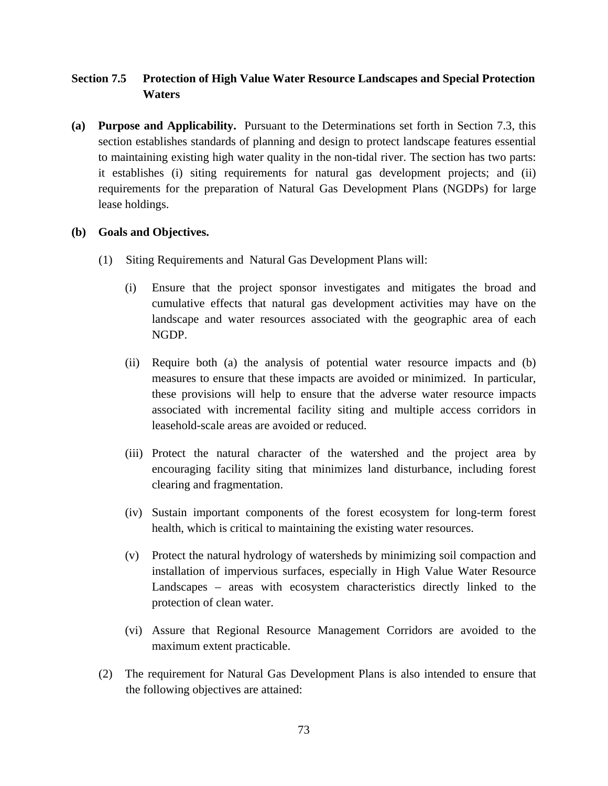# **Section 7.5 Protection of High Value Water Resource Landscapes and Special Protection Waters**

**(a) Purpose and Applicability.** Pursuant to the Determinations set forth in Section 7.3, this section establishes standards of planning and design to protect landscape features essential to maintaining existing high water quality in the non-tidal river. The section has two parts: it establishes (i) siting requirements for natural gas development projects; and (ii) requirements for the preparation of Natural Gas Development Plans (NGDPs) for large lease holdings.

## **(b) Goals and Objectives.**

- (1) Siting Requirements and Natural Gas Development Plans will:
	- (i) Ensure that the project sponsor investigates and mitigates the broad and cumulative effects that natural gas development activities may have on the landscape and water resources associated with the geographic area of each NGDP.
	- (ii) Require both (a) the analysis of potential water resource impacts and (b) measures to ensure that these impacts are avoided or minimized. In particular, these provisions will help to ensure that the adverse water resource impacts associated with incremental facility siting and multiple access corridors in leasehold-scale areas are avoided or reduced.
	- (iii) Protect the natural character of the watershed and the project area by encouraging facility siting that minimizes land disturbance, including forest clearing and fragmentation.
	- (iv) Sustain important components of the forest ecosystem for long-term forest health, which is critical to maintaining the existing water resources.
	- (v) Protect the natural hydrology of watersheds by minimizing soil compaction and installation of impervious surfaces, especially in High Value Water Resource Landscapes – areas with ecosystem characteristics directly linked to the protection of clean water.
	- (vi) Assure that Regional Resource Management Corridors are avoided to the maximum extent practicable.
- (2) The requirement for Natural Gas Development Plans is also intended to ensure that the following objectives are attained: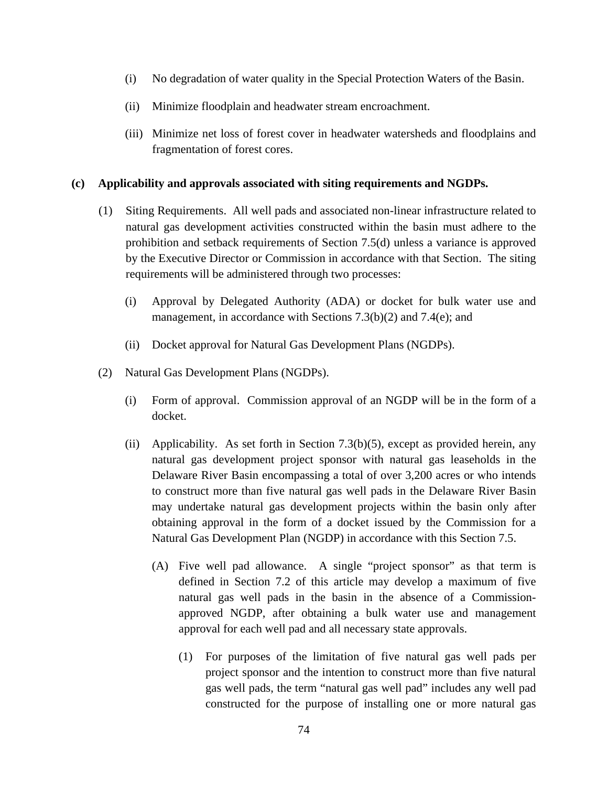- (i) No degradation of water quality in the Special Protection Waters of the Basin.
- (ii) Minimize floodplain and headwater stream encroachment.
- (iii) Minimize net loss of forest cover in headwater watersheds and floodplains and fragmentation of forest cores.

## **(c) Applicability and approvals associated with siting requirements and NGDPs.**

- (1) Siting Requirements. All well pads and associated non-linear infrastructure related to natural gas development activities constructed within the basin must adhere to the prohibition and setback requirements of Section 7.5(d) unless a variance is approved by the Executive Director or Commission in accordance with that Section. The siting requirements will be administered through two processes:
	- (i) Approval by Delegated Authority (ADA) or docket for bulk water use and management, in accordance with Sections 7.3(b)(2) and 7.4(e); and
	- (ii) Docket approval for Natural Gas Development Plans (NGDPs).
- (2) Natural Gas Development Plans (NGDPs).
	- (i) Form of approval. Commission approval of an NGDP will be in the form of a docket.
	- (ii) Applicability. As set forth in Section 7.3(b)(5), except as provided herein, any natural gas development project sponsor with natural gas leaseholds in the Delaware River Basin encompassing a total of over 3,200 acres or who intends to construct more than five natural gas well pads in the Delaware River Basin may undertake natural gas development projects within the basin only after obtaining approval in the form of a docket issued by the Commission for a Natural Gas Development Plan (NGDP) in accordance with this Section 7.5.
		- (A) Five well pad allowance. A single "project sponsor" as that term is defined in Section 7.2 of this article may develop a maximum of five natural gas well pads in the basin in the absence of a Commissionapproved NGDP, after obtaining a bulk water use and management approval for each well pad and all necessary state approvals.
			- (1) For purposes of the limitation of five natural gas well pads per project sponsor and the intention to construct more than five natural gas well pads, the term "natural gas well pad" includes any well pad constructed for the purpose of installing one or more natural gas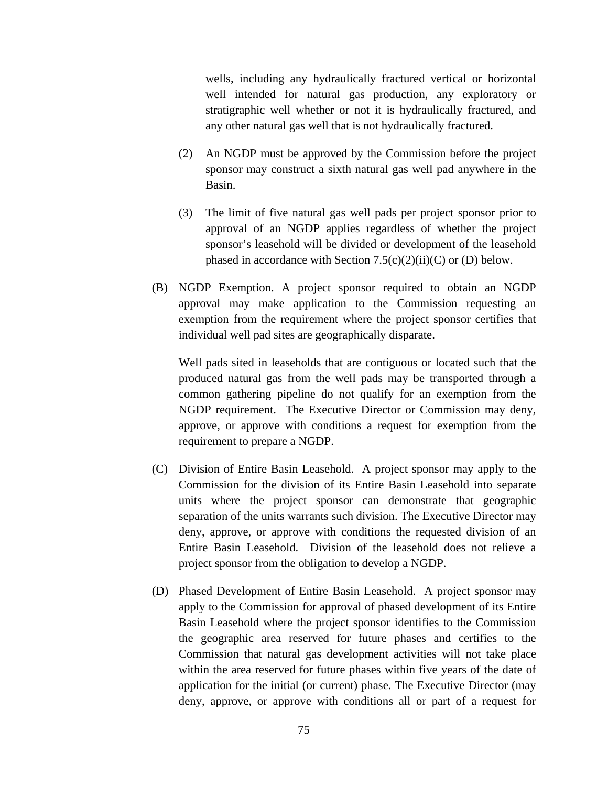wells, including any hydraulically fractured vertical or horizontal well intended for natural gas production, any exploratory or stratigraphic well whether or not it is hydraulically fractured, and any other natural gas well that is not hydraulically fractured.

- (2) An NGDP must be approved by the Commission before the project sponsor may construct a sixth natural gas well pad anywhere in the Basin.
- (3) The limit of five natural gas well pads per project sponsor prior to approval of an NGDP applies regardless of whether the project sponsor's leasehold will be divided or development of the leasehold phased in accordance with Section  $7.5(c)(2)(ii)(C)$  or (D) below.
- (B) NGDP Exemption. A project sponsor required to obtain an NGDP approval may make application to the Commission requesting an exemption from the requirement where the project sponsor certifies that individual well pad sites are geographically disparate.

 Well pads sited in leaseholds that are contiguous or located such that the produced natural gas from the well pads may be transported through a common gathering pipeline do not qualify for an exemption from the NGDP requirement. The Executive Director or Commission may deny, approve, or approve with conditions a request for exemption from the requirement to prepare a NGDP.

- (C) Division of Entire Basin Leasehold. A project sponsor may apply to the Commission for the division of its Entire Basin Leasehold into separate units where the project sponsor can demonstrate that geographic separation of the units warrants such division. The Executive Director may deny, approve, or approve with conditions the requested division of an Entire Basin Leasehold. Division of the leasehold does not relieve a project sponsor from the obligation to develop a NGDP.
- (D) Phased Development of Entire Basin Leasehold. A project sponsor may apply to the Commission for approval of phased development of its Entire Basin Leasehold where the project sponsor identifies to the Commission the geographic area reserved for future phases and certifies to the Commission that natural gas development activities will not take place within the area reserved for future phases within five years of the date of application for the initial (or current) phase. The Executive Director (may deny, approve, or approve with conditions all or part of a request for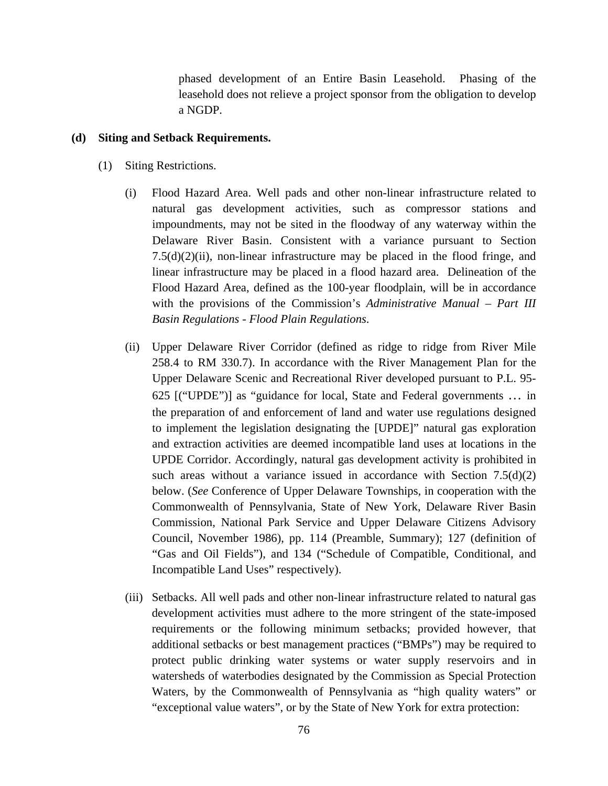phased development of an Entire Basin Leasehold. Phasing of the leasehold does not relieve a project sponsor from the obligation to develop a NGDP.

#### **(d) Siting and Setback Requirements.**

- (1) Siting Restrictions.
	- (i) Flood Hazard Area. Well pads and other non-linear infrastructure related to natural gas development activities, such as compressor stations and impoundments, may not be sited in the floodway of any waterway within the Delaware River Basin. Consistent with a variance pursuant to Section  $7.5(d)(2)(ii)$ , non-linear infrastructure may be placed in the flood fringe, and linear infrastructure may be placed in a flood hazard area. Delineation of the Flood Hazard Area, defined as the 100-year floodplain, will be in accordance with the provisions of the Commission's *Administrative Manual – Part III Basin Regulations - Flood Plain Regulations*.
	- (ii) Upper Delaware River Corridor (defined as ridge to ridge from River Mile 258.4 to RM 330.7). In accordance with the River Management Plan for the Upper Delaware Scenic and Recreational River developed pursuant to P.L. 95- 625 [("UPDE")] as "guidance for local, State and Federal governments … in the preparation of and enforcement of land and water use regulations designed to implement the legislation designating the [UPDE]" natural gas exploration and extraction activities are deemed incompatible land uses at locations in the UPDE Corridor. Accordingly, natural gas development activity is prohibited in such areas without a variance issued in accordance with Section  $7.5(d)(2)$ below. (*See* Conference of Upper Delaware Townships, in cooperation with the Commonwealth of Pennsylvania, State of New York, Delaware River Basin Commission, National Park Service and Upper Delaware Citizens Advisory Council, November 1986), pp. 114 (Preamble, Summary); 127 (definition of "Gas and Oil Fields"), and 134 ("Schedule of Compatible, Conditional, and Incompatible Land Uses" respectively).
	- (iii)Setbacks. All well pads and other non-linear infrastructure related to natural gas development activities must adhere to the more stringent of the state-imposed requirements or the following minimum setbacks; provided however, that additional setbacks or best management practices ("BMPs") may be required to protect public drinking water systems or water supply reservoirs and in watersheds of waterbodies designated by the Commission as Special Protection Waters, by the Commonwealth of Pennsylvania as "high quality waters" or "exceptional value waters", or by the State of New York for extra protection: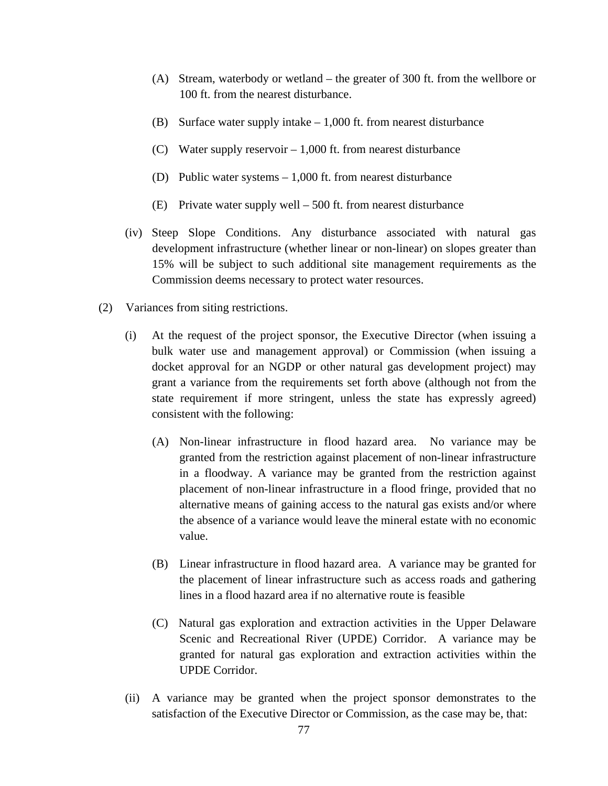- (A) Stream, waterbody or wetland the greater of 300 ft. from the wellbore or 100 ft. from the nearest disturbance.
- (B) Surface water supply intake  $-1,000$  ft. from nearest disturbance
- (C) Water supply reservoir 1,000 ft. from nearest disturbance
- (D) Public water systems 1,000 ft. from nearest disturbance
- (E) Private water supply well 500 ft. from nearest disturbance
- (iv) Steep Slope Conditions. Any disturbance associated with natural gas development infrastructure (whether linear or non-linear) on slopes greater than 15% will be subject to such additional site management requirements as the Commission deems necessary to protect water resources.
- (2)Variances from siting restrictions.
	- (i) At the request of the project sponsor, the Executive Director (when issuing a bulk water use and management approval) or Commission (when issuing a docket approval for an NGDP or other natural gas development project) may grant a variance from the requirements set forth above (although not from the state requirement if more stringent, unless the state has expressly agreed) consistent with the following:
		- (A) Non-linear infrastructure in flood hazard area. No variance may be granted from the restriction against placement of non-linear infrastructure in a floodway. A variance may be granted from the restriction against placement of non-linear infrastructure in a flood fringe, provided that no alternative means of gaining access to the natural gas exists and/or where the absence of a variance would leave the mineral estate with no economic value.
		- (B) Linear infrastructure in flood hazard area. A variance may be granted for the placement of linear infrastructure such as access roads and gathering lines in a flood hazard area if no alternative route is feasible
		- (C) Natural gas exploration and extraction activities in the Upper Delaware Scenic and Recreational River (UPDE) Corridor. A variance may be granted for natural gas exploration and extraction activities within the UPDE Corridor.
	- (ii) A variance may be granted when the project sponsor demonstrates to the satisfaction of the Executive Director or Commission, as the case may be, that: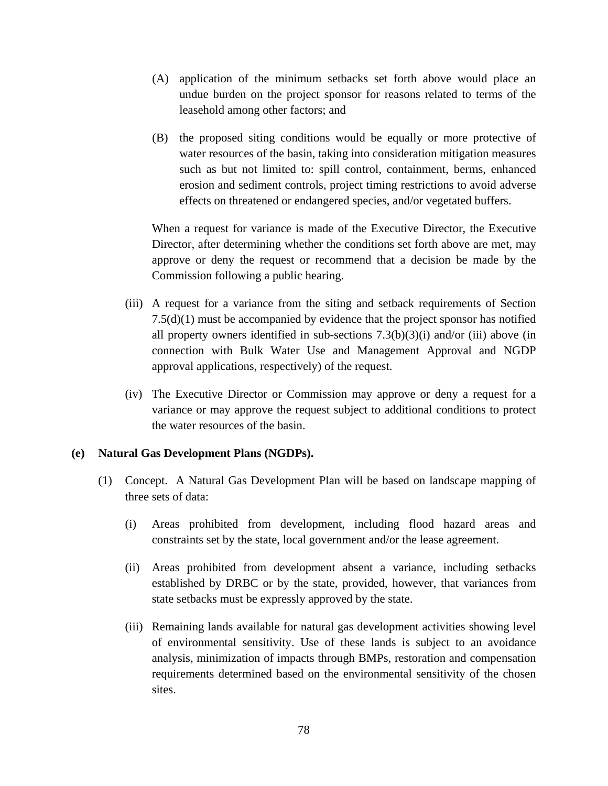- (A) application of the minimum setbacks set forth above would place an undue burden on the project sponsor for reasons related to terms of the leasehold among other factors; and
- (B) the proposed siting conditions would be equally or more protective of water resources of the basin, taking into consideration mitigation measures such as but not limited to: spill control, containment, berms, enhanced erosion and sediment controls, project timing restrictions to avoid adverse effects on threatened or endangered species, and/or vegetated buffers.

When a request for variance is made of the Executive Director, the Executive Director, after determining whether the conditions set forth above are met, may approve or deny the request or recommend that a decision be made by the Commission following a public hearing.

- (iii) A request for a variance from the siting and setback requirements of Section 7.5(d)(1) must be accompanied by evidence that the project sponsor has notified all property owners identified in sub-sections  $7.3(b)(3)(i)$  and/or (iii) above (in connection with Bulk Water Use and Management Approval and NGDP approval applications, respectively) of the request.
- (iv) The Executive Director or Commission may approve or deny a request for a variance or may approve the request subject to additional conditions to protect the water resources of the basin.

## **(e) Natural Gas Development Plans (NGDPs).**

- (1) Concept. A Natural Gas Development Plan will be based on landscape mapping of three sets of data:
	- (i) Areas prohibited from development, including flood hazard areas and constraints set by the state, local government and/or the lease agreement.
	- (ii) Areas prohibited from development absent a variance, including setbacks established by DRBC or by the state, provided, however, that variances from state setbacks must be expressly approved by the state.
	- (iii) Remaining lands available for natural gas development activities showing level of environmental sensitivity. Use of these lands is subject to an avoidance analysis, minimization of impacts through BMPs, restoration and compensation requirements determined based on the environmental sensitivity of the chosen sites.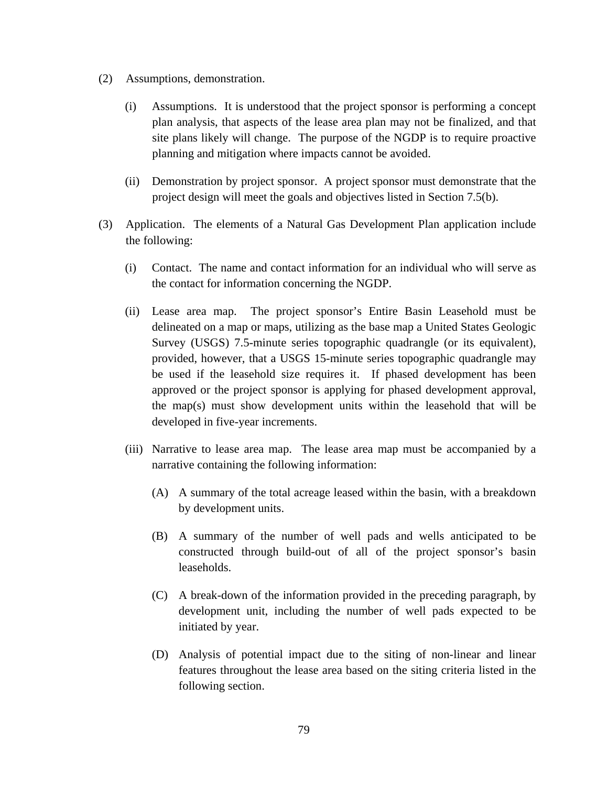- (2) Assumptions, demonstration.
	- (i) Assumptions. It is understood that the project sponsor is performing a concept plan analysis, that aspects of the lease area plan may not be finalized, and that site plans likely will change. The purpose of the NGDP is to require proactive planning and mitigation where impacts cannot be avoided.
	- (ii) Demonstration by project sponsor. A project sponsor must demonstrate that the project design will meet the goals and objectives listed in Section 7.5(b).
- (3) Application. The elements of a Natural Gas Development Plan application include the following:
	- (i) Contact. The name and contact information for an individual who will serve as the contact for information concerning the NGDP.
	- (ii) Lease area map. The project sponsor's Entire Basin Leasehold must be delineated on a map or maps, utilizing as the base map a United States Geologic Survey (USGS) 7.5-minute series topographic quadrangle (or its equivalent), provided, however, that a USGS 15-minute series topographic quadrangle may be used if the leasehold size requires it. If phased development has been approved or the project sponsor is applying for phased development approval, the map(s) must show development units within the leasehold that will be developed in five-year increments.
	- (iii) Narrative to lease area map. The lease area map must be accompanied by a narrative containing the following information:
		- (A) A summary of the total acreage leased within the basin, with a breakdown by development units.
		- (B) A summary of the number of well pads and wells anticipated to be constructed through build-out of all of the project sponsor's basin leaseholds.
		- (C) A break-down of the information provided in the preceding paragraph, by development unit, including the number of well pads expected to be initiated by year.
		- (D) Analysis of potential impact due to the siting of non-linear and linear features throughout the lease area based on the siting criteria listed in the following section.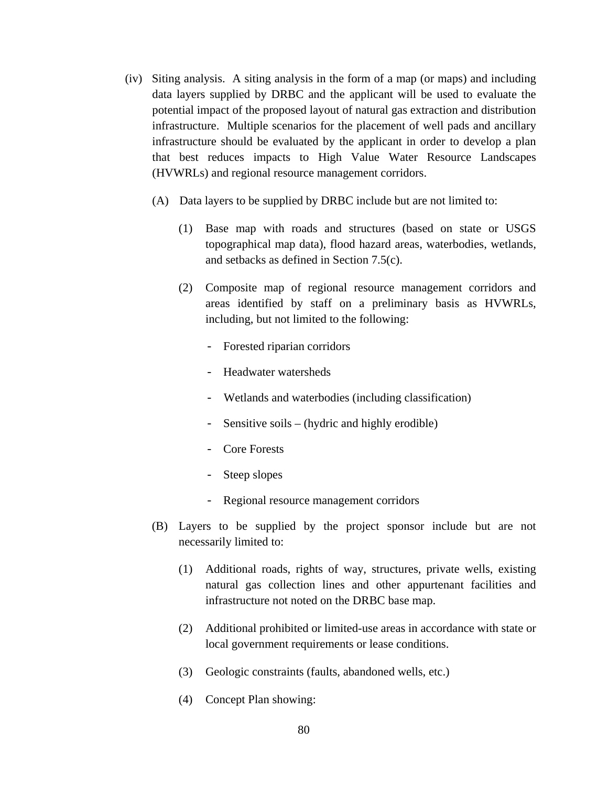- (iv) Siting analysis. A siting analysis in the form of a map (or maps) and including data layers supplied by DRBC and the applicant will be used to evaluate the potential impact of the proposed layout of natural gas extraction and distribution infrastructure. Multiple scenarios for the placement of well pads and ancillary infrastructure should be evaluated by the applicant in order to develop a plan that best reduces impacts to High Value Water Resource Landscapes (HVWRLs) and regional resource management corridors.
	- (A) Data layers to be supplied by DRBC include but are not limited to:
		- (1) Base map with roads and structures (based on state or USGS topographical map data), flood hazard areas, waterbodies, wetlands, and setbacks as defined in Section 7.5(c).
		- (2) Composite map of regional resource management corridors and areas identified by staff on a preliminary basis as HVWRLs, including, but not limited to the following:
			- Forested riparian corridors
			- Headwater watersheds
			- Wetlands and waterbodies (including classification)
			- Sensitive soils (hydric and highly erodible)
			- Core Forests
			- Steep slopes
			- Regional resource management corridors
	- (B) Layers to be supplied by the project sponsor include but are not necessarily limited to:
		- (1) Additional roads, rights of way, structures, private wells, existing natural gas collection lines and other appurtenant facilities and infrastructure not noted on the DRBC base map.
		- (2) Additional prohibited or limited-use areas in accordance with state or local government requirements or lease conditions.
		- (3) Geologic constraints (faults, abandoned wells, etc.)
		- (4) Concept Plan showing: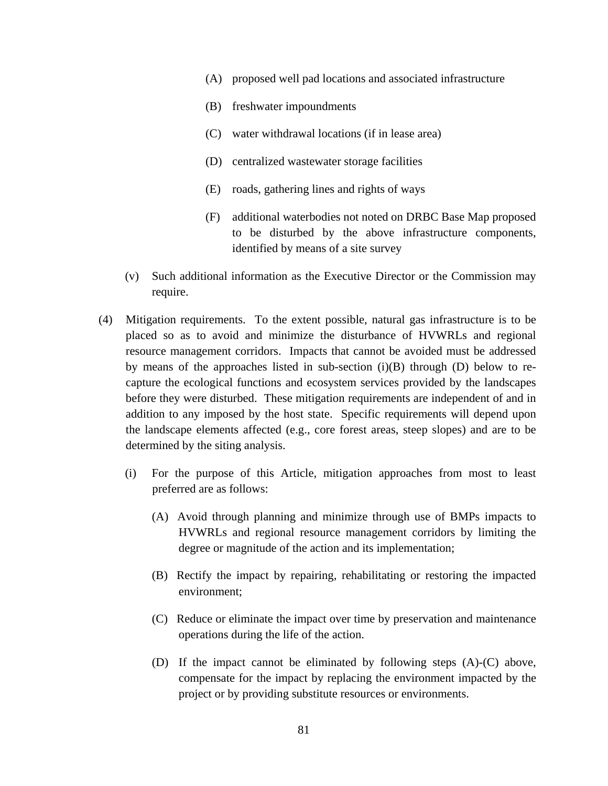- (A) proposed well pad locations and associated infrastructure
- (B) freshwater impoundments
- (C) water withdrawal locations (if in lease area)
- (D) centralized wastewater storage facilities
- (E) roads, gathering lines and rights of ways
- (F) additional waterbodies not noted on DRBC Base Map proposed to be disturbed by the above infrastructure components, identified by means of a site survey
- (v) Such additional information as the Executive Director or the Commission may require.
- (4) Mitigation requirements. To the extent possible, natural gas infrastructure is to be placed so as to avoid and minimize the disturbance of HVWRLs and regional resource management corridors. Impacts that cannot be avoided must be addressed by means of the approaches listed in sub-section  $(i)(B)$  through  $(D)$  below to recapture the ecological functions and ecosystem services provided by the landscapes before they were disturbed. These mitigation requirements are independent of and in addition to any imposed by the host state. Specific requirements will depend upon the landscape elements affected (e.g., core forest areas, steep slopes) and are to be determined by the siting analysis.
	- (i) For the purpose of this Article, mitigation approaches from most to least preferred are as follows:
		- (A) Avoid through planning and minimize through use of BMPs impacts to HVWRLs and regional resource management corridors by limiting the degree or magnitude of the action and its implementation;
		- (B) Rectify the impact by repairing, rehabilitating or restoring the impacted environment;
		- (C) Reduce or eliminate the impact over time by preservation and maintenance operations during the life of the action.
		- (D) If the impact cannot be eliminated by following steps (A)-(C) above, compensate for the impact by replacing the environment impacted by the project or by providing substitute resources or environments.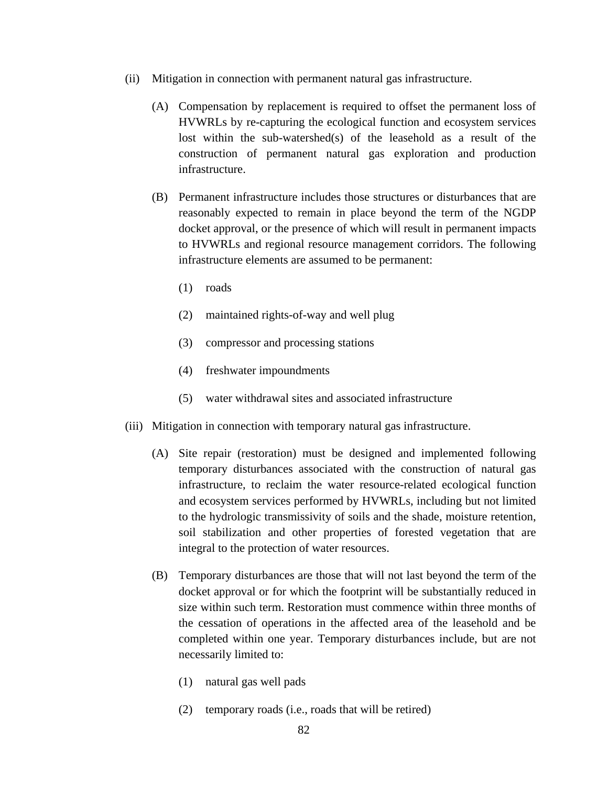- (ii) Mitigation in connection with permanent natural gas infrastructure.
	- (A) Compensation by replacement is required to offset the permanent loss of HVWRLs by re-capturing the ecological function and ecosystem services lost within the sub-watershed(s) of the leasehold as a result of the construction of permanent natural gas exploration and production infrastructure.
	- (B) Permanent infrastructure includes those structures or disturbances that are reasonably expected to remain in place beyond the term of the NGDP docket approval, or the presence of which will result in permanent impacts to HVWRLs and regional resource management corridors. The following infrastructure elements are assumed to be permanent:
		- (1) roads
		- (2) maintained rights-of-way and well plug
		- (3) compressor and processing stations
		- (4) freshwater impoundments
		- (5) water withdrawal sites and associated infrastructure
- (iii) Mitigation in connection with temporary natural gas infrastructure.
	- (A) Site repair (restoration) must be designed and implemented following temporary disturbances associated with the construction of natural gas infrastructure, to reclaim the water resource-related ecological function and ecosystem services performed by HVWRLs, including but not limited to the hydrologic transmissivity of soils and the shade, moisture retention, soil stabilization and other properties of forested vegetation that are integral to the protection of water resources.
	- (B) Temporary disturbances are those that will not last beyond the term of the docket approval or for which the footprint will be substantially reduced in size within such term. Restoration must commence within three months of the cessation of operations in the affected area of the leasehold and be completed within one year. Temporary disturbances include, but are not necessarily limited to:
		- (1) natural gas well pads
		- (2) temporary roads (i.e., roads that will be retired)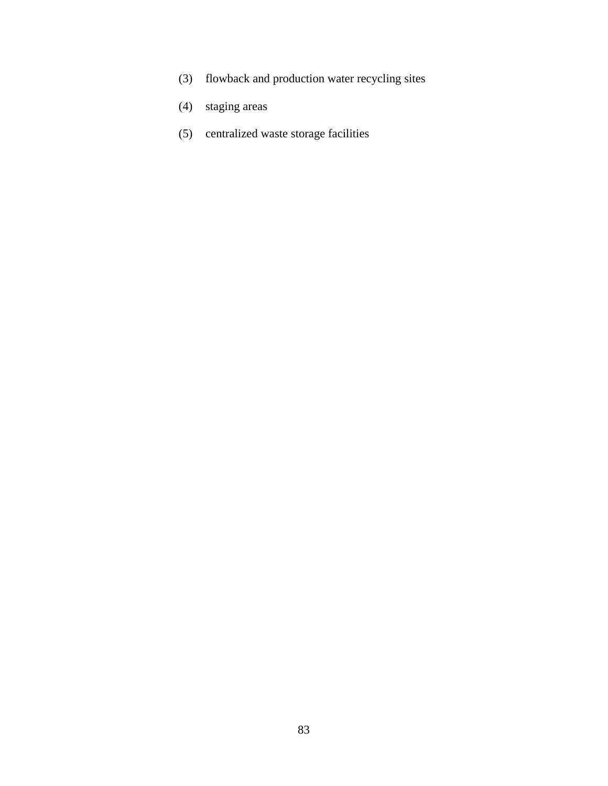- (3) flowback and production water recycling sites
- (4) staging areas
- (5) centralized waste storage facilities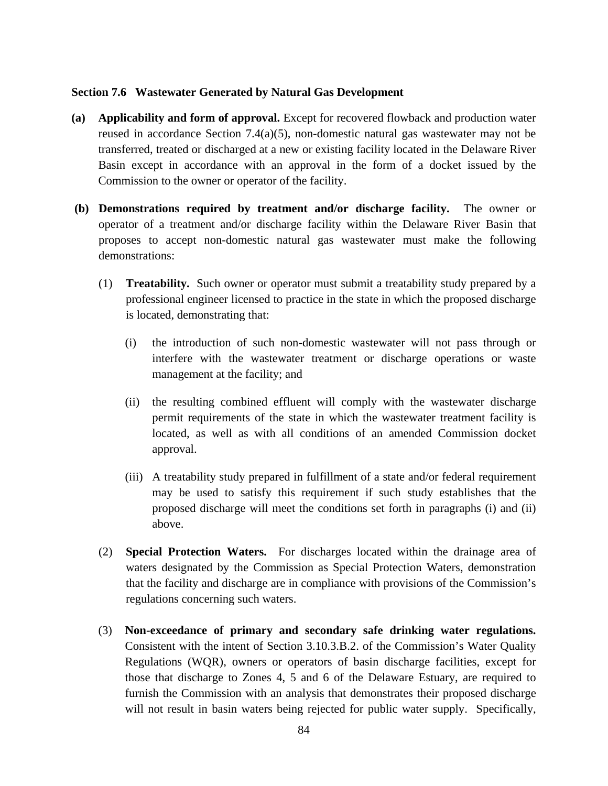## **Section 7.6 Wastewater Generated by Natural Gas Development**

- **(a) Applicability and form of approval.** Except for recovered flowback and production water reused in accordance Section 7.4(a)(5), non-domestic natural gas wastewater may not be transferred, treated or discharged at a new or existing facility located in the Delaware River Basin except in accordance with an approval in the form of a docket issued by the Commission to the owner or operator of the facility.
- **(b) Demonstrations required by treatment and/or discharge facility.** The owner or operator of a treatment and/or discharge facility within the Delaware River Basin that proposes to accept non-domestic natural gas wastewater must make the following demonstrations:
	- (1) **Treatability.** Such owner or operator must submit a treatability study prepared by a professional engineer licensed to practice in the state in which the proposed discharge is located, demonstrating that:
		- (i) the introduction of such non-domestic wastewater will not pass through or interfere with the wastewater treatment or discharge operations or waste management at the facility; and
		- (ii) the resulting combined effluent will comply with the wastewater discharge permit requirements of the state in which the wastewater treatment facility is located, as well as with all conditions of an amended Commission docket approval.
		- (iii) A treatability study prepared in fulfillment of a state and/or federal requirement may be used to satisfy this requirement if such study establishes that the proposed discharge will meet the conditions set forth in paragraphs (i) and (ii) above.
	- (2) **Special Protection Waters.** For discharges located within the drainage area of waters designated by the Commission as Special Protection Waters, demonstration that the facility and discharge are in compliance with provisions of the Commission's regulations concerning such waters.
	- (3) **Non-exceedance of primary and secondary safe drinking water regulations.**  Consistent with the intent of Section 3.10.3.B.2. of the Commission's Water Quality Regulations (WQR), owners or operators of basin discharge facilities, except for those that discharge to Zones 4, 5 and 6 of the Delaware Estuary, are required to furnish the Commission with an analysis that demonstrates their proposed discharge will not result in basin waters being rejected for public water supply. Specifically,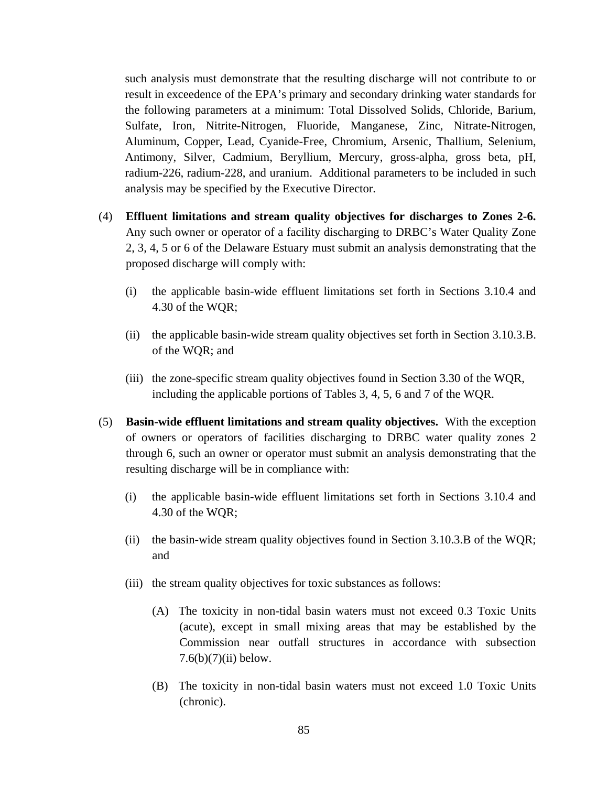such analysis must demonstrate that the resulting discharge will not contribute to or result in exceedence of the EPA's primary and secondary drinking water standards for the following parameters at a minimum: Total Dissolved Solids, Chloride, Barium, Sulfate, Iron, Nitrite-Nitrogen, Fluoride, Manganese, Zinc, Nitrate-Nitrogen, Aluminum, Copper, Lead, Cyanide-Free, Chromium, Arsenic, Thallium, Selenium, Antimony, Silver, Cadmium, Beryllium, Mercury, gross-alpha, gross beta, pH, radium-226, radium-228, and uranium. Additional parameters to be included in such analysis may be specified by the Executive Director.

- (4) **Effluent limitations and stream quality objectives for discharges to Zones 2-6.** Any such owner or operator of a facility discharging to DRBC's Water Quality Zone 2, 3, 4, 5 or 6 of the Delaware Estuary must submit an analysis demonstrating that the proposed discharge will comply with:
	- (i) the applicable basin-wide effluent limitations set forth in Sections 3.10.4 and 4.30 of the WQR;
	- (ii) the applicable basin-wide stream quality objectives set forth in Section 3.10.3.B. of the WQR; and
	- (iii) the zone-specific stream quality objectives found in Section 3.30 of the WQR, including the applicable portions of Tables 3, 4, 5, 6 and 7 of the WQR.
- (5) **Basin-wide effluent limitations and stream quality objectives.** With the exception of owners or operators of facilities discharging to DRBC water quality zones 2 through 6, such an owner or operator must submit an analysis demonstrating that the resulting discharge will be in compliance with:
	- (i) the applicable basin-wide effluent limitations set forth in Sections 3.10.4 and 4.30 of the WQR;
	- (ii) the basin-wide stream quality objectives found in Section 3.10.3.B of the WQR; and
	- (iii) the stream quality objectives for toxic substances as follows:
		- (A) The toxicity in non-tidal basin waters must not exceed 0.3 Toxic Units (acute), except in small mixing areas that may be established by the Commission near outfall structures in accordance with subsection  $7.6(b)(7)(ii)$  below.
		- (B) The toxicity in non-tidal basin waters must not exceed 1.0 Toxic Units (chronic).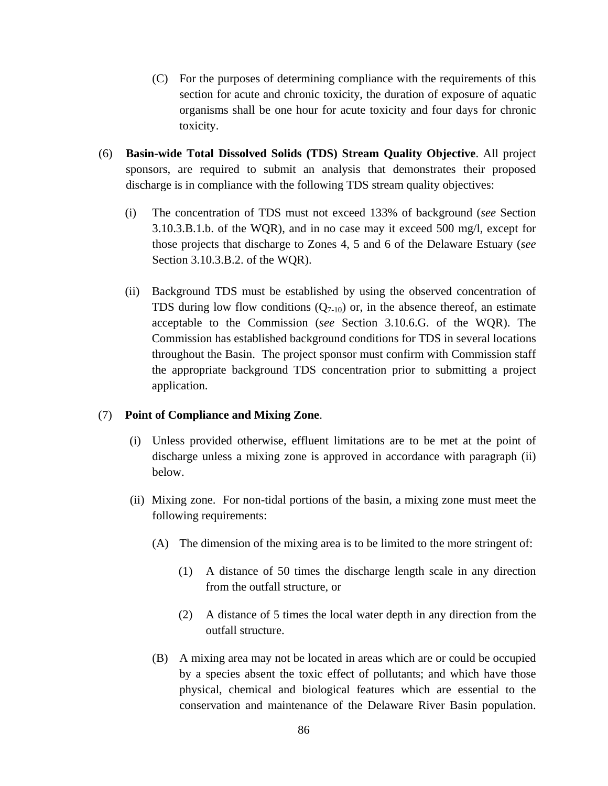- (C) For the purposes of determining compliance with the requirements of this section for acute and chronic toxicity, the duration of exposure of aquatic organisms shall be one hour for acute toxicity and four days for chronic toxicity.
- (6) **Basin-wide Total Dissolved Solids (TDS) Stream Quality Objective**. All project sponsors, are required to submit an analysis that demonstrates their proposed discharge is in compliance with the following TDS stream quality objectives:
	- (i) The concentration of TDS must not exceed 133% of background (*see* Section 3.10.3.B.1.b. of the WQR), and in no case may it exceed 500 mg/l, except for those projects that discharge to Zones 4, 5 and 6 of the Delaware Estuary (*see*  Section 3.10.3.B.2. of the WQR).
	- (ii) Background TDS must be established by using the observed concentration of TDS during low flow conditions  $(Q_{7-10})$  or, in the absence thereof, an estimate acceptable to the Commission (*see* Section 3.10.6.G. of the WQR). The Commission has established background conditions for TDS in several locations throughout the Basin. The project sponsor must confirm with Commission staff the appropriate background TDS concentration prior to submitting a project application.

## (7) **Point of Compliance and Mixing Zone**.

- (i) Unless provided otherwise, effluent limitations are to be met at the point of discharge unless a mixing zone is approved in accordance with paragraph (ii) below.
- (ii) Mixing zone. For non-tidal portions of the basin, a mixing zone must meet the following requirements:
	- (A) The dimension of the mixing area is to be limited to the more stringent of:
		- (1) A distance of 50 times the discharge length scale in any direction from the outfall structure, or
		- (2) A distance of 5 times the local water depth in any direction from the outfall structure.
	- (B) A mixing area may not be located in areas which are or could be occupied by a species absent the toxic effect of pollutants; and which have those physical, chemical and biological features which are essential to the conservation and maintenance of the Delaware River Basin population.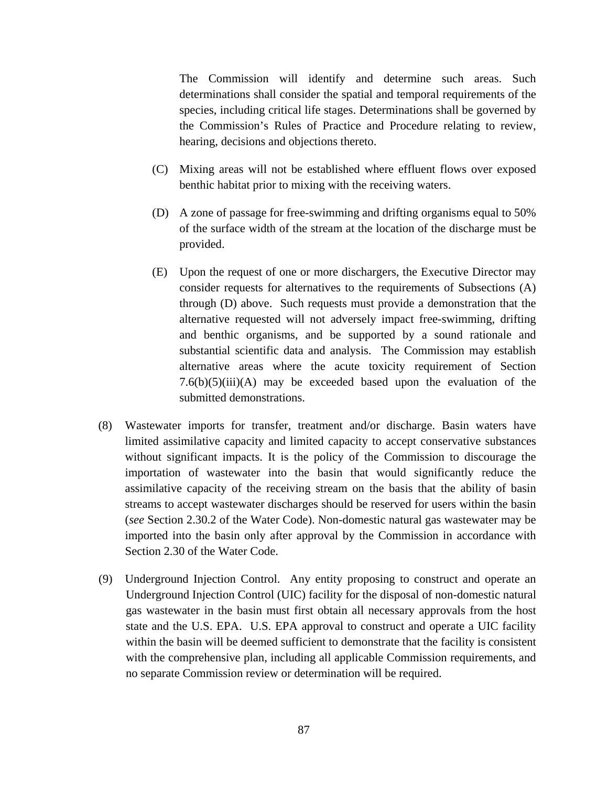The Commission will identify and determine such areas. Such determinations shall consider the spatial and temporal requirements of the species, including critical life stages. Determinations shall be governed by the Commission's Rules of Practice and Procedure relating to review, hearing, decisions and objections thereto.

- (C) Mixing areas will not be established where effluent flows over exposed benthic habitat prior to mixing with the receiving waters.
- (D) A zone of passage for free-swimming and drifting organisms equal to 50% of the surface width of the stream at the location of the discharge must be provided.
- (E) Upon the request of one or more dischargers, the Executive Director may consider requests for alternatives to the requirements of Subsections (A) through (D) above. Such requests must provide a demonstration that the alternative requested will not adversely impact free-swimming, drifting and benthic organisms, and be supported by a sound rationale and substantial scientific data and analysis. The Commission may establish alternative areas where the acute toxicity requirement of Section  $7.6(b)(5)(iii)(A)$  may be exceeded based upon the evaluation of the submitted demonstrations.
- (8) Wastewater imports for transfer, treatment and/or discharge. Basin waters have limited assimilative capacity and limited capacity to accept conservative substances without significant impacts. It is the policy of the Commission to discourage the importation of wastewater into the basin that would significantly reduce the assimilative capacity of the receiving stream on the basis that the ability of basin streams to accept wastewater discharges should be reserved for users within the basin (*see* Section 2.30.2 of the Water Code). Non-domestic natural gas wastewater may be imported into the basin only after approval by the Commission in accordance with Section 2.30 of the Water Code.
- (9) Underground Injection Control. Any entity proposing to construct and operate an Underground Injection Control (UIC) facility for the disposal of non-domestic natural gas wastewater in the basin must first obtain all necessary approvals from the host state and the U.S. EPA. U.S. EPA approval to construct and operate a UIC facility within the basin will be deemed sufficient to demonstrate that the facility is consistent with the comprehensive plan, including all applicable Commission requirements, and no separate Commission review or determination will be required.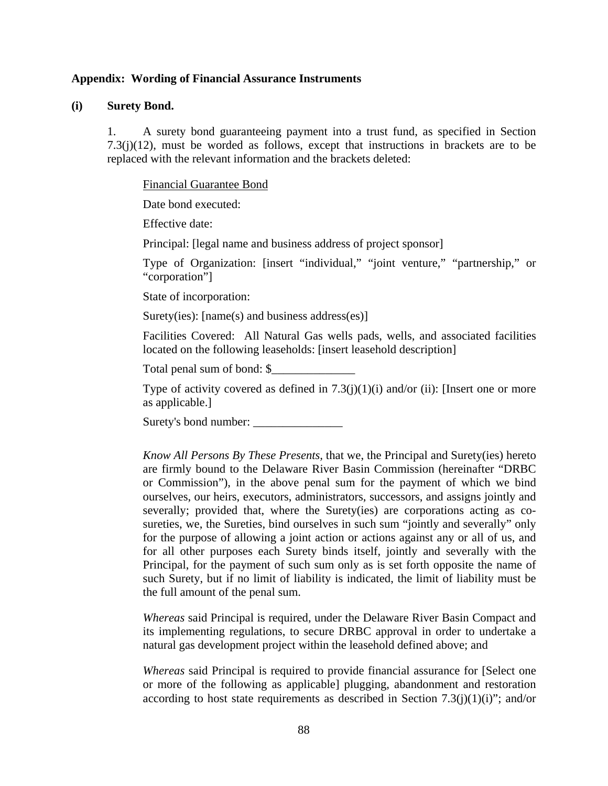#### **Appendix: Wording of Financial Assurance Instruments**

#### **(i) Surety Bond.**

1. A surety bond guaranteeing payment into a trust fund, as specified in Section  $7.3(j)(12)$ , must be worded as follows, except that instructions in brackets are to be replaced with the relevant information and the brackets deleted:

Financial Guarantee Bond

Date bond executed:

Effective date:

Principal: [legal name and business address of project sponsor]

Type of Organization: [insert "individual," "joint venture," "partnership," or "corporation"]

State of incorporation:

Surety(ies): [name(s) and business address(es)]

Facilities Covered: All Natural Gas wells pads, wells, and associated facilities located on the following leaseholds: [insert leasehold description]

Total penal sum of bond: \$

Type of activity covered as defined in  $7.3(j)(1)(i)$  and/or (ii): [Insert one or more as applicable.]

Surety's bond number:

*Know All Persons By These Presents,* that we, the Principal and Surety(ies) hereto are firmly bound to the Delaware River Basin Commission (hereinafter "DRBC or Commission"), in the above penal sum for the payment of which we bind ourselves, our heirs, executors, administrators, successors, and assigns jointly and severally; provided that, where the Surety(ies) are corporations acting as cosureties, we, the Sureties, bind ourselves in such sum "jointly and severally" only for the purpose of allowing a joint action or actions against any or all of us, and for all other purposes each Surety binds itself, jointly and severally with the Principal, for the payment of such sum only as is set forth opposite the name of such Surety, but if no limit of liability is indicated, the limit of liability must be the full amount of the penal sum.

*Whereas* said Principal is required, under the Delaware River Basin Compact and its implementing regulations, to secure DRBC approval in order to undertake a natural gas development project within the leasehold defined above; and

*Whereas* said Principal is required to provide financial assurance for [Select one or more of the following as applicable] plugging, abandonment and restoration according to host state requirements as described in Section 7.3(j)(1)(i)"; and/or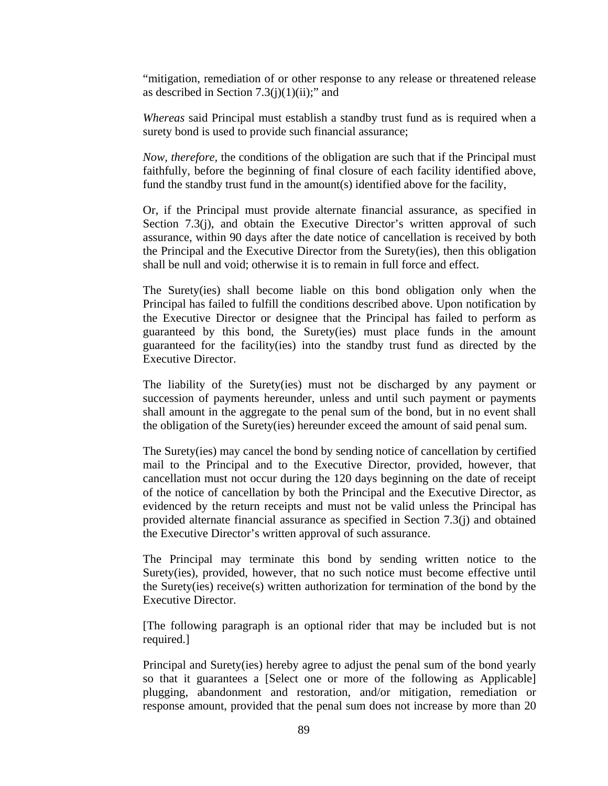"mitigation, remediation of or other response to any release or threatened release as described in Section  $7.3(j)(1)(ii)$ ;" and

*Whereas* said Principal must establish a standby trust fund as is required when a surety bond is used to provide such financial assurance;

*Now, therefore,* the conditions of the obligation are such that if the Principal must faithfully, before the beginning of final closure of each facility identified above, fund the standby trust fund in the amount(s) identified above for the facility,

Or, if the Principal must provide alternate financial assurance, as specified in Section 7.3(j), and obtain the Executive Director's written approval of such assurance, within 90 days after the date notice of cancellation is received by both the Principal and the Executive Director from the Surety(ies), then this obligation shall be null and void; otherwise it is to remain in full force and effect.

The Surety(ies) shall become liable on this bond obligation only when the Principal has failed to fulfill the conditions described above. Upon notification by the Executive Director or designee that the Principal has failed to perform as guaranteed by this bond, the Surety(ies) must place funds in the amount guaranteed for the facility(ies) into the standby trust fund as directed by the Executive Director.

The liability of the Surety(ies) must not be discharged by any payment or succession of payments hereunder, unless and until such payment or payments shall amount in the aggregate to the penal sum of the bond, but in no event shall the obligation of the Surety(ies) hereunder exceed the amount of said penal sum.

The Surety(ies) may cancel the bond by sending notice of cancellation by certified mail to the Principal and to the Executive Director, provided, however, that cancellation must not occur during the 120 days beginning on the date of receipt of the notice of cancellation by both the Principal and the Executive Director, as evidenced by the return receipts and must not be valid unless the Principal has provided alternate financial assurance as specified in Section 7.3(j) and obtained the Executive Director's written approval of such assurance.

The Principal may terminate this bond by sending written notice to the Surety(ies), provided, however, that no such notice must become effective until the Surety(ies) receive(s) written authorization for termination of the bond by the Executive Director.

[The following paragraph is an optional rider that may be included but is not required.]

Principal and Surety(ies) hereby agree to adjust the penal sum of the bond yearly so that it guarantees a [Select one or more of the following as Applicable] plugging, abandonment and restoration, and/or mitigation, remediation or response amount, provided that the penal sum does not increase by more than 20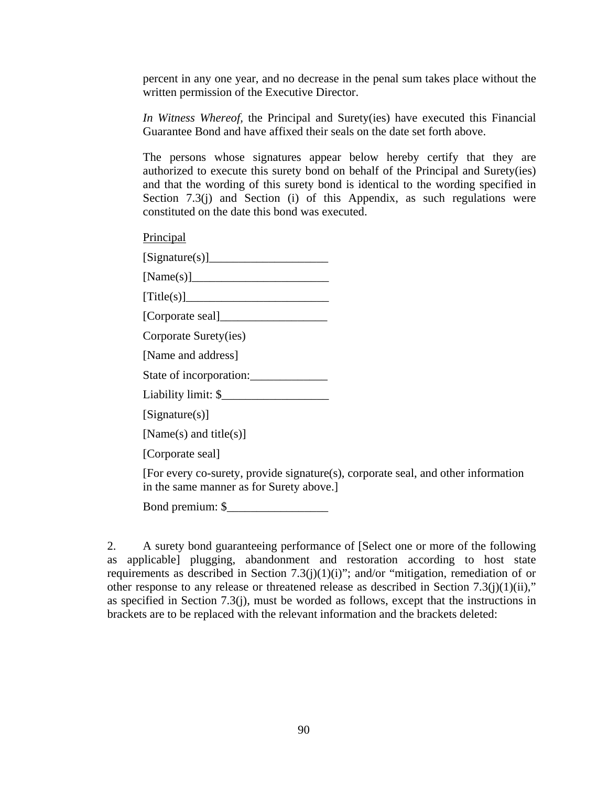percent in any one year, and no decrease in the penal sum takes place without the written permission of the Executive Director.

*In Witness Whereof,* the Principal and Surety(ies) have executed this Financial Guarantee Bond and have affixed their seals on the date set forth above.

The persons whose signatures appear below hereby certify that they are authorized to execute this surety bond on behalf of the Principal and Surety(ies) and that the wording of this surety bond is identical to the wording specified in Section 7.3(j) and Section (i) of this Appendix, as such regulations were constituted on the date this bond was executed.

Principal

 $[Signature(s)]$ 

 $[Name(s)]$ 

 $[Title(s)]$ 

[Corporate seal]\_\_\_\_\_\_\_\_\_\_\_\_\_\_\_\_\_\_

Corporate Surety(ies)

[Name and address]

State of incorporation:

Liability limit: \$

[Signature(s)]

[Name(s) and title(s)]

[Corporate seal]

[For every co-surety, provide signature(s), corporate seal, and other information in the same manner as for Surety above.]

Bond premium: \$\_\_\_\_\_\_\_\_\_\_\_\_\_\_\_\_\_

2. A surety bond guaranteeing performance of [Select one or more of the following as applicable] plugging, abandonment and restoration according to host state requirements as described in Section 7.3(j)(1)(i)"; and/or "mitigation, remediation of or other response to any release or threatened release as described in Section 7.3(j)(1)(ii)," as specified in Section 7.3(j), must be worded as follows, except that the instructions in brackets are to be replaced with the relevant information and the brackets deleted: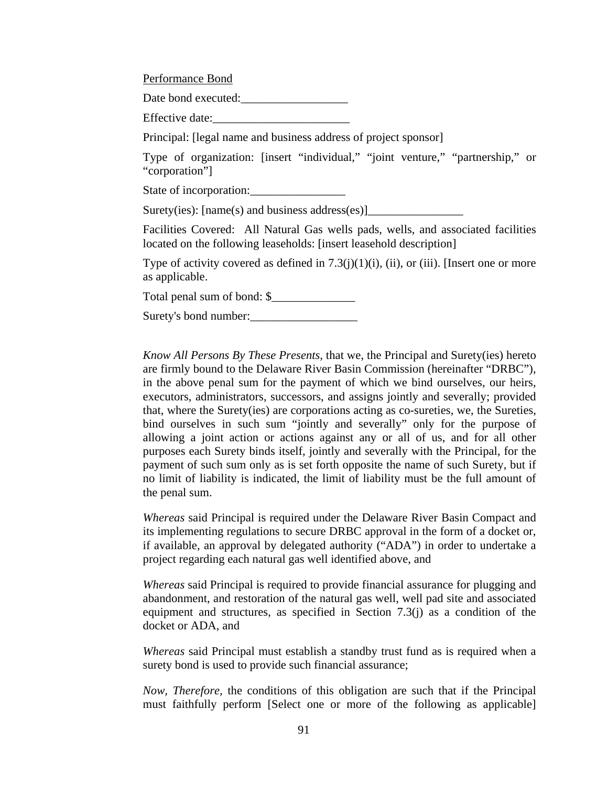Performance Bond

Date bond executed:\_\_\_\_\_\_\_\_\_\_\_\_\_\_\_\_\_\_

Effective date:

Principal: [legal name and business address of project sponsor]

Type of organization: [insert "individual," "joint venture," "partnership," or "corporation"]

State of incorporation:

Surety(ies): [name(s) and business address(es)]\_\_\_\_\_\_\_\_\_\_\_\_\_\_\_\_\_\_\_\_\_\_\_\_\_\_\_\_\_\_\_\_\_

Facilities Covered: All Natural Gas wells pads, wells, and associated facilities located on the following leaseholds: [insert leasehold description]

Type of activity covered as defined in  $7.3(j)(1)(i)$ , (ii), or (iii). [Insert one or more as applicable.

Total penal sum of bond: \$\_\_\_\_\_\_\_\_\_\_\_\_\_\_

Surety's bond number:

*Know All Persons By These Presents,* that we, the Principal and Surety(ies) hereto are firmly bound to the Delaware River Basin Commission (hereinafter "DRBC"), in the above penal sum for the payment of which we bind ourselves, our heirs, executors, administrators, successors, and assigns jointly and severally; provided that, where the Surety(ies) are corporations acting as co-sureties, we, the Sureties, bind ourselves in such sum "jointly and severally" only for the purpose of allowing a joint action or actions against any or all of us, and for all other purposes each Surety binds itself, jointly and severally with the Principal, for the payment of such sum only as is set forth opposite the name of such Surety, but if no limit of liability is indicated, the limit of liability must be the full amount of the penal sum.

*Whereas* said Principal is required under the Delaware River Basin Compact and its implementing regulations to secure DRBC approval in the form of a docket or, if available, an approval by delegated authority ("ADA") in order to undertake a project regarding each natural gas well identified above, and

*Whereas* said Principal is required to provide financial assurance for plugging and abandonment, and restoration of the natural gas well, well pad site and associated equipment and structures, as specified in Section 7.3(j) as a condition of the docket or ADA, and

*Whereas* said Principal must establish a standby trust fund as is required when a surety bond is used to provide such financial assurance;

*Now, Therefore,* the conditions of this obligation are such that if the Principal must faithfully perform [Select one or more of the following as applicable]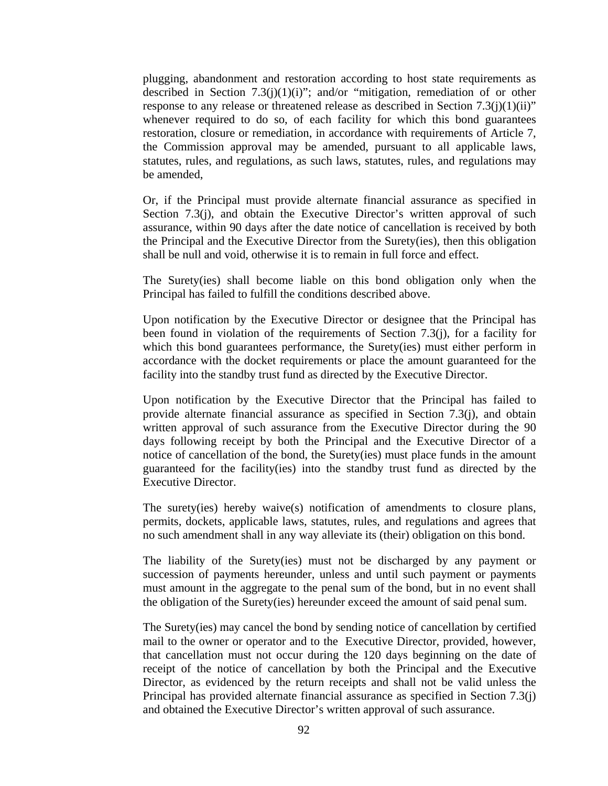plugging, abandonment and restoration according to host state requirements as described in Section  $7.3(j)(1)(i)$ "; and/or "mitigation, remediation of or other response to any release or threatened release as described in Section  $7.3(i)(1)(ii)$ " whenever required to do so, of each facility for which this bond guarantees restoration, closure or remediation, in accordance with requirements of Article 7, the Commission approval may be amended, pursuant to all applicable laws, statutes, rules, and regulations, as such laws, statutes, rules, and regulations may be amended,

Or, if the Principal must provide alternate financial assurance as specified in Section 7.3(j), and obtain the Executive Director's written approval of such assurance, within 90 days after the date notice of cancellation is received by both the Principal and the Executive Director from the Surety(ies), then this obligation shall be null and void, otherwise it is to remain in full force and effect.

The Surety(ies) shall become liable on this bond obligation only when the Principal has failed to fulfill the conditions described above.

Upon notification by the Executive Director or designee that the Principal has been found in violation of the requirements of Section 7.3(j), for a facility for which this bond guarantees performance, the Surety(ies) must either perform in accordance with the docket requirements or place the amount guaranteed for the facility into the standby trust fund as directed by the Executive Director.

Upon notification by the Executive Director that the Principal has failed to provide alternate financial assurance as specified in Section 7.3(j), and obtain written approval of such assurance from the Executive Director during the 90 days following receipt by both the Principal and the Executive Director of a notice of cancellation of the bond, the Surety(ies) must place funds in the amount guaranteed for the facility(ies) into the standby trust fund as directed by the Executive Director.

The surety(ies) hereby waive(s) notification of amendments to closure plans, permits, dockets, applicable laws, statutes, rules, and regulations and agrees that no such amendment shall in any way alleviate its (their) obligation on this bond.

The liability of the Surety(ies) must not be discharged by any payment or succession of payments hereunder, unless and until such payment or payments must amount in the aggregate to the penal sum of the bond, but in no event shall the obligation of the Surety(ies) hereunder exceed the amount of said penal sum.

The Surety(ies) may cancel the bond by sending notice of cancellation by certified mail to the owner or operator and to the Executive Director, provided, however, that cancellation must not occur during the 120 days beginning on the date of receipt of the notice of cancellation by both the Principal and the Executive Director, as evidenced by the return receipts and shall not be valid unless the Principal has provided alternate financial assurance as specified in Section 7.3(j) and obtained the Executive Director's written approval of such assurance.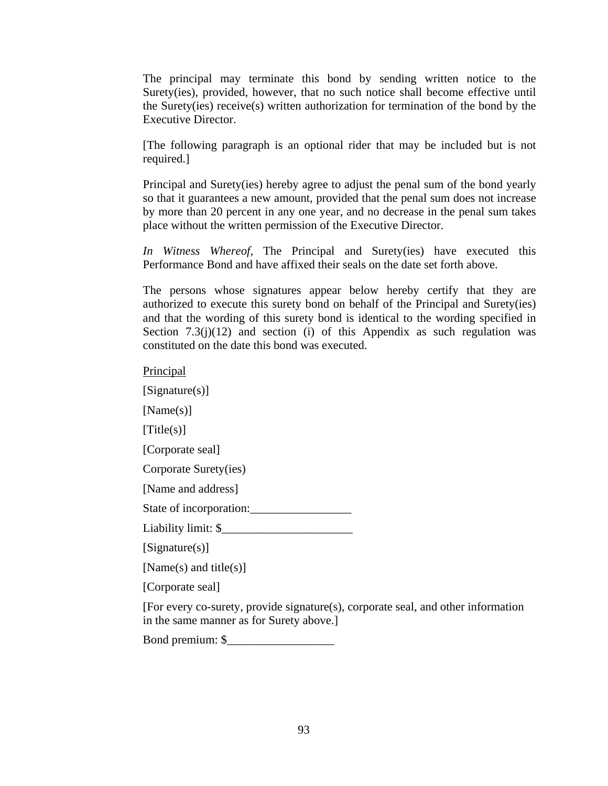The principal may terminate this bond by sending written notice to the Surety(ies), provided, however, that no such notice shall become effective until the Surety(ies) receive(s) written authorization for termination of the bond by the Executive Director.

[The following paragraph is an optional rider that may be included but is not required.]

Principal and Surety(ies) hereby agree to adjust the penal sum of the bond yearly so that it guarantees a new amount, provided that the penal sum does not increase by more than 20 percent in any one year, and no decrease in the penal sum takes place without the written permission of the Executive Director.

*In Witness Whereof,* The Principal and Surety(ies) have executed this Performance Bond and have affixed their seals on the date set forth above.

The persons whose signatures appear below hereby certify that they are authorized to execute this surety bond on behalf of the Principal and Surety(ies) and that the wording of this surety bond is identical to the wording specified in Section 7.3(j)(12) and section (i) of this Appendix as such regulation was constituted on the date this bond was executed.

**Principal** 

[Signature(s)]

[Name(s)]

[Title(s)]

[Corporate seal]

Corporate Surety(ies)

[Name and address]

State of incorporation:

Liability limit: \$\_\_\_\_\_\_\_\_\_\_\_\_\_\_\_\_\_\_\_\_\_\_

[Signature(s)]

[Name(s) and title(s)]

[Corporate seal]

[For every co-surety, provide signature(s), corporate seal, and other information in the same manner as for Surety above.]

Bond premium: \$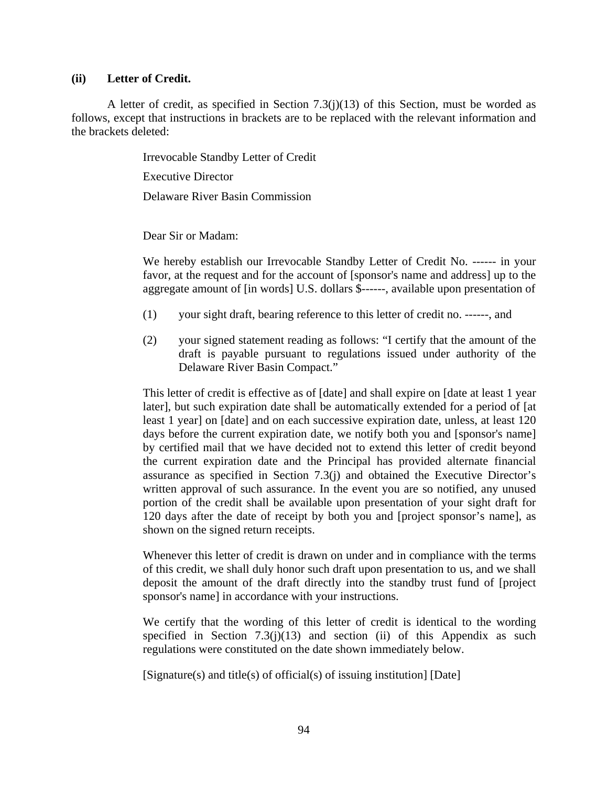## **(ii) Letter of Credit.**

A letter of credit, as specified in Section 7.3(j)(13) of this Section, must be worded as follows, except that instructions in brackets are to be replaced with the relevant information and the brackets deleted:

Irrevocable Standby Letter of Credit

Executive Director

Delaware River Basin Commission

Dear Sir or Madam:

We hereby establish our Irrevocable Standby Letter of Credit No. ------ in your favor, at the request and for the account of [sponsor's name and address] up to the aggregate amount of [in words] U.S. dollars \$------, available upon presentation of

- (1) your sight draft, bearing reference to this letter of credit no. ------, and
- (2) your signed statement reading as follows: "I certify that the amount of the draft is payable pursuant to regulations issued under authority of the Delaware River Basin Compact."

This letter of credit is effective as of [date] and shall expire on [date at least 1 year later], but such expiration date shall be automatically extended for a period of [at least 1 year] on [date] and on each successive expiration date, unless, at least 120 days before the current expiration date, we notify both you and [sponsor's name] by certified mail that we have decided not to extend this letter of credit beyond the current expiration date and the Principal has provided alternate financial assurance as specified in Section 7.3(j) and obtained the Executive Director's written approval of such assurance. In the event you are so notified, any unused portion of the credit shall be available upon presentation of your sight draft for 120 days after the date of receipt by both you and [project sponsor's name], as shown on the signed return receipts.

Whenever this letter of credit is drawn on under and in compliance with the terms of this credit, we shall duly honor such draft upon presentation to us, and we shall deposit the amount of the draft directly into the standby trust fund of [project sponsor's name] in accordance with your instructions.

We certify that the wording of this letter of credit is identical to the wording specified in Section  $7.3(i)(13)$  and section (ii) of this Appendix as such regulations were constituted on the date shown immediately below.

[Signature(s) and title(s) of official(s) of issuing institution] [Date]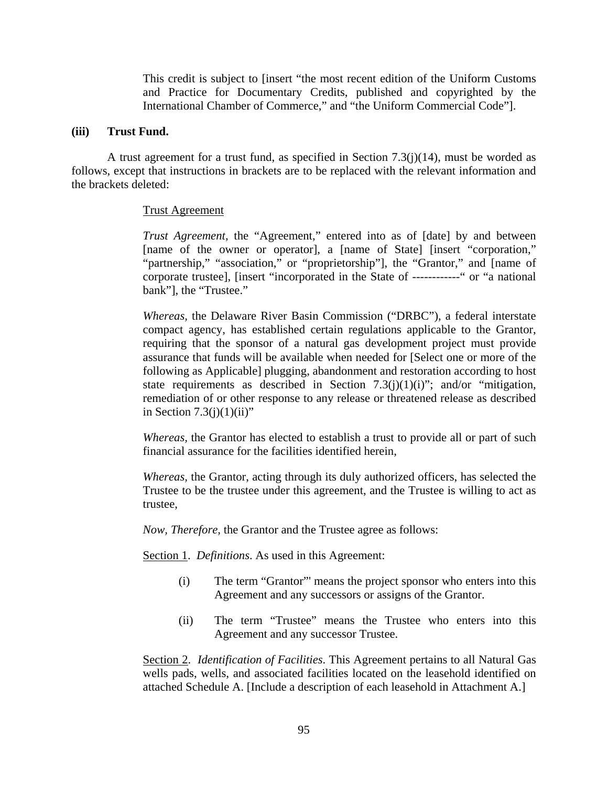This credit is subject to [insert "the most recent edition of the Uniform Customs and Practice for Documentary Credits, published and copyrighted by the International Chamber of Commerce," and "the Uniform Commercial Code"].

#### **(iii) Trust Fund.**

A trust agreement for a trust fund, as specified in Section  $7.3(j)(14)$ , must be worded as follows, except that instructions in brackets are to be replaced with the relevant information and the brackets deleted:

#### Trust Agreement

*Trust Agreement,* the "Agreement," entered into as of [date] by and between [name of the owner or operator], a [name of State] [insert "corporation," "partnership," "association," or "proprietorship"], the "Grantor," and [name of corporate trustee], [insert "incorporated in the State of ------------" or "a national bank"], the "Trustee."

*Whereas,* the Delaware River Basin Commission ("DRBC"), a federal interstate compact agency, has established certain regulations applicable to the Grantor, requiring that the sponsor of a natural gas development project must provide assurance that funds will be available when needed for [Select one or more of the following as Applicable] plugging, abandonment and restoration according to host state requirements as described in Section  $7.3(i)(1)(i)$ "; and/or "mitigation, remediation of or other response to any release or threatened release as described in Section  $7.3(i)(1)(ii)$ "

*Whereas,* the Grantor has elected to establish a trust to provide all or part of such financial assurance for the facilities identified herein,

*Whereas,* the Grantor, acting through its duly authorized officers, has selected the Trustee to be the trustee under this agreement, and the Trustee is willing to act as trustee,

*Now, Therefore,* the Grantor and the Trustee agree as follows:

Section 1. *Definitions*. As used in this Agreement:

- (i) The term "Grantor"' means the project sponsor who enters into this Agreement and any successors or assigns of the Grantor.
- (ii) The term "Trustee" means the Trustee who enters into this Agreement and any successor Trustee.

Section 2. *Identification of Facilities*. This Agreement pertains to all Natural Gas wells pads, wells, and associated facilities located on the leasehold identified on attached Schedule A. [Include a description of each leasehold in Attachment A.]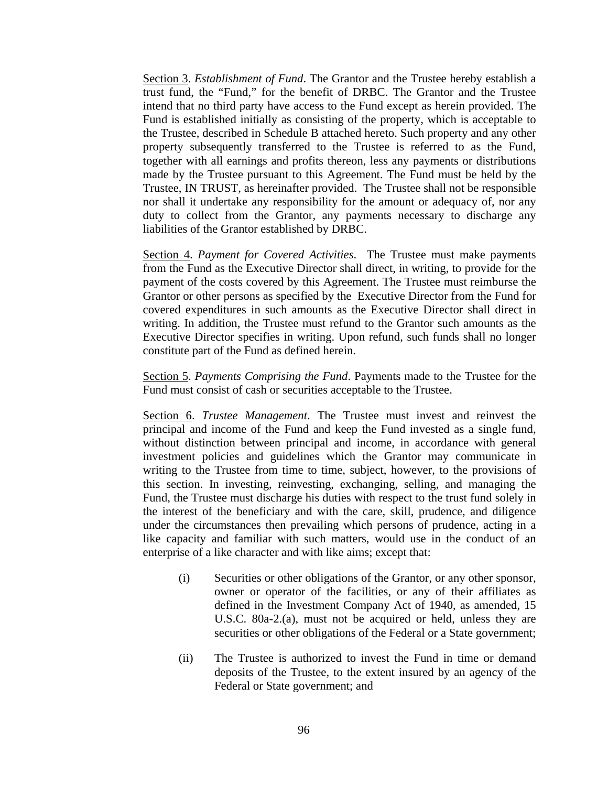Section 3. *Establishment of Fund*. The Grantor and the Trustee hereby establish a trust fund, the "Fund," for the benefit of DRBC. The Grantor and the Trustee intend that no third party have access to the Fund except as herein provided. The Fund is established initially as consisting of the property, which is acceptable to the Trustee, described in Schedule B attached hereto. Such property and any other property subsequently transferred to the Trustee is referred to as the Fund, together with all earnings and profits thereon, less any payments or distributions made by the Trustee pursuant to this Agreement. The Fund must be held by the Trustee, IN TRUST, as hereinafter provided. The Trustee shall not be responsible nor shall it undertake any responsibility for the amount or adequacy of, nor any duty to collect from the Grantor, any payments necessary to discharge any liabilities of the Grantor established by DRBC.

Section 4. *Payment for Covered Activities*. The Trustee must make payments from the Fund as the Executive Director shall direct, in writing, to provide for the payment of the costs covered by this Agreement. The Trustee must reimburse the Grantor or other persons as specified by the Executive Director from the Fund for covered expenditures in such amounts as the Executive Director shall direct in writing. In addition, the Trustee must refund to the Grantor such amounts as the Executive Director specifies in writing. Upon refund, such funds shall no longer constitute part of the Fund as defined herein.

Section 5. *Payments Comprising the Fund*. Payments made to the Trustee for the Fund must consist of cash or securities acceptable to the Trustee.

Section 6. *Trustee Management*. The Trustee must invest and reinvest the principal and income of the Fund and keep the Fund invested as a single fund, without distinction between principal and income, in accordance with general investment policies and guidelines which the Grantor may communicate in writing to the Trustee from time to time, subject, however, to the provisions of this section. In investing, reinvesting, exchanging, selling, and managing the Fund, the Trustee must discharge his duties with respect to the trust fund solely in the interest of the beneficiary and with the care, skill, prudence, and diligence under the circumstances then prevailing which persons of prudence, acting in a like capacity and familiar with such matters, would use in the conduct of an enterprise of a like character and with like aims; except that:

- (i) Securities or other obligations of the Grantor, or any other sponsor, owner or operator of the facilities, or any of their affiliates as defined in the Investment Company Act of 1940, as amended, 15 U.S.C. 80a-2.(a), must not be acquired or held, unless they are securities or other obligations of the Federal or a State government;
- (ii) The Trustee is authorized to invest the Fund in time or demand deposits of the Trustee, to the extent insured by an agency of the Federal or State government; and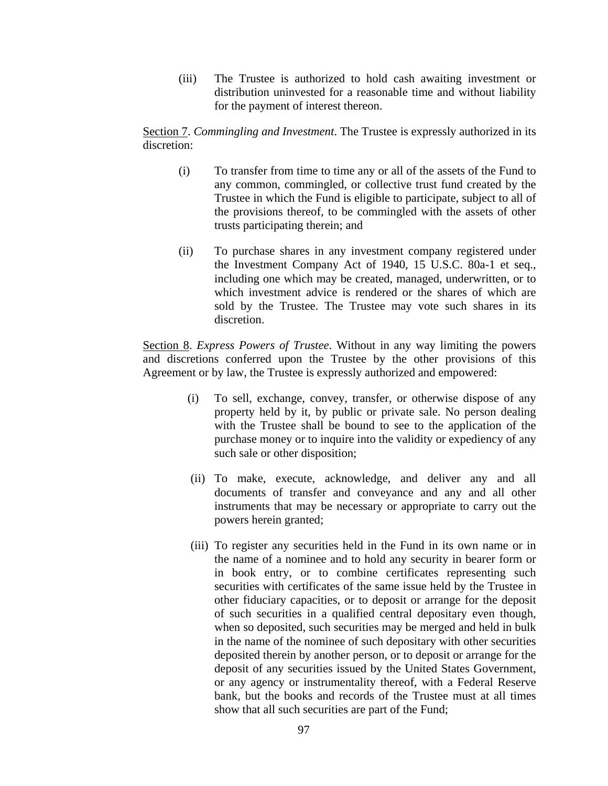(iii) The Trustee is authorized to hold cash awaiting investment or distribution uninvested for a reasonable time and without liability for the payment of interest thereon.

Section 7. *Commingling and Investment*. The Trustee is expressly authorized in its discretion:

- (i) To transfer from time to time any or all of the assets of the Fund to any common, commingled, or collective trust fund created by the Trustee in which the Fund is eligible to participate, subject to all of the provisions thereof, to be commingled with the assets of other trusts participating therein; and
- (ii) To purchase shares in any investment company registered under the Investment Company Act of 1940, 15 U.S.C. 80a-1 et seq., including one which may be created, managed, underwritten, or to which investment advice is rendered or the shares of which are sold by the Trustee. The Trustee may vote such shares in its discretion.

Section 8. *Express Powers of Trustee*. Without in any way limiting the powers and discretions conferred upon the Trustee by the other provisions of this Agreement or by law, the Trustee is expressly authorized and empowered:

- (i) To sell, exchange, convey, transfer, or otherwise dispose of any property held by it, by public or private sale. No person dealing with the Trustee shall be bound to see to the application of the purchase money or to inquire into the validity or expediency of any such sale or other disposition;
- (ii) To make, execute, acknowledge, and deliver any and all documents of transfer and conveyance and any and all other instruments that may be necessary or appropriate to carry out the powers herein granted;
- (iii) To register any securities held in the Fund in its own name or in the name of a nominee and to hold any security in bearer form or in book entry, or to combine certificates representing such securities with certificates of the same issue held by the Trustee in other fiduciary capacities, or to deposit or arrange for the deposit of such securities in a qualified central depositary even though, when so deposited, such securities may be merged and held in bulk in the name of the nominee of such depositary with other securities deposited therein by another person, or to deposit or arrange for the deposit of any securities issued by the United States Government, or any agency or instrumentality thereof, with a Federal Reserve bank, but the books and records of the Trustee must at all times show that all such securities are part of the Fund;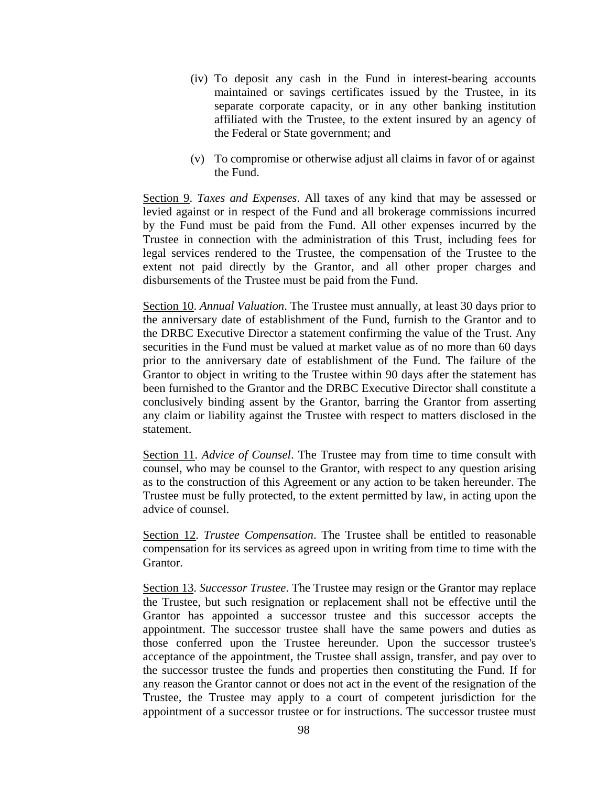- (iv) To deposit any cash in the Fund in interest-bearing accounts maintained or savings certificates issued by the Trustee, in its separate corporate capacity, or in any other banking institution affiliated with the Trustee, to the extent insured by an agency of the Federal or State government; and
- (v) To compromise or otherwise adjust all claims in favor of or against the Fund.

Section 9. *Taxes and Expenses*. All taxes of any kind that may be assessed or levied against or in respect of the Fund and all brokerage commissions incurred by the Fund must be paid from the Fund. All other expenses incurred by the Trustee in connection with the administration of this Trust, including fees for legal services rendered to the Trustee, the compensation of the Trustee to the extent not paid directly by the Grantor, and all other proper charges and disbursements of the Trustee must be paid from the Fund.

Section 10. *Annual Valuation*. The Trustee must annually, at least 30 days prior to the anniversary date of establishment of the Fund, furnish to the Grantor and to the DRBC Executive Director a statement confirming the value of the Trust. Any securities in the Fund must be valued at market value as of no more than 60 days prior to the anniversary date of establishment of the Fund. The failure of the Grantor to object in writing to the Trustee within 90 days after the statement has been furnished to the Grantor and the DRBC Executive Director shall constitute a conclusively binding assent by the Grantor, barring the Grantor from asserting any claim or liability against the Trustee with respect to matters disclosed in the statement.

Section 11. *Advice of Counsel*. The Trustee may from time to time consult with counsel, who may be counsel to the Grantor, with respect to any question arising as to the construction of this Agreement or any action to be taken hereunder. The Trustee must be fully protected, to the extent permitted by law, in acting upon the advice of counsel.

Section 12. *Trustee Compensation*. The Trustee shall be entitled to reasonable compensation for its services as agreed upon in writing from time to time with the Grantor.

Section 13. *Successor Trustee*. The Trustee may resign or the Grantor may replace the Trustee, but such resignation or replacement shall not be effective until the Grantor has appointed a successor trustee and this successor accepts the appointment. The successor trustee shall have the same powers and duties as those conferred upon the Trustee hereunder. Upon the successor trustee's acceptance of the appointment, the Trustee shall assign, transfer, and pay over to the successor trustee the funds and properties then constituting the Fund. If for any reason the Grantor cannot or does not act in the event of the resignation of the Trustee, the Trustee may apply to a court of competent jurisdiction for the appointment of a successor trustee or for instructions. The successor trustee must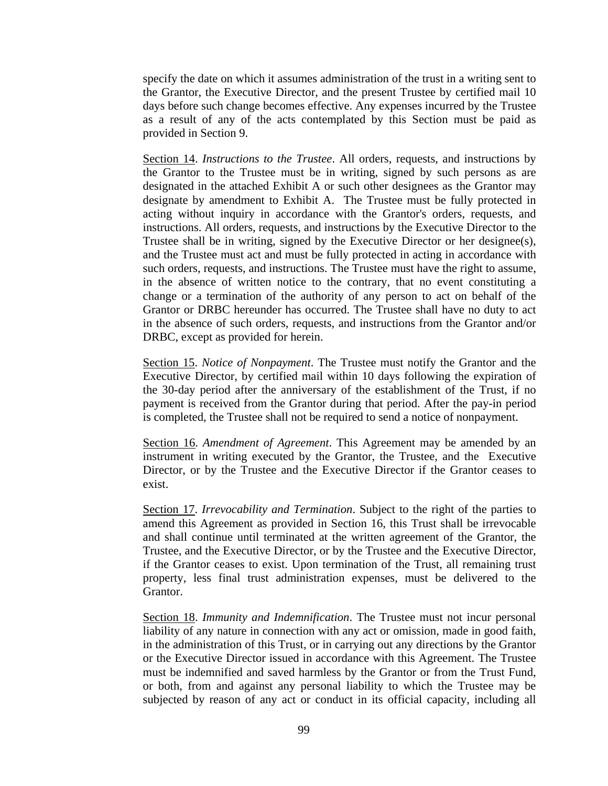specify the date on which it assumes administration of the trust in a writing sent to the Grantor, the Executive Director, and the present Trustee by certified mail 10 days before such change becomes effective. Any expenses incurred by the Trustee as a result of any of the acts contemplated by this Section must be paid as provided in Section 9.

Section 14. *Instructions to the Trustee*. All orders, requests, and instructions by the Grantor to the Trustee must be in writing, signed by such persons as are designated in the attached Exhibit A or such other designees as the Grantor may designate by amendment to Exhibit A. The Trustee must be fully protected in acting without inquiry in accordance with the Grantor's orders, requests, and instructions. All orders, requests, and instructions by the Executive Director to the Trustee shall be in writing, signed by the Executive Director or her designee(s), and the Trustee must act and must be fully protected in acting in accordance with such orders, requests, and instructions. The Trustee must have the right to assume, in the absence of written notice to the contrary, that no event constituting a change or a termination of the authority of any person to act on behalf of the Grantor or DRBC hereunder has occurred. The Trustee shall have no duty to act in the absence of such orders, requests, and instructions from the Grantor and/or DRBC, except as provided for herein.

Section 15. *Notice of Nonpayment*. The Trustee must notify the Grantor and the Executive Director, by certified mail within 10 days following the expiration of the 30-day period after the anniversary of the establishment of the Trust, if no payment is received from the Grantor during that period. After the pay-in period is completed, the Trustee shall not be required to send a notice of nonpayment.

Section 16. *Amendment of Agreement*. This Agreement may be amended by an instrument in writing executed by the Grantor, the Trustee, and the Executive Director, or by the Trustee and the Executive Director if the Grantor ceases to exist.

Section 17. *Irrevocability and Termination*. Subject to the right of the parties to amend this Agreement as provided in Section 16, this Trust shall be irrevocable and shall continue until terminated at the written agreement of the Grantor, the Trustee, and the Executive Director, or by the Trustee and the Executive Director, if the Grantor ceases to exist. Upon termination of the Trust, all remaining trust property, less final trust administration expenses, must be delivered to the Grantor.

Section 18. *Immunity and Indemnification*. The Trustee must not incur personal liability of any nature in connection with any act or omission, made in good faith, in the administration of this Trust, or in carrying out any directions by the Grantor or the Executive Director issued in accordance with this Agreement. The Trustee must be indemnified and saved harmless by the Grantor or from the Trust Fund, or both, from and against any personal liability to which the Trustee may be subjected by reason of any act or conduct in its official capacity, including all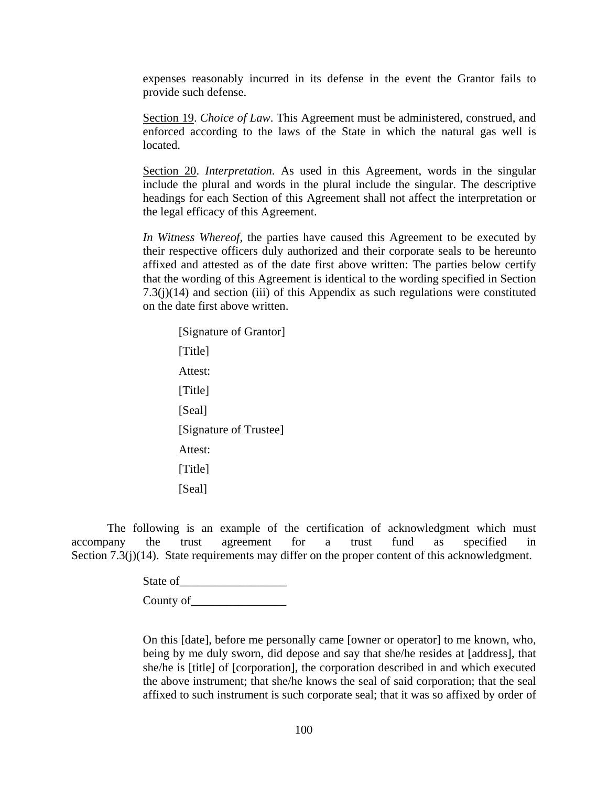expenses reasonably incurred in its defense in the event the Grantor fails to provide such defense.

Section 19. *Choice of Law*. This Agreement must be administered, construed, and enforced according to the laws of the State in which the natural gas well is located.

Section 20. *Interpretation*. As used in this Agreement, words in the singular include the plural and words in the plural include the singular. The descriptive headings for each Section of this Agreement shall not affect the interpretation or the legal efficacy of this Agreement.

*In Witness Whereof,* the parties have caused this Agreement to be executed by their respective officers duly authorized and their corporate seals to be hereunto affixed and attested as of the date first above written: The parties below certify that the wording of this Agreement is identical to the wording specified in Section  $7.3(j)(14)$  and section (iii) of this Appendix as such regulations were constituted on the date first above written.

[Signature of Grantor] [Title] Attest: [Title] [Seal] [Signature of Trustee] Attest: [Title] [Seal]

The following is an example of the certification of acknowledgment which must accompany the trust agreement for a trust fund as specified in Section 7.3(j)(14). State requirements may differ on the proper content of this acknowledgment.

> State of\_\_\_\_\_\_\_\_\_\_\_\_\_\_\_\_\_\_ County of\_\_\_\_\_\_\_\_\_\_\_\_\_\_\_\_

On this [date], before me personally came [owner or operator] to me known, who, being by me duly sworn, did depose and say that she/he resides at [address], that she/he is [title] of [corporation], the corporation described in and which executed the above instrument; that she/he knows the seal of said corporation; that the seal affixed to such instrument is such corporate seal; that it was so affixed by order of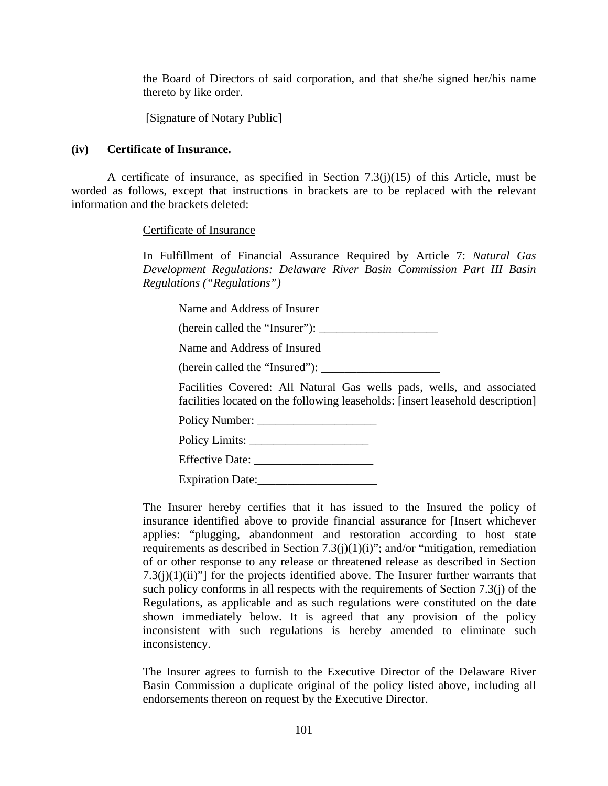the Board of Directors of said corporation, and that she/he signed her/his name thereto by like order.

[Signature of Notary Public]

## **(iv) Certificate of Insurance.**

A certificate of insurance, as specified in Section 7.3(j)(15) of this Article, must be worded as follows, except that instructions in brackets are to be replaced with the relevant information and the brackets deleted:

## Certificate of Insurance

In Fulfillment of Financial Assurance Required by Article 7: *Natural Gas Development Regulations: Delaware River Basin Commission Part III Basin Regulations ("Regulations")*

Name and Address of Insurer

(herein called the "Insurer"): \_\_\_\_\_\_\_\_\_\_\_\_\_\_\_\_\_\_\_\_

Name and Address of Insured

(herein called the "Insured"):

Facilities Covered: All Natural Gas wells pads, wells, and associated facilities located on the following leaseholds: [insert leasehold description]

Policy Number: \_\_\_\_\_\_\_\_\_\_\_\_\_\_\_\_\_\_\_\_

Policy Limits: \_\_\_\_\_\_\_\_\_\_\_\_\_\_\_\_\_\_\_\_

Effective Date:

Expiration Date:

The Insurer hereby certifies that it has issued to the Insured the policy of insurance identified above to provide financial assurance for [Insert whichever applies: "plugging, abandonment and restoration according to host state requirements as described in Section 7.3(j)(1)(i)"; and/or "mitigation, remediation of or other response to any release or threatened release as described in Section  $7.3(i)(1)(ii)$ "] for the projects identified above. The Insurer further warrants that such policy conforms in all respects with the requirements of Section 7.3(j) of the Regulations, as applicable and as such regulations were constituted on the date shown immediately below. It is agreed that any provision of the policy inconsistent with such regulations is hereby amended to eliminate such inconsistency.

The Insurer agrees to furnish to the Executive Director of the Delaware River Basin Commission a duplicate original of the policy listed above, including all endorsements thereon on request by the Executive Director.